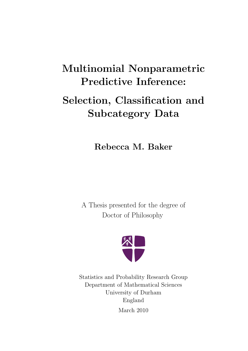# Multinomial Nonparametric Predictive Inference:

# Selection, Classification and Subcategory Data

Rebecca M. Baker

A Thesis presented for the degree of Doctor of Philosophy



Statistics and Probability Research Group Department of Mathematical Sciences University of Durham England March 2010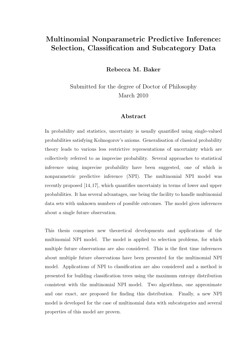## Multinomial Nonparametric Predictive Inference: Selection, Classification and Subcategory Data

Rebecca M. Baker

Submitted for the degree of Doctor of Philosophy March 2010

#### Abstract

In probability and statistics, uncertainty is usually quantified using single-valued probabilities satisfying Kolmogorov's axioms. Generalisation of classical probability theory leads to various less restrictive representations of uncertainty which are collectively referred to as imprecise probability. Several approaches to statistical inference using imprecise probability have been suggested, one of which is nonparametric predictive inference (NPI). The multinomial NPI model was recently proposed [14,17], which quantifies uncertainty in terms of lower and upper probabilities. It has several advantages, one being the facility to handle multinomial data sets with unknown numbers of possible outcomes. The model gives inferences about a single future observation.

This thesis comprises new theoretical developments and applications of the multinomial NPI model. The model is applied to selection problems, for which multiple future observations are also considered. This is the first time inferences about multiple future observations have been presented for the multinomial NPI model. Applications of NPI to classification are also considered and a method is presented for building classification trees using the maximum entropy distribution consistent with the multinomial NPI model. Two algorithms, one approximate and one exact, are proposed for finding this distribution. Finally, a new NPI model is developed for the case of multinomial data with subcategories and several properties of this model are proven.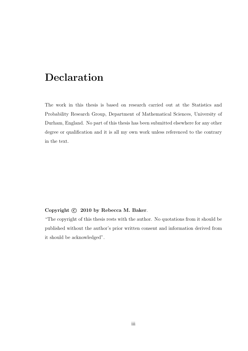## Declaration

The work in this thesis is based on research carried out at the Statistics and Probability Research Group, Department of Mathematical Sciences, University of Durham, England. No part of this thesis has been submitted elsewhere for any other degree or qualification and it is all my own work unless referenced to the contrary in the text.

#### Copyright  $\odot$  2010 by Rebecca M. Baker.

"The copyright of this thesis rests with the author. No quotations from it should be published without the author's prior written consent and information derived from it should be acknowledged".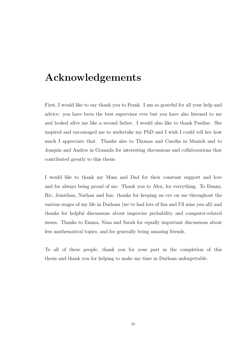## Acknowledgements

First, I would like to say thank you to Frank. I am so grateful for all your help and advice: you have been the best supervisor ever but you have also listened to me and looked after me like a second father. I would also like to thank Pauline. She inspired and encouraged me to undertake my PhD and I wish I could tell her how much I appreciate that. Thanks also to Thomas and Carolin in Munich and to Joaquin and Andres in Granada for interesting discussions and collaborations that contributed greatly to this thesis.

I would like to thank my Mum and Dad for their constant support and love and for always being proud of me. Thank you to Alex, for everything. To Danny, Ric, Jonathan, Nathan and Ian: thanks for keeping an eye on me throughout the various stages of my life in Durham (we've had lots of fun and I'll miss you all) and thanks for helpful discussions about imprecise probability and computer-related issues. Thanks to Emma, Nina and Sarah for equally important discussions about less mathematical topics, and for generally being amazing friends.

To all of these people, thank you for your part in the completion of this thesis and thank you for helping to make my time in Durham unforgettable.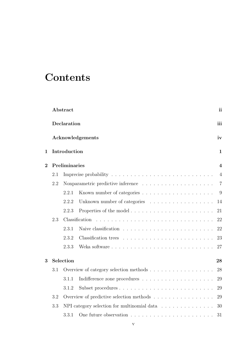# **Contents**

|                |     | Abstract                                                                                                                                      | ii               |
|----------------|-----|-----------------------------------------------------------------------------------------------------------------------------------------------|------------------|
|                |     | Declaration                                                                                                                                   | iii              |
|                |     | Acknowledgements                                                                                                                              | iv               |
| 1              |     | Introduction                                                                                                                                  | $\mathbf{1}$     |
| $\overline{2}$ |     | Preliminaries                                                                                                                                 | $\boldsymbol{4}$ |
|                | 2.1 |                                                                                                                                               | $\overline{4}$   |
|                | 2.2 |                                                                                                                                               | $\overline{7}$   |
|                |     | 2.2.1                                                                                                                                         | 9                |
|                |     | 2.2.2<br>Unknown number of categories $\ldots \ldots \ldots \ldots \ldots$                                                                    | 14               |
|                |     | 2.2.3<br>Properties of the model                                                                                                              | 21               |
|                | 2.3 | <u>.</u><br>The contract of the contract of the contract of the contract of the contract of the contract of the contract of<br>Classification | 22               |
|                |     | 2.3.1                                                                                                                                         | 22               |
|                |     | 2.3.2                                                                                                                                         | 23               |
|                |     | 2.3.3                                                                                                                                         | 27               |
| 3              |     | Selection                                                                                                                                     | 28               |
|                | 3.1 | Overview of category selection methods                                                                                                        | 28               |
|                |     | 3.1.1                                                                                                                                         | 29               |
|                |     | 3.1.2                                                                                                                                         | 29               |
|                | 3.2 | Overview of predictive selection methods                                                                                                      | 29               |
|                | 3.3 | NPI category selection for multinomial data $\ldots \ldots \ldots \ldots$                                                                     | 30               |
|                |     | 3.3.1                                                                                                                                         | 31               |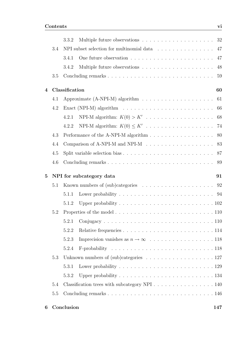|              |     | 3.3.2          |                                                                                                    |
|--------------|-----|----------------|----------------------------------------------------------------------------------------------------|
|              | 3.4 |                | NPI subset selection for multinomial data<br>47                                                    |
|              |     | 3.4.1          | 47                                                                                                 |
|              |     | 3.4.2          | Multiple future observations $\dots \dots \dots \dots \dots \dots \dots$<br>48                     |
|              | 3.5 |                | 59                                                                                                 |
| 4            |     | Classification | 60                                                                                                 |
|              | 4.1 |                |                                                                                                    |
|              | 4.2 |                | Exact (NPI-M) algorithm $\ldots \ldots \ldots \ldots \ldots \ldots \ldots \ldots \ldots \ldots 66$ |
|              |     | 4.2.1          |                                                                                                    |
|              |     | 4.2.2          |                                                                                                    |
|              | 4.3 |                | Performance of the A-NPI-M algorithm 80                                                            |
|              | 4.4 |                | Comparison of A-NPI-M and NPI-M 83                                                                 |
|              | 4.5 |                |                                                                                                    |
|              | 4.6 |                |                                                                                                    |
|              |     |                |                                                                                                    |
| $\mathbf{5}$ |     |                | NPI for subcategory data<br>91                                                                     |
|              | 5.1 |                |                                                                                                    |
|              |     | 5.1.1          |                                                                                                    |
|              |     | 5.1.2          | Upper probability $\ldots \ldots \ldots \ldots \ldots \ldots \ldots \ldots \ldots 102$             |
|              | 5.2 |                |                                                                                                    |
|              |     |                | 110                                                                                                |
|              |     | 5.2.2          |                                                                                                    |
|              |     | 5.2.3          |                                                                                                    |
|              |     | 5.2.4          |                                                                                                    |
|              | 5.3 |                | Unknown numbers of $(sub)$ categories 127                                                          |
|              |     | 5.3.1          |                                                                                                    |
|              |     | 5.3.2          | Upper probability $\ldots \ldots \ldots \ldots \ldots \ldots \ldots \ldots \ldots 134$             |
|              | 5.4 |                | Classification trees with subcategory NPI $\ldots \ldots \ldots \ldots \ldots 140$                 |
|              | 5.5 |                |                                                                                                    |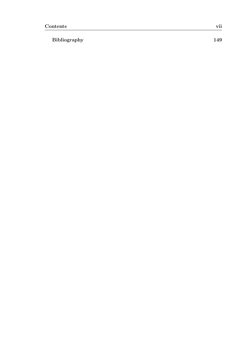### Bibliography 149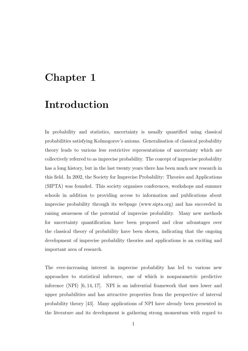## Chapter 1

## Introduction

In probability and statistics, uncertainty is usually quantified using classical probabilities satisfying Kolmogorov's axioms. Generalisation of classical probability theory leads to various less restrictive representations of uncertainty which are collectively referred to as imprecise probability. The concept of imprecise probability has a long history, but in the last twenty years there has been much new research in this field. In 2002, the Society for Imprecise Probability: Theories and Applications (SIPTA) was founded. This society organises conferences, workshops and summer schools in addition to providing access to information and publications about imprecise probability through its webpage (www.sipta.org) and has succeeded in raising awareness of the potential of imprecise probability. Many new methods for uncertainty quantification have been proposed and clear advantages over the classical theory of probability have been shown, indicating that the ongoing development of imprecise probability theories and applications is an exciting and important area of research.

The ever-increasing interest in imprecise probability has led to various new approaches to statistical inference, one of which is nonparametric predictive inference (NPI) [6, 14, 17]. NPI is an inferential framework that uses lower and upper probabilities and has attractive properties from the perspective of interval probability theory [43]. Many applications of NPI have already been presented in the literature and its development is gathering strong momentum with regard to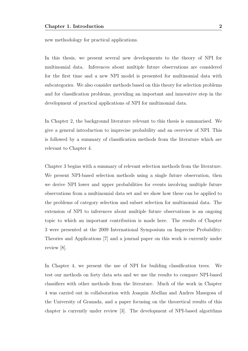new methodology for practical applications.

In this thesis, we present several new developments to the theory of NPI for multinomial data. Inferences about multiple future observations are considered for the first time and a new NPI model is presented for multinomial data with subcategories. We also consider methods based on this theory for selection problems and for classification problems, providing an important and innovative step in the development of practical applications of NPI for multinomial data.

In Chapter 2, the background literature relevant to this thesis is summarised. We give a general introduction to imprecise probability and an overview of NPI. This is followed by a summary of classification methods from the literature which are relevant to Chapter 4.

Chapter 3 begins with a summary of relevant selection methods from the literature. We present NPI-based selection methods using a single future observation, then we derive NPI lower and upper probabilities for events involving multiple future observations from a multinomial data set and we show how these can be applied to the problems of category selection and subset selection for multinomial data. The extension of NPI to inferences about multiple future observations is an ongoing topic to which an important contribution is made here. The results of Chapter 3 were presented at the 2009 International Symposium on Imprecise Probability: Theories and Applications [7] and a journal paper on this work is currently under review [8].

In Chapter 4, we present the use of NPI for building classification trees. We test our methods on forty data sets and we use the results to compare NPI-based classifiers with other methods from the literature. Much of the work in Chapter 4 was carried out in collaboration with Joaquin Abellan and Andres Masegosa of the University of Granada, and a paper focusing on the theoretical results of this chapter is currently under review [3]. The development of NPI-based algorithms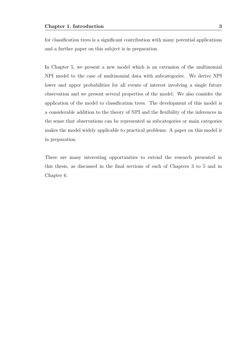for classification trees is a significant contribution with many potential applications and a further paper on this subject is in preparation.

In Chapter 5, we present a new model which is an extension of the multinomial NPI model to the case of multinomial data with subcategories. We derive NPI lower and upper probabilities for all events of interest involving a single future observation and we present several properties of the model. We also consider the application of the model to classification trees. The development of this model is a considerable addition to the theory of NPI and the flexibility of the inferences in the sense that observations can be represented as subcategories or main categories makes the model widely applicable to practical problems. A paper on this model is in preparation.

There are many interesting opportunities to extend the research presented in this thesis, as discussed in the final sections of each of Chapters 3 to 5 and in Chapter 6.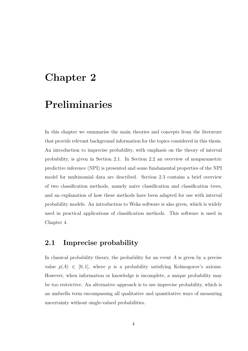## Chapter 2

## Preliminaries

In this chapter we summarise the main theories and concepts from the literature that provide relevant background information for the topics considered in this thesis. An introduction to imprecise probability, with emphasis on the theory of interval probability, is given in Section 2.1. In Section 2.2 an overview of nonparametric predictive inference (NPI) is presented and some fundamental properties of the NPI model for multinomial data are described. Section 2.3 contains a brief overview of two classification methods, namely naive classification and classification trees, and an explanation of how these methods have been adapted for use with interval probability models. An introduction to Weka software is also given, which is widely used in practical applications of classification methods. This software is used in Chapter 4.

### 2.1 Imprecise probability

In classical probability theory, the probability for an event  $A$  is given by a precise value  $p(A) \in [0, 1]$ , where p is a probability satisfying Kolmogorov's axioms. However, when information or knowledge is incomplete, a unique probability may be too restrictive. An alternative approach is to use imprecise probability, which is an umbrella term encompassing all qualitative and quantitative ways of measuring uncertainty without single-valued probabilities.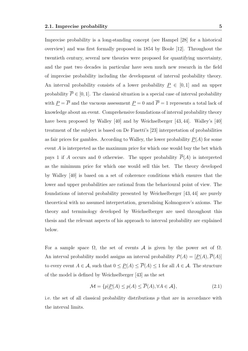Imprecise probability is a long-standing concept (see Hampel [28] for a historical overview) and was first formally proposed in 1854 by Boole [12]. Throughout the twentieth century, several new theories were proposed for quantifying uncertainty, and the past two decades in particular have seen much new research in the field of imprecise probability including the development of interval probability theory. An interval probability consists of a lower probability  $P \in [0, 1]$  and an upper probability  $\overline{P} \in [0, 1]$ . The classical situation is a special case of interval probability with  $\underline{P} = \overline{P}$  and the vacuous assessment<br>  $\underline{P} = 0$  and  $\overline{P} = 1$  represents a total lack of knowledge about an event. Comprehensive foundations of interval probability theory have been proposed by Walley [40] and by Weichselberger [43, 44]. Walley's [40] treatment of the subject is based on De Finetti's [23] interpretation of probabilities as fair prices for gambles. According to Walley, the lower probability  $P(A)$  for some event A is interpreted as the maximum price for which one would buy the bet which pays 1 if A occurs and 0 otherwise. The upper probability  $\overline{P}(A)$  is interpreted as the minimum price for which one would sell this bet. The theory developed by Walley [40] is based on a set of coherence conditions which ensures that the lower and upper probabilities are rational from the behavioural point of view. The foundations of interval probability presented by Weichselberger [43, 44] are purely theoretical with no assumed interpretation, generalising Kolmogorov's axioms. The theory and terminology developed by Weichselberger are used throughout this thesis and the relevant aspects of his approach to interval probability are explained below.

For a sample space  $\Omega$ , the set of events  $\mathcal A$  is given by the power set of  $\Omega$ . An interval probability model assigns an interval probability  $P(A) = [P(A), \overline{P}(A)]$ to every event  $A \in \mathcal{A}$ , such that  $0 \leq P(A) \leq \overline{P}(A) \leq 1$  for all  $A \in \mathcal{A}$ . The structure of the model is defined by Weichselberger [43] as the set

$$
\mathcal{M} = \{ p | \underline{P}(A) \le p(A) \le \overline{P}(A), \forall A \in \mathcal{A} \},\tag{2.1}
$$

i.e. the set of all classical probability distributions  $p$  that are in accordance with the interval limits.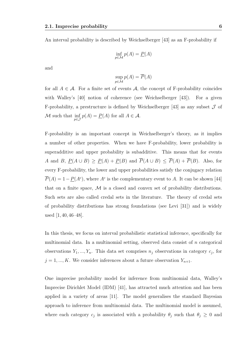An interval probability is described by Weichselberger [43] as an F-probability if

$$
\inf_{p \in \mathcal{M}} p(A) = \underline{P}(A)
$$

and

$$
\sup_{p \in \mathcal{M}} p(A) = \overline{P}(A)
$$

for all  $A \in \mathcal{A}$ . For a finite set of events  $\mathcal{A}$ , the concept of F-probability coincides with Walley's [40] notion of coherence (see Weichselberger [43]). For a given F-probability, a prestructure is defined by Weichselberger [43] as any subset  $\mathcal J$  of M such that  $\inf_{p\in\mathcal{J}}p(A)=\underline{P}(A)$  for all  $A\in\mathcal{A}$ .

F-probability is an important concept in Weichselberger's theory, as it implies a number of other properties. When we have F-probability, lower probability is superadditive and upper probability is subadditive. This means that for events A and B,  $\underline{P}(A \cup B) \ge \underline{P}(A) + \underline{P}(B)$  and  $\overline{P}(A \cup B) \le \overline{P}(A) + \overline{P}(B)$ . Also, for every F-probability, the lower and upper probabilities satisfy the conjugacy relation  $\overline{P}(A) = 1 - \underline{P}(A^c)$ , where  $A^c$  is the complementary event to A. It can be shown [44] that on a finite space,  $\mathcal M$  is a closed and convex set of probability distributions. Such sets are also called credal sets in the literature. The theory of credal sets of probability distributions has strong foundations (see Levi [31]) and is widely used [1, 40, 46–48].

In this thesis, we focus on interval probabilistic statistical inference, specifically for multinomial data. In a multinomial setting, observed data consist of  $n$  categorical observations  $Y_1, ..., Y_n$ . This data set comprises  $n_j$  observations in category  $c_j$ , for  $j = 1, ..., K$ . We consider inferences about a future observation  $Y_{n+1}$ .

One imprecise probability model for inference from multinomial data, Walley's Imprecise Dirichlet Model (IDM) [41], has attracted much attention and has been applied in a variety of areas [11]. The model generalises the standard Bayesian approach to inference from multinomial data. The multinomial model is assumed, where each category  $c_j$  is associated with a probability  $\theta_j$  such that  $\theta_j \geq 0$  and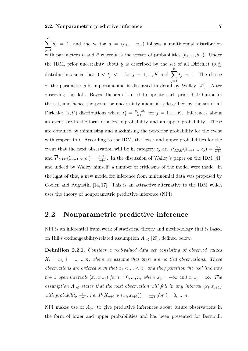$\sum$ K  $j=1$  $\theta_j = 1$ , and the vector  $\underline{n} = (n_1, ..., n_K)$  follows a multinomial distribution with parameters n and  $\underline{\theta}$  where  $\underline{\theta}$  is the vector of probabilities  $(\theta_1, ..., \theta_K)$ . Under the IDM, prior uncertainty about  $\underline{\theta}$  is described by the set of all Dirichlet  $(s, \underline{t})$ distributions such that  $0 < t_j < 1$  for  $j = 1, ..., K$  and  $\sum$ K  $j=1$  $t_j = 1$ . The choice of the parameter  $s$  is important and is discussed in detail by Walley [41]. After observing the data, Bayes' theorem is used to update each prior distribution in the set, and hence the posterior uncertainty about  $\theta$  is described by the set of all Dirichlet  $(s, t^*)$  distributions where  $t_j^* = \frac{n_j + st_j}{n + s}$  $\frac{j+st_j}{n+s}$  for  $j=1,...,K$ . Inferences about an event are in the form of a lower probability and an upper probability. These are obtained by minimising and maximising the posterior probability for the event with respect to  $t$ . According to the IDM, the lower and upper probabilities for the event that the next observation will be in category  $c_j$  are  $\underline{P}_{IDM}(Y_{n+1} \in c_j) = \frac{n_j}{n+s}$ and  $\overline{P}_{IDM}(Y_{n+1} \in c_j) = \frac{n_j+s}{n+s}$ . In the discussion of Walley's paper on the IDM [41] and indeed by Walley himself, a number of criticisms of the model were made. In the light of this, a new model for inference from multinomial data was proposed by Coolen and Augustin [14, 17]. This is an attractive alternative to the IDM which uses the theory of nonparametric predictive inference (NPI).

### 2.2 Nonparametric predictive inference

NPI is an inferential framework of statistical theory and methodology that is based on Hill's exchangeability-related assumption  $A_{(n)}$  [29], defined below.

Definition 2.2.1. Consider a real-valued data set consisting of observed values  $X_i = x_i$ ,  $i = 1, ..., n$ , where we assume that there are no tied observations. These observations are ordered such that  $x_1 < ... < x_n$  and they partition the real line into  $n+1$  open intervals  $(x_i, x_{i+1})$  for  $i = 0, ..., n$ , where  $x_0 = -\infty$  and  $x_{n+1} = \infty$ . The assumption  $A_{(n)}$  states that the next observation will fall in any interval  $(x_i, x_{i+1})$ with probability  $\frac{1}{n+1}$ , i.e.  $P(X_{n+1} \in (x_i, x_{i+1})) = \frac{1}{n+1}$  for  $i = 0, ..., n$ .

NPI makes use of  $A_{(n)}$  to give predictive inferences about future observations in the form of lower and upper probabilities and has been presented for Bernoulli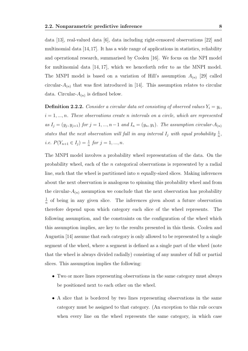data [13], real-valued data [6], data including right-censored observations [22] and multinomial data [14,17]. It has a wide range of applications in statistics, reliability and operational research, summarised by Coolen [16]. We focus on the NPI model for multinomial data [14, 17], which we henceforth refer to as the MNPI model. The MNPI model is based on a variation of Hill's assumption  $A_{(n)}$  [29] called circular- $A_{(n)}$  that was first introduced in [14]. This assumption relates to circular data. Circular- $A_{(n)}$  is defined below.

**Definition 2.2.2.** Consider a circular data set consisting of observed values  $Y_i = y_i$ ,  $i = 1, \ldots, n$ . These observations create n intervals on a circle, which are represented as  $I_j = (y_j, y_{j+1})$  for  $j = 1, ..., n-1$  and  $I_n = (y_n, y_1)$ . The assumption circular- $A_{(n)}$ states that the next observation will fall in any interval  $I_j$  with equal probability  $\frac{1}{n}$ , *i.e.*  $P(Y_{n+1} \in I_j) = \frac{1}{n}$  for  $j = 1, ..., n$ .

The MNPI model involves a probability wheel representation of the data. On the probability wheel, each of the n categorical observations is represented by a radial line, such that the wheel is partitioned into  $n$  equally-sized slices. Making inferences about the next observation is analogous to spinning this probability wheel and from the circular- $A_{(n)}$  assumption we conclude that the next observation has probability 1  $\frac{1}{n}$  of being in any given slice. The inferences given about a future observation therefore depend upon which category each slice of the wheel represents. The following assumption, and the constraints on the configuration of the wheel which this assumption implies, are key to the results presented in this thesis. Coolen and Augustin [14] assume that each category is only allowed to be represented by a single segment of the wheel, where a segment is defined as a single part of the wheel (note that the wheel is always divided radially) consisting of any number of full or partial slices. This assumption implies the following:

- Two or more lines representing observations in the same category must always be positioned next to each other on the wheel.
- A slice that is bordered by two lines representing observations in the same category must be assigned to that category. (An exception to this rule occurs when every line on the wheel represents the same category, in which case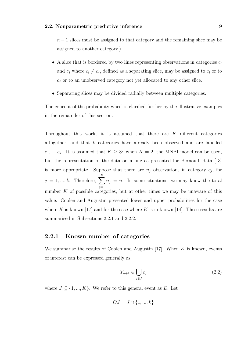$n-1$  slices must be assigned to that category and the remaining slice may be assigned to another category.)

- A slice that is bordered by two lines representing observations in categories  $c_i$ and  $c_j$  where  $c_i \neq c_j$ , defined as a separating slice, may be assigned to  $c_i$  or to  $c_j$  or to an unobserved category not yet allocated to any other slice.
- Separating slices may be divided radially between multiple categories.

The concept of the probability wheel is clarified further by the illustrative examples in the remainder of this section.

Throughout this work, it is assumed that there are K different categories altogether, and that k categories have already been observed and are labelled  $c_1, ..., c_k$ . It is assumed that  $K \geq 3$ : when  $K = 2$ , the MNPI model can be used, but the representation of the data on a line as presented for Bernoulli data [13] is more appropriate. Suppose that there are  $n_j$  observations in category  $c_j$ , for  $j = 1, ..., k$ . Therefore,  $\sum$ k  $j=1$  $n_j = n$ . In some situations, we may know the total number  $K$  of possible categories, but at other times we may be unaware of this value. Coolen and Augustin presented lower and upper probabilities for the case where K is known [17] and for the case where K is unknown [14]. These results are summarised in Subsections 2.2.1 and 2.2.2.

#### 2.2.1 Known number of categories

We summarise the results of Coolen and Augustin [17]. When  $K$  is known, events of interest can be expressed generally as

$$
Y_{n+1} \in \bigcup_{j \in J} c_j \tag{2.2}
$$

where  $J \subseteq \{1, ..., K\}$ . We refer to this general event as E. Let

$$
OJ = J \cap \{1, ..., k\}
$$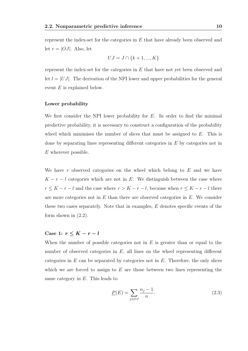represent the index-set for the categories in E that have already been observed and let  $r = |OJ|$ . Also, let

$$
UJ = J \cap \{k+1, ..., K\}
$$

represent the index-set for the categories in E that have not yet been observed and let  $l = |UJ|$ . The derivation of the NPI lower and upper probabilities for the general event  $E$  is explained below.

#### Lower probability

We first consider the NPI lower probability for  $E$ . In order to find the minimal predictive probability, it is necessary to construct a configuration of the probability wheel which minimises the number of slices that must be assigned to  $E$ . This is done by separating lines representing different categories in E by categories not in E wherever possible.

We have r observed categories on the wheel which belong to  $E$  and we have  $K - r - l$  categories which are not in E. We distinguish between the case where  $r \leq K - r - l$  and the case where  $r > K - r - l$ , because when  $r \leq K - r - l$  there are more categories not in  $E$  than there are observed categories in  $E$ . We consider these two cases separately. Note that in examples, E denotes specific events of the form shown in (2.2).

### Case 1:  $r \leq K - r - l$

When the number of possible categories not in  $E$  is greater than or equal to the number of observed categories in  $E$ , all lines on the wheel representing different categories in  $E$  can be separated by categories not in  $E$ . Therefore, the only slices which we are forced to assign to  $E$  are those between two lines representing the same category in  $E$ . This leads to

$$
\underline{P}(E) = \sum_{j \in OJ} \frac{n_j - 1}{n}.\tag{2.3}
$$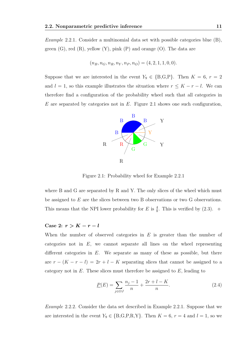Example 2.2.1. Consider a multinomial data set with possible categories blue (B), green  $(G)$ , red  $(R)$ , yellow  $(Y)$ , pink  $(P)$  and orange  $(O)$ . The data are

$$
(n_B, n_G, n_R, n_Y, n_P, n_O) = (4, 2, 1, 1, 0, 0).
$$

Suppose that we are interested in the event  $Y_9 \in \{B,G,P\}$ . Then  $K = 6, r = 2$ and  $l = 1$ , so this example illustrates the situation where  $r \leq K - r - l$ . We can therefore find a configuration of the probability wheel such that all categories in E are separated by categories not in E. Figure 2.1 shows one such configuration,



Figure 2.1: Probability wheel for Example 2.2.1

where B and G are separated by R and Y. The only slices of the wheel which must be assigned to  $E$  are the slices between two B observations or two G observations. This means that the NPI lower probability for E is  $\frac{4}{8}$ . This is verified by (2.3).  $\diamond$ 

#### Case 2:  $r > K - r - l$

When the number of observed categories in  $E$  is greater than the number of categories not in  $E$ , we cannot separate all lines on the wheel representing different categories in  $E$ . We separate as many of these as possible, but there are  $r - (K - r - l) = 2r + l - K$  separating slices that cannot be assigned to a category not in  $E$ . These slices must therefore be assigned to  $E$ , leading to

$$
\underline{P}(E) = \sum_{j \in OJ} \frac{n_j - 1}{n} + \frac{2r + l - K}{n}.
$$
\n(2.4)

Example 2.2.2. Consider the data set described in Example 2.2.1. Suppose that we are interested in the event  $Y_9 \in \{B, G, P, R, Y\}$ . Then  $K = 6$ ,  $r = 4$  and  $l = 1$ , so we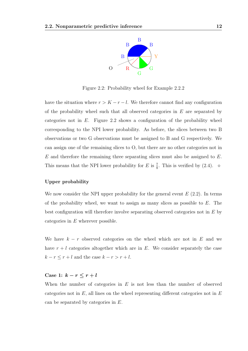

Figure 2.2: Probability wheel for Example 2.2.2

have the situation where  $r > K - r - l$ . We therefore cannot find any configuration of the probability wheel such that all observed categories in  $E$  are separated by categories not in  $E$ . Figure 2.2 shows a configuration of the probability wheel corresponding to the NPI lower probability. As before, the slices between two B observations or two G observations must be assigned to B and G respectively. We can assign one of the remaining slices to O, but there are no other categories not in  $E$  and therefore the remaining three separating slices must also be assigned to  $E$ . This means that the NPI lower probability for E is  $\frac{7}{8}$ . This is verified by (2.4).  $\diamond$ 

#### Upper probability

We now consider the NPI upper probability for the general event  $E(2.2)$ . In terms of the probability wheel, we want to assign as many slices as possible to  $E$ . The best configuration will therefore involve separating observed categories not in  $E$  by categories in E wherever possible.

We have  $k - r$  observed categories on the wheel which are not in E and we have  $r + l$  categories altogether which are in E. We consider separately the case  $k - r \leq r + l$  and the case  $k - r > r + l$ .

## Case 1:  $k - r \leq r + l$

When the number of categories in  $E$  is not less than the number of observed categories not in  $E$ , all lines on the wheel representing different categories not in  $E$ can be separated by categories in E.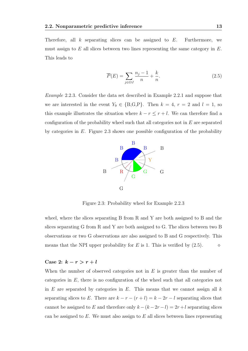Therefore, all  $k$  separating slices can be assigned to  $E$ . Furthermore, we must assign to  $E$  all slices between two lines representing the same category in  $E$ . This leads to

$$
\overline{P}(E) = \sum_{j \in OJ} \frac{n_j - 1}{n} + \frac{k}{n}.\tag{2.5}
$$

Example 2.2.3. Consider the data set described in Example 2.2.1 and suppose that we are interested in the event  $Y_9 \in \{B, G, P\}$ . Then  $k = 4, r = 2$  and  $l = 1$ , so this example illustrates the situation where  $k - r \leq r + l$ . We can therefore find a configuration of the probability wheel such that all categories not in  $E$  are separated by categories in  $E$ . Figure 2.3 shows one possible configuration of the probability



Figure 2.3: Probability wheel for Example 2.2.3

wheel, where the slices separating B from R and Y are both assigned to B and the slices separating G from R and Y are both assigned to G. The slices between two B observations or two G observations are also assigned to B and G respectively. This means that the NPI upper probability for E is 1. This is verified by  $(2.5)$ .

### Case 2:  $k - r > r + l$

When the number of observed categories not in  $E$  is greater than the number of categories in E, there is no configuration of the wheel such that all categories not in  $E$  are separated by categories in  $E$ . This means that we cannot assign all  $k$ separating slices to E. There are  $k - r - (r + l) = k - 2r - l$  separating slices that cannot be assigned to E and therefore only  $k - (k - 2r - l) = 2r + l$  separating slices can be assigned to  $E$ . We must also assign to  $E$  all slices between lines representing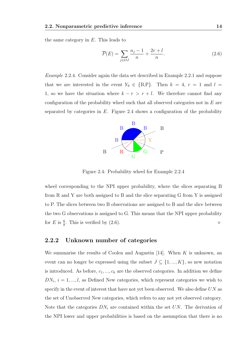the same category in  $E$ . This leads to

$$
\overline{P}(E) = \sum_{j \in OJ} \frac{n_j - 1}{n} + \frac{2r + l}{n}.
$$
\n(2.6)

Example 2.2.4. Consider again the data set described in Example 2.2.1 and suppose that we are interested in the event  $Y_9 \in \{B, P\}$ . Then  $k = 4$ ,  $r = 1$  and  $l =$ 1, so we have the situation where  $k - r > r + l$ . We therefore cannot find any configuration of the probability wheel such that all observed categories not in  $E$  are separated by categories in  $E$ . Figure 2.4 shows a configuration of the probability



Figure 2.4: Probability wheel for Example 2.2.4

wheel corresponding to the NPI upper probability, where the slices separating B from R and Y are both assigned to B and the slice separating G from Y is assigned to P. The slices between two B observations are assigned to B and the slice between the two G observations is assigned to G. This means that the NPI upper probability for E is  $\frac{6}{8}$ . This is verified by (2.6).

#### 2.2.2 Unknown number of categories

We summarise the results of Coolen and Augustin [14]. When  $K$  is unknown, an event can no longer be expressed using the subset  $J \subseteq \{1, ..., K\}$ , so new notation is introduced. As before,  $c_1, ..., c_k$  are the observed categories. In addition we define  $DN_i$ ,  $i = 1, ..., l$ , as Defined New categories, which represent categories we wish to specify in the event of interest that have not yet been observed. We also define UN as the set of Unobserved New categories, which refers to any not yet observed category. Note that the categories  $DN_i$  are contained within the set UN. The derivation of the NPI lower and upper probabilities is based on the assumption that there is no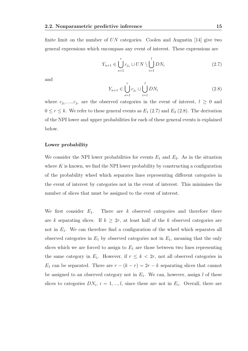finite limit on the number of  $UN$  categories. Coolen and Augustin [14] give two general expressions which encompass any event of interest. These expressions are

$$
Y_{n+1} \in \bigcup_{s=1}^{r} c_{j_s} \cup UN \setminus \bigcup_{i=1}^{l} DN_i
$$
\n(2.7)

and

$$
Y_{n+1} \in \bigcup_{s=1}^{r} c_{j_s} \cup \bigcup_{i=1}^{l} DN_i
$$
 (2.8)

where  $c_{j_1},...,c_{j_r}$  are the observed categories in the event of interest,  $l \geq 0$  and  $0 \le r \le k$ . We refer to these general events as  $E_1$  (2.7) and  $E_2$  (2.8). The derivation of the NPI lower and upper probabilities for each of these general events is explained below.

#### Lower probability

We consider the NPI lower probabilities for events  $E_1$  and  $E_2$ . As in the situation where  $K$  is known, we find the NPI lower probability by constructing a configuration of the probability wheel which separates lines representing different categories in the event of interest by categories not in the event of interest. This minimises the number of slices that must be assigned to the event of interest.

We first consider  $E_1$ . There are k observed categories and therefore there are k separating slices. If  $k \geq 2r$ , at least half of the k observed categories are not in  $E_1$ . We can therefore find a configuration of the wheel which separates all observed categories in  $E_1$  by observed categories not in  $E_1$ , meaning that the only slices which we are forced to assign to  $E_1$  are those between two lines representing the same category in  $E_1$ . However, if  $r \leq k < 2r$ , not all observed categories in  $E_1$  can be separated. There are  $r - (k - r) = 2r - k$  separating slices that cannot be assigned to an observed category not in  $E_1$ . We can, however, assign l of these slices to categories  $DN_i$ ,  $i = 1, ..., l$ , since these are not in  $E_1$ . Overall, there are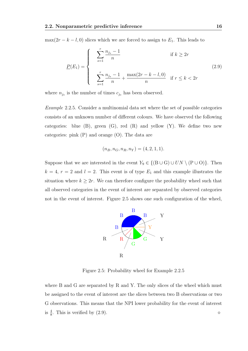$\max(2r - k - l, 0)$  slices which we are forced to assign to  $E_1$ . This leads to

$$
\underline{P}(E_1) = \begin{cases}\n\sum_{s=1}^{r} \frac{n_{j_s} - 1}{n} & \text{if } k \ge 2r \\
\sum_{s=1}^{r} \frac{n_{j_s} - 1}{n} + \frac{\max(2r - k - l, 0)}{n} & \text{if } r \le k < 2r\n\end{cases}
$$
\n(2.9)

where  $n_{j_s}$  is the number of times  $c_{j_s}$  has been observed.

Example 2.2.5. Consider a multinomial data set where the set of possible categories consists of an unknown number of different colours. We have observed the following categories: blue  $(B)$ , green  $(G)$ , red  $(R)$  and yellow  $(Y)$ . We define two new categories: pink (P) and orange (O). The data are

$$
(n_B, n_G, n_R, n_Y) = (4, 2, 1, 1).
$$

Suppose that we are interested in the event  $Y_9 \in \{ (B \cup G) \cup UN \setminus (P \cup O) \}.$  Then  $k = 4, r = 2$  and  $l = 2$ . This event is of type  $E_1$  and this example illustrates the situation where  $k \geq 2r$ . We can therefore configure the probability wheel such that all observed categories in the event of interest are separated by observed categories not in the event of interest. Figure 2.5 shows one such configuration of the wheel,



Figure 2.5: Probability wheel for Example 2.2.5

where B and G are separated by R and Y. The only slices of the wheel which must be assigned to the event of interest are the slices between two B observations or two G observations. This means that the NPI lower probability for the event of interest is  $\frac{4}{8}$ . This is verified by (2.9).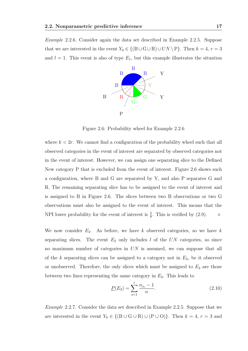Example 2.2.6. Consider again the data set described in Example 2.2.5. Suppose that we are interested in the event  $Y_9 \in \{ (B \cup G \cup R) \cup UN \setminus P \}$ . Then  $k = 4, r = 3$ and  $l = 1$ . This event is also of type  $E_1$ , but this example illustrates the situation



Figure 2.6: Probability wheel for Example 2.2.6

where  $k < 2r$ . We cannot find a configuration of the probability wheel such that all observed categories in the event of interest are separated by observed categories not in the event of interest. However, we can assign one separating slice to the Defined New category P that is excluded from the event of interest. Figure 2.6 shows such a configuration, where B and G are separated by Y, and also P separates G and R. The remaining separating slice has to be assigned to the event of interest and is assigned to B in Figure 2.6. The slices between two B observations or two G observations must also be assigned to the event of interest. This means that the NPI lower probability for the event of interest is  $\frac{5}{8}$ . This is verified by (2.9).  $\diamond$ 

We now consider  $E_2$ . As before, we have k observed categories, so we have k separating slices. The event  $E_2$  only includes l of the UN categories, so since no maximum number of categories in  $UN$  is assumed, we can suppose that all of the k separating slices can be assigned to a category not in  $E_2$ , be it observed or unobserved. Therefore, the only slices which must be assigned to  $E_2$  are those between two lines representing the same category in  $E_2$ . This leads to

$$
\underline{P}(E_2) = \sum_{s=1}^{r} \frac{n_{j_s} - 1}{n}.
$$
\n(2.10)

Example 2.2.7. Consider the data set described in Example 2.2.5. Suppose that we are interested in the event  $Y_9 \in \{ (B \cup G \cup R) \cup (P \cup O) \}$ . Then  $k = 4, r = 3$  and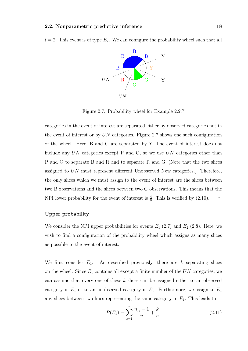$l = 2$ . This event is of type  $E_2$ . We can configure the probability wheel such that all



Figure 2.7: Probability wheel for Example 2.2.7

categories in the event of interest are separated either by observed categories not in the event of interest or by UN categories. Figure 2.7 shows one such configuration of the wheel. Here, B and G are separated by Y. The event of interest does not include any  $UN$  categories except P and O, so we use  $UN$  categories other than P and O to separate B and R and to separate R and G. (Note that the two slices assigned to UN must represent different Unobserved New categories.) Therefore, the only slices which we must assign to the event of interest are the slices between two B observations and the slices between two G observations. This means that the NPI lower probability for the event of interest is  $\frac{4}{8}$ . This is verified by (2.10).  $\diamond$ 

#### Upper probability

We consider the NPI upper probabilities for events  $E_1$  (2.7) and  $E_2$  (2.8). Here, we wish to find a configuration of the probability wheel which assigns as many slices as possible to the event of interest.

We first consider  $E_1$ . As described previously, there are k separating slices on the wheel. Since  $E_1$  contains all except a finite number of the  $UN$  categories, we can assume that every one of these k slices can be assigned either to an observed category in  $E_1$  or to an unobserved category in  $E_1$ . Furthermore, we assign to  $E_1$ any slices between two lines representing the same category in  $E_1$ . This leads to

$$
\overline{P}(E_1) = \sum_{s=1}^{r} \frac{n_{j_s} - 1}{n} + \frac{k}{n}.
$$
\n(2.11)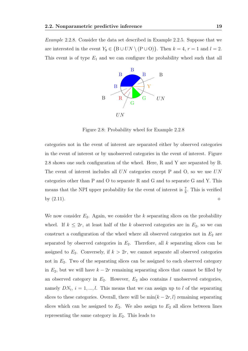Example 2.2.8. Consider the data set described in Example 2.2.5. Suppose that we are interested in the event  $Y_9 \in \{B \cup UN \setminus (P \cup O)\}\$ . Then  $k = 4$ ,  $r = 1$  and  $l = 2$ . This event is of type  $E_1$  and we can configure the probability wheel such that all



Figure 2.8: Probability wheel for Example 2.2.8

categories not in the event of interest are separated either by observed categories in the event of interest or by unobserved categories in the event of interest. Figure 2.8 shows one such configuration of the wheel. Here, R and Y are separated by B. The event of interest includes all  $UN$  categories except P and O, so we use  $UN$ categories other than P and O to separate R and G and to separate G and Y. This means that the NPI upper probability for the event of interest is  $\frac{7}{8}$ . This is verified by  $(2.11)$ .

We now consider  $E_2$ . Again, we consider the k separating slices on the probability wheel. If  $k \leq 2r$ , at least half of the k observed categories are in  $E_2$ , so we can construct a configuration of the wheel where all observed categories not in  $E_2$  are separated by observed categories in  $E_2$ . Therefore, all k separating slices can be assigned to  $E_2$ . Conversely, if  $k > 2r$ , we cannot separate all observed categories not in  $E_2$ . Two of the separating slices can be assigned to each observed category in  $E_2$ , but we will have  $k - 2r$  remaining separating slices that cannot be filled by an observed category in  $E_2$ . However,  $E_2$  also contains l unobserved categories, namely  $DN_i$ ,  $i = 1, ..., l$ . This means that we can assign up to l of the separating slices to these categories. Overall, there will be  $\min(k - 2r, l)$  remaining separating slices which can be assigned to  $E_2$ . We also assign to  $E_2$  all slices between lines representing the same category in  $E_2$ . This leads to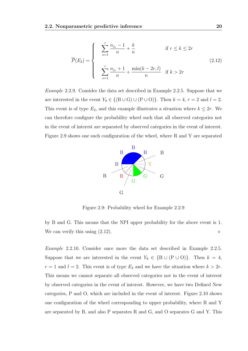$$
\overline{P}(E_2) = \begin{cases}\n\sum_{s=1}^{r} \frac{n_{j_s} - 1}{n} + \frac{k}{n} & \text{if } r \le k \le 2r \\
\sum_{s=1}^{r} \frac{n_{j_s} + 1}{n} + \frac{\min(k - 2r, l)}{n} & \text{if } k > 2r\n\end{cases}
$$
\n(2.12)

Example 2.2.9. Consider the data set described in Example 2.2.5. Suppose that we are interested in the event  $Y_9 \in \{ (B \cup G) \cup (P \cup O) \}$ . Then  $k = 4$ ,  $r = 2$  and  $l = 2$ . This event is of type  $E_2$ , and this example illustrates a situation where  $k \leq 2r$ . We can therefore configure the probability wheel such that all observed categories not in the event of interest are separated by observed categories in the event of interest. Figure 2.9 shows one such configuration of the wheel, where R and Y are separated



Figure 2.9: Probability wheel for Example 2.2.9

by B and G. This means that the NPI upper probability for the above event is 1. We can verify this using  $(2.12)$ .

Example 2.2.10. Consider once more the data set described in Example 2.2.5. Suppose that we are interested in the event  $Y_9 \in \{B \cup (P \cup O)\}\$ . Then  $k = 4$ ,  $r = 1$  and  $l = 2$ . This event is of type  $E_2$  and we have the situation where  $k > 2r$ . This means we cannot separate all observed categories not in the event of interest by observed categories in the event of interest. However, we have two Defined New categories, P and O, which are included in the event of interest. Figure 2.10 shows one configuration of the wheel corresponding to upper probability, where R and Y are separated by B, and also P separates R and G, and O separates G and Y. This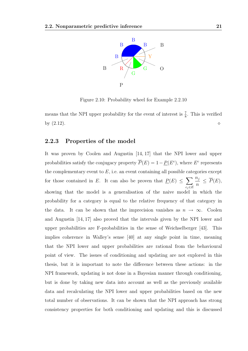

Figure 2.10: Probability wheel for Example 2.2.10

means that the NPI upper probability for the event of interest is  $\frac{7}{8}$ . This is verified by  $(2.12)$ .

#### 2.2.3 Properties of the model

It was proven by Coolen and Augustin [14, 17] that the NPI lower and upper probabilities satisfy the conjugacy property  $\overline{P}(E) = 1 - \underline{P}(E^c)$ , where  $E^c$  represents the complementary event to  $E$ , i.e. an event containing all possible categories except for those contained in E. It can also be proven that  $\underline{P}(E) \leq \sum$  $c_j \in E$  $n_j$ n  $\leq \overline{P}(E),$ showing that the model is a generalisation of the naive model in which the probability for a category is equal to the relative frequency of that category in the data. It can be shown that the imprecision vanishes as  $n \to \infty$ . Coolen and Augustin [14, 17] also proved that the intervals given by the NPI lower and upper probabilities are F-probabilities in the sense of Weichselberger [43]. This implies coherence in Walley's sense [40] at any single point in time, meaning that the NPI lower and upper probabilities are rational from the behavioural point of view. The issues of conditioning and updating are not explored in this thesis, but it is important to note the difference between these actions: in the NPI framework, updating is not done in a Bayesian manner through conditioning, but is done by taking new data into account as well as the previously available data and recalculating the NPI lower and upper probabilities based on the new total number of observations. It can be shown that the NPI approach has strong consistency properties for both conditioning and updating and this is discussed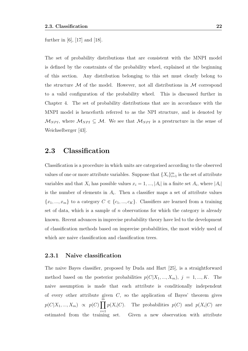further in [6], [17] and [18].

The set of probability distributions that are consistent with the MNPI model is defined by the constraints of the probability wheel, explained at the beginning of this section. Any distribution belonging to this set must clearly belong to the structure  $\mathcal M$  of the model. However, not all distributions in  $\mathcal M$  correspond to a valid configuration of the probability wheel. This is discussed further in Chapter 4. The set of probability distributions that are in accordance with the MNPI model is henceforth referred to as the NPI structure, and is denoted by  $\mathcal{M}_{NPI}$ , where  $\mathcal{M}_{NPI} \subseteq \mathcal{M}$ . We see that  $\mathcal{M}_{NPI}$  is a prestructure in the sense of Weichselberger [43].

### 2.3 Classification

Classification is a procedure in which units are categorised according to the observed values of one or more attribute variables. Suppose that  $\{X_i\}_{i=1}^m$  is the set of attribute variables and that  $X_i$  has possible values  $x_i = 1, ..., |A_i|$  in a finite set  $A_i$ , where  $|A_i|$ is the number of elements in  $A_i$ . Then a classifier maps a set of attribute values  ${x_1, ..., x_m}$  to a category  $C \in {c_1, ..., c_K}$ . Classifiers are learned from a training set of data, which is a sample of  $n$  observations for which the category is already known. Recent advances in imprecise probability theory have led to the development of classification methods based on imprecise probabilities, the most widely used of which are naive classification and classification trees.

#### 2.3.1 Naive classification

The naive Bayes classifier, proposed by Duda and Hart [25], is a straightforward method based on the posterior probabilities  $p(C|X_1, ..., X_m)$ ,  $j = 1, ..., K$ . The naive assumption is made that each attribute is conditionally independent of every other attribute given  $C$ , so the application of Bayes' theorem gives  $p(C|X_1, ..., X_m) \propto p(C) \prod^{\stackrel{m}{m}}$  $i=1$  $p(X_i|C)$ . The probabilities  $p(C)$  and  $p(X_i|C)$  are estimated from the training set. Given a new observation with attribute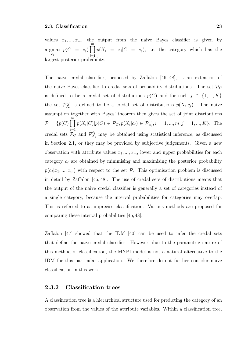values  $x_1, ..., x_m$ , the output from the naive Bayes classifier is given by argmax  $c_j$  $p(C = c_j)$   $\prod_{i=1}^{m} p(X_i = x_i | C = c_j)$ , i.e. the category which has the  $\frac{1}{2}$ largest posterior probability.

The naive credal classifier, proposed by Zaffalon [46, 48], is an extension of the naive Bayes classifier to credal sets of probability distributions. The set  $\mathcal{P}_C$ is defined to be a credal set of distributions  $p(C)$  and for each  $j \in \{1, ..., K\}$ the set  $\mathcal{P}_X^{c_j}$  $x_i^{c_j}$  is defined to be a credal set of distributions  $p(X_i|c_j)$ . The naive assumption together with Bayes' theorem then gives the set of joint distributions  $\mathcal{P} = \{p(C) \prod^{m}$  $i=1$  $p(X_i|C)|p(C) \in \mathcal{P}_C, p(X_i|c_j) \in \mathcal{P}_{X_i}^{c_j}, i = 1, ..., m, j = 1, ..., K$ . The credal sets  $\mathcal{P}_C$  and  $\mathcal{P}_{X_i}^{c_j}$  may be obtained using statistical inference, as discussed in Section 2.1, or they may be provided by subjective judgements. Given a new observation with attribute values  $x_1, ..., x_m$ , lower and upper probabilities for each category  $c_j$  are obtained by minimising and maximising the posterior probability  $p(c_j|x_1, ..., x_m)$  with respect to the set  $P$ . This optimisation problem is discussed in detail by Zaffalon [46, 48]. The use of credal sets of distributions means that the output of the naive credal classifier is generally a set of categories instead of a single category, because the interval probabilities for categories may overlap. This is referred to as imprecise classification. Various methods are proposed for comparing these interval probabilities [46, 48].

Zaffalon [47] showed that the IDM [40] can be used to infer the credal sets that define the naive credal classifier. However, due to the parametric nature of this method of classification, the MNPI model is not a natural alternative to the IDM for this particular application. We therefore do not further consider naive classification in this work.

#### 2.3.2 Classification trees

A classification tree is a hierarchical structure used for predicting the category of an observation from the values of the attribute variables. Within a classification tree,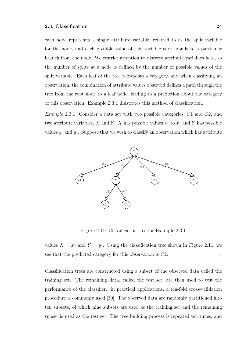each node represents a single attribute variable, referred to as the split variable for the node, and each possible value of this variable corresponds to a particular branch from the node. We restrict attention to discrete attribute variables here, so the number of splits at a node is defined by the number of possible values of the split variable. Each leaf of the tree represents a category, and when classifying an observation, the combination of attribute values observed defines a path through the tree from the root node to a leaf node, leading to a prediction about the category of this observation. Example 2.3.1 illustrates this method of classification.

Example 2.3.1. Consider a data set with two possible categories, C1 and C2, and two attribute variables, X and Y. X has possible values  $x_1$  to  $x_4$  and Y has possible values  $y_1$  and  $y_2$ . Suppose that we wish to classify an observation which has attribute



Figure 2.11: Classification tree for Example 2.3.1

values  $X = x_2$  and  $Y = y_1$ . Using the classification tree shown in Figure 2.11, we see that the predicted category for this observation is  $C2$ .

Classification trees are constructed using a subset of the observed data called the training set. The remaining data, called the test set, are then used to test the performance of the classifier. In practical applications, a ten-fold cross-validation procedure is commonly used [30]. The observed data are randomly partitioned into ten subsets, of which nine subsets are used as the training set and the remaining subset is used as the test set. The tree-building process is repeated ten times, and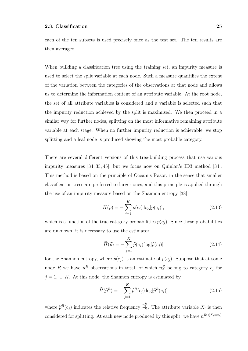each of the ten subsets is used precisely once as the test set. The ten results are then averaged.

When building a classification tree using the training set, an impurity measure is used to select the split variable at each node. Such a measure quantifies the extent of the variation between the categories of the observations at that node and allows us to determine the information content of an attribute variable. At the root node, the set of all attribute variables is considered and a variable is selected such that the impurity reduction achieved by the split is maximised. We then proceed in a similar way for further nodes, splitting on the most informative remaining attribute variable at each stage. When no further impurity reduction is achievable, we stop splitting and a leaf node is produced showing the most probable category.

There are several different versions of this tree-building process that use various impurity measures [34, 35, 45], but we focus now on Quinlan's ID3 method [34]. This method is based on the principle of Occam's Razor, in the sense that smaller classification trees are preferred to larger ones, and this principle is applied through the use of an impurity measure based on the Shannon entropy [38]

$$
H(p) = -\sum_{j=1}^{K} p(c_j) \log[p(c_j)],
$$
\n(2.13)

which is a function of the true category probabilities  $p(c_i)$ . Since these probabilities are unknown, it is necessary to use the estimator

$$
\widehat{H}(\widehat{p}) = -\sum_{j=1}^{K} \widehat{p}(c_j) \log[\widehat{p}(c_j)] \tag{2.14}
$$

for the Shannon entropy, where  $\hat{p}(c_i)$  is an estimate of  $p(c_i)$ . Suppose that at some node R we have  $n^R$  observations in total, of which  $n_j^R$  belong to category  $c_j$  for  $j = 1, ..., K$ . At this node, the Shannon entropy is estimated by

$$
\widehat{H}(\widehat{p}^R) = -\sum_{j=1}^K \widehat{p}^R(c_j) \log[\widehat{p}^R(c_j)] \tag{2.15}
$$

where  $\widehat{p}^R(c_j)$  indicates the relative frequency  $\frac{n_j^R}{n^R}$ . The attribute variable  $X_i$  is then considered for splitting. At each new node produced by this split, we have  $n^{R\cup (X_i=x_i)}$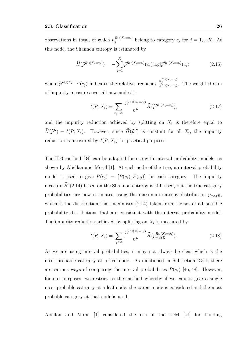observations in total, of which  $n_j^{R\cup(X_i=x_i)}$  belong to category  $c_j$  for  $j=1,...K$ . At this node, the Shannon entropy is estimated by

$$
\widehat{H}(\widehat{p}^{R\cup(X_i=x_i)}) = -\sum_{j=1}^K \widehat{p}^{R\cup(X_i=x_i)}(c_j) \log[\widehat{p}^{R\cup(X_i=x_i)}(c_j)] \tag{2.16}
$$

where  $\widehat{p}^{R\cup (X_i=x_i)}(c_j)$  indicates the relative frequency  $\frac{n_j^{R\cup (X_i=x_i)}}{n^{R\cup (X_i=x_i)}}$  $\frac{n_j}{n^{R\cup (X_i=x_i)}}$ . The weighted sum of impurity measures over all new nodes is

$$
I(R, X_i) = \sum_{x_i \in A_i} \frac{n^{R \cup (X_i = x_i)}}{n^R} \widehat{H}(\widehat{p}^{R \cup (X_i = x_i)}),
$$
\n(2.17)

and the impurity reduction achieved by splitting on  $X_i$  is therefore equal to  $\widehat{H}(\widehat{p}^R) - I(R, X_i)$ . However, since  $\widehat{H}(\widehat{p}^R)$  is constant for all  $X_i$ , the impurity reduction is measured by  $I(R, X_i)$  for practical purposes.

The ID3 method [34] can be adapted for use with interval probability models, as shown by Abellan and Moral [1]. At each node of the tree, an interval probability model is used to give  $P(c_j) = [\underline{P}(c_j), \overline{P}(c_j)]$  for each category. The impurity measure  $\hat{H}$  (2.14) based on the Shannon entropy is still used, but the true category probabilities are now estimated using the maximum entropy distribution  $p_{maxE}$ . which is the distribution that maximises  $(2.14)$  taken from the set of all possible probability distributions that are consistent with the interval probability model. The impurity reduction achieved by splitting on  $X_i$  is measured by

$$
I(R, X_i) = \sum_{x_i \in A_i} \frac{n^{R \cup (X_i = x_i)}}{n^R} \hat{H}(p_{maxE}^{R \cup (X_i = x_i)}).
$$
 (2.18)

As we are using interval probabilities, it may not always be clear which is the most probable category at a leaf node. As mentioned in Subsection 2.3.1, there are various ways of comparing the interval probabilities  $P(c_j)$  [46, 48]. However, for our purposes, we restrict to the method whereby if we cannot give a single most probable category at a leaf node, the parent node is considered and the most probable category at that node is used.

Abellan and Moral [1] considered the use of the IDM [41] for building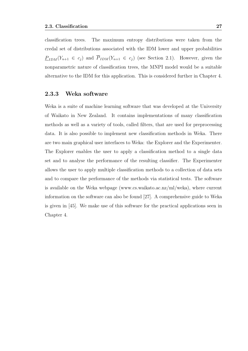classification trees. The maximum entropy distributions were taken from the credal set of distributions associated with the IDM lower and upper probabilities  $\underline{P}_{IDM}(Y_{n+1} \in c_j)$  and  $\overline{P}_{IDM}(Y_{n+1} \in c_j)$  (see Section 2.1). However, given the nonparametric nature of classification trees, the MNPI model would be a suitable alternative to the IDM for this application. This is considered further in Chapter 4.

#### 2.3.3 Weka software

Weka is a suite of machine learning software that was developed at the University of Waikato in New Zealand. It contains implementations of many classification methods as well as a variety of tools, called filters, that are used for preprocessing data. It is also possible to implement new classification methods in Weka. There are two main graphical user interfaces to Weka: the Explorer and the Experimenter. The Explorer enables the user to apply a classification method to a single data set and to analyse the performance of the resulting classifier. The Experimenter allows the user to apply multiple classification methods to a collection of data sets and to compare the performance of the methods via statistical tests. The software is available on the Weka webpage (www.cs.waikato.ac.nz/ml/weka), where current information on the software can also be found [27]. A comprehensive guide to Weka is given in [45]. We make use of this software for the practical applications seen in Chapter 4.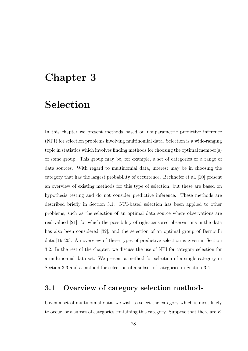## Chapter 3

## Selection

In this chapter we present methods based on nonparametric predictive inference (NPI) for selection problems involving multinomial data. Selection is a wide-ranging topic in statistics which involves finding methods for choosing the optimal member(s) of some group. This group may be, for example, a set of categories or a range of data sources. With regard to multinomial data, interest may be in choosing the category that has the largest probability of occurrence. Bechhofer et al. [10] present an overview of existing methods for this type of selection, but these are based on hypothesis testing and do not consider predictive inference. These methods are described briefly in Section 3.1. NPI-based selection has been applied to other problems, such as the selection of an optimal data source where observations are real-valued [21], for which the possibility of right-censored observations in the data has also been considered [32], and the selection of an optimal group of Bernoulli data [19, 20]. An overview of these types of predictive selection is given in Section 3.2. In the rest of the chapter, we discuss the use of NPI for category selection for a multinomial data set. We present a method for selection of a single category in Section 3.3 and a method for selection of a subset of categories in Section 3.4.

### 3.1 Overview of category selection methods

Given a set of multinomial data, we wish to select the category which is most likely to occur, or a subset of categories containing this category. Suppose that there are K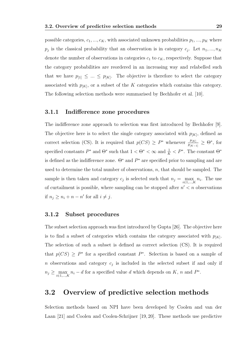possible categories,  $c_1, ..., c_K$ , with associated unknown probabilities  $p_1, ..., p_K$  where  $p_j$  is the classical probability that an observation is in category  $c_j$ . Let  $n_1, ..., n_K$ denote the number of observations in categories  $c_1$  to  $c_K$ , respectively. Suppose that the category probabilities are reordered in an increasing way and relabelled such that we have  $p_{1} \leq ... \leq p_{|K|}$ . The objective is therefore to select the category associated with  $p_{[K]}$ , or a subset of the K categories which contains this category. The following selection methods were summarised by Bechhofer et al. [10].

#### 3.1.1 Indifference zone procedures

The indifference zone approach to selection was first introduced by Bechhofer [9]. The objective here is to select the single category associated with  $p_{[K]}$ , defined as correct selection (CS). It is required that  $p(CS) \geq P^*$  whenever  $\frac{p_{[K]}}{p_{[K-1]}} \geq \Theta^*$ , for specified constants  $P^*$  and  $\Theta^*$  such that  $1 < \Theta^* < \infty$  and  $\frac{1}{K} < P^*$ . The constant  $\Theta^*$ is defined as the indifference zone.  $\Theta^*$  and  $P^*$  are specified prior to sampling and are used to determine the total number of observations,  $n$ , that should be sampled. The sample is then taken and category  $c_j$  is selected such that  $n_j = \max_{i \in 1, ..., K} n_i$ . The use of curtailment is possible, where sampling can be stopped after  $n' < n$  observations if  $n_j \geq n_i + n - n'$  for all  $i \neq j$ .

#### 3.1.2 Subset procedures

The subset selection approach was first introduced by Gupta [26]. The objective here is to find a subset of categories which contains the category associated with  $p_{[K]}$ . The selection of such a subset is defined as correct selection (CS). It is required that  $p(CS) \geq P^*$  for a specified constant  $P^*$ . Selection is based on a sample of n observations and category  $c_j$  is included in the selected subset if and only if  $n_j \geq \max_{i \in 1,\dots,K} n_i - d$  for a specified value d which depends on K, n and P<sup>\*</sup>.

### 3.2 Overview of predictive selection methods

Selection methods based on NPI have been developed by Coolen and van der Laan [21] and Coolen and Coolen-Schrijner [19, 20]. These methods use predictive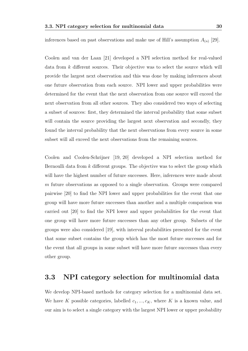inferences based on past observations and make use of Hill's assumption  $A_{(n)}$  [29].

Coolen and van der Laan [21] developed a NPI selection method for real-valued data from k different sources. Their objective was to select the source which will provide the largest next observation and this was done by making inferences about one future observation from each source. NPI lower and upper probabilities were determined for the event that the next observation from one source will exceed the next observation from all other sources. They also considered two ways of selecting a subset of sources: first, they determined the interval probability that some subset will contain the source providing the largest next observation and secondly, they found the interval probability that the next observations from every source in some subset will all exceed the next observations from the remaining sources.

Coolen and Coolen-Schrijner [19, 20] developed a NPI selection method for Bernoulli data from  $k$  different groups. The objective was to select the group which will have the highest number of future successes. Here, inferences were made about m future observations as opposed to a single observation. Groups were compared pairwise [20] to find the NPI lower and upper probabilities for the event that one group will have more future successes than another and a multiple comparison was carried out [20] to find the NPI lower and upper probabilities for the event that one group will have more future successes than any other group. Subsets of the groups were also considered [19], with interval probabilities presented for the event that some subset contains the group which has the most future successes and for the event that all groups in some subset will have more future successes than every other group.

## 3.3 NPI category selection for multinomial data

We develop NPI-based methods for category selection for a multinomial data set. We have K possible categories, labelled  $c_1, ..., c_K$ , where K is a known value, and our aim is to select a single category with the largest NPI lower or upper probability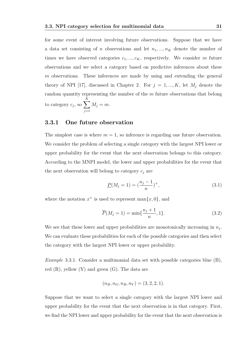for some event of interest involving future observations. Suppose that we have a data set consisting of n observations and let  $n_1, ..., n_K$  denote the number of times we have observed categories  $c_1, ..., c_K$ , respectively. We consider m future observations and we select a category based on predictive inferences about these m observations. These inferences are made by using and extending the general theory of NPI [17], discussed in Chapter 2. For  $j = 1, ..., K$ , let  $M_j$  denote the random quantity representing the number of the  $m$  future observations that belong to category  $c_j$ , so  $\sum$ K  $j=1$  $M_j = m$ .

#### 3.3.1 One future observation

The simplest case is where  $m = 1$ , so inference is regarding one future observation. We consider the problem of selecting a single category with the largest NPI lower or upper probability for the event that the next observation belongs to this category. According to the MNPI model, the lower and upper probabilities for the event that the next observation will belong to category  $c_j$  are

$$
\underline{P}(M_j = 1) = \left(\frac{n_j - 1}{n}\right)^+, \tag{3.1}
$$

where the notation  $x^+$  is used to represent max $\{x, 0\}$ , and

$$
\overline{P}(M_j = 1) = \min\{\frac{n_j + 1}{n}, 1\}.
$$
\n(3.2)

We see that these lower and upper probabilities are monotonically increasing in  $n_j$ . We can evaluate these probabilities for each of the possible categories and then select the category with the largest NPI lower or upper probability.

Example 3.3.1. Consider a multinomial data set with possible categories blue (B), red  $(R)$ , yellow  $(Y)$  and green  $(G)$ . The data are

$$
(n_B, n_G, n_R, n_Y) = (3, 2, 2, 1).
$$

Suppose that we want to select a single category with the largest NPI lower and upper probability for the event that the next observation is in that category. First, we find the NPI lower and upper probability for the event that the next observation is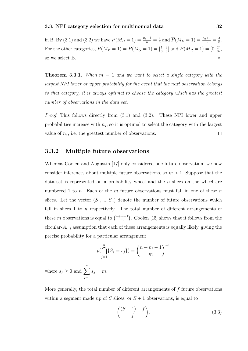in B. By (3.1) and (3.2) we have  $\underline{P}(M_B = 1) = \frac{n_j - 1}{n} = \frac{2}{8}$  $\frac{2}{8}$  and  $\overline{P}(M_B = 1) = \frac{n_j+1}{n} = \frac{4}{8}$  $\frac{4}{8}$ . For the other categories,  $P(M_Y = 1) = P(M_G = 1) = \left[\frac{1}{8}, \frac{3}{8}\right]$  $\frac{3}{8}$ ] and  $P(M_R = 1) = [0, \frac{2}{8}]$  $\frac{2}{8}$ , so we select B.

**Theorem 3.3.1.** When  $m = 1$  and we want to select a single category with the largest NPI lower or upper probability for the event that the next observation belongs to that category, it is always optimal to choose the category which has the greatest number of observations in the data set.

Proof. This follows directly from (3.1) and (3.2). These NPI lower and upper probabilities increase with  $n_j$ , so it is optimal to select the category with the largest value of  $n_j$ , i.e. the greatest number of observations.  $\Box$ 

#### 3.3.2 Multiple future observations

Whereas Coolen and Augustin [17] only considered one future observation, we now consider inferences about multiple future observations, so  $m > 1$ . Suppose that the data set is represented on a probability wheel and the  $n$  slices on the wheel are numbered 1 to n. Each of the m future observations must fall in one of these n slices. Let the vector  $(S_1, ..., S_n)$  denote the number of future observations which fall in slices  $1$  to  $n$  respectively. The total number of different arrangements of these m observations is equal to  $\binom{n+m-1}{m}$  $_{m}^{m-1}$ ). Coolen [15] shows that it follows from the circular- $A_{(n)}$  assumption that each of these arrangements is equally likely, giving the precise probability for a particular arrangement

$$
p(\bigcap_{j=1}^{n} \{S_j = s_j\}) = {n+m-1 \choose m}^{-1}
$$

where  $s_j \geq 0$  and  $\sum_{n=1}^n$  $j=1$  $s_j = m$ .

More generally, the total number of different arrangements of  $f$  future observations within a segment made up of S slices, or  $S + 1$  observations, is equal to

$$
\binom{(S-1)+f}{f}.\tag{3.3}
$$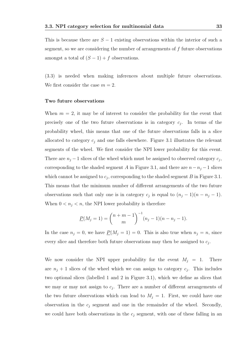This is because there are  $S - 1$  existing observations within the interior of such a segment, so we are considering the number of arrangements of  $f$  future observations amongst a total of  $(S-1) + f$  observations.

(3.3) is needed when making inferences about multiple future observations. We first consider the case  $m = 2$ .

#### Two future observations

When  $m = 2$ , it may be of interest to consider the probability for the event that precisely one of the two future observations is in category  $c_j$ . In terms of the probability wheel, this means that one of the future observations falls in a slice allocated to category  $c_j$  and one falls elsewhere. Figure 3.1 illustrates the relevant segments of the wheel. We first consider the NPI lower probability for this event. There are  $n_j - 1$  slices of the wheel which must be assigned to observed category  $c_j$ , corresponding to the shaded segment A in Figure 3.1, and there are  $n - n_j - 1$  slices which cannot be assigned to  $c_j$ , corresponding to the shaded segment B in Figure 3.1. This means that the minimum number of different arrangements of the two future observations such that only one is in category  $c_j$  is equal to  $(n_j - 1)(n - n_j - 1)$ . When  $0 < n_j < n$ , the NPI lower probability is therefore

$$
\underline{P}(M_j = 1) = {n+m-1 \choose m}^{-1} (n_j - 1)(n - n_j - 1).
$$

In the case  $n_j = 0$ , we have  $\underline{P}(M_j = 1) = 0$ . This is also true when  $n_j = n$ , since every slice and therefore both future observations may then be assigned to  $c_j$ .

We now consider the NPI upper probability for the event  $M_j = 1$ . There are  $n_j + 1$  slices of the wheel which we can assign to category  $c_j$ . This includes two optional slices (labelled 1 and 2 in Figure 3.1), which we define as slices that we may or may not assign to  $c_j$ . There are a number of different arrangements of the two future observations which can lead to  $M_j = 1$ . First, we could have one observation in the  $c_j$  segment and one in the remainder of the wheel. Secondly, we could have both observations in the  $c_i$  segment, with one of these falling in an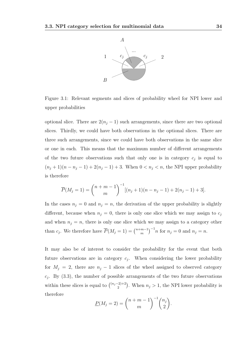

Figure 3.1: Relevant segments and slices of probability wheel for NPI lower and upper probabilities

optional slice. There are  $2(n_j - 1)$  such arrangements, since there are two optional slices. Thirdly, we could have both observations in the optional slices. There are three such arrangements, since we could have both observations in the same slice or one in each. This means that the maximum number of different arrangements of the two future observations such that only one is in category  $c_j$  is equal to  $(n_j + 1)(n - n_j - 1) + 2(n_j - 1) + 3$ . When  $0 < n_j < n$ , the NPI upper probability is therefore

$$
\overline{P}(M_j = 1) = {n+m-1 \choose m}^{-1} [(n_j+1)(n-n_j-1)+2(n_j-1)+3].
$$

In the cases  $n_j = 0$  and  $n_j = n$ , the derivation of the upper probability is slightly different, because when  $n_j = 0$ , there is only one slice which we may assign to  $c_j$ and when  $n_i = n$ , there is only one slice which we may assign to a category other than  $c_j$ . We therefore have  $\overline{P}(M_j = 1) = \binom{n+m-1}{m}$  $\binom{m-1}{m}^{-1}n$  for  $n_j = 0$  and  $n_j = n$ .

It may also be of interest to consider the probability for the event that both future observations are in category  $c_j$ . When considering the lower probability for  $M_j = 2$ , there are  $n_j - 1$  slices of the wheel assigned to observed category  $c_j$ . By (3.3), the number of possible arrangements of the two future observations within these slices is equal to  $\binom{(n_j-2)+2}{2}$  $\binom{2+2}{2}$ . When  $n_j > 1$ , the NPI lower probability is therefore

$$
\underline{P}(M_j = 2) = {n + m - 1 \choose m}^{-1} {n_j \choose 2}.
$$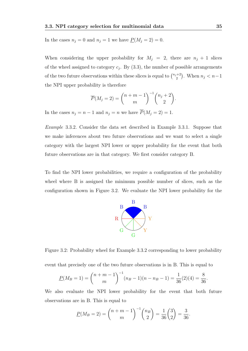In the cases  $n_j = 0$  and  $n_j = 1$  we have  $\underline{P}(M_j = 2) = 0$ .

When considering the upper probability for  $M_j = 2$ , there are  $n_j + 1$  slices of the wheel assigned to category  $c_j$ . By  $(3.3)$ , the number of possible arrangements of the two future observations within these slices is equal to  $\binom{n_j+2}{2}$  $\binom{n+2}{2}$ . When  $n_j < n-1$ the NPI upper probability is therefore

$$
\overline{P}(M_j=2) = {n+m-1 \choose m}^{-1} {n_j+2 \choose 2}.
$$

In the cases  $n_j = n - 1$  and  $n_j = n$  we have  $\overline{P}(M_j = 2) = 1$ .

Example 3.3.2. Consider the data set described in Example 3.3.1. Suppose that we make inferences about two future observations and we want to select a single category with the largest NPI lower or upper probability for the event that both future observations are in that category. We first consider category B.

To find the NPI lower probabilities, we require a configuration of the probability wheel where B is assigned the minimum possible number of slices, such as the configuration shown in Figure 3.2. We evaluate the NPI lower probability for the



Figure 3.2: Probability wheel for Example 3.3.2 corresponding to lower probability event that precisely one of the two future observations is in B. This is equal to

$$
\underline{P}(M_B=1) = \binom{n+m-1}{m}^{-1} (n_B-1)(n-n_B-1) = \frac{1}{36}(2)(4) = \frac{8}{36}.
$$

We also evaluate the NPI lower probability for the event that both future observations are in B. This is equal to

$$
\underline{P}(M_B = 2) = {n + m - 1 \choose m}^{-1} {n_B \choose 2} = \frac{1}{36} {3 \choose 2} = \frac{3}{36}.
$$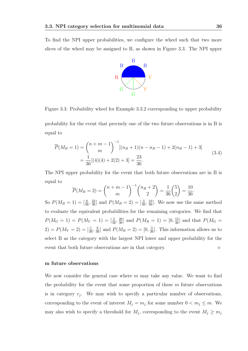To find the NPI upper probabilities, we configure the wheel such that two more slices of the wheel may be assigned to B, as shown in Figure 3.3. The NPI upper



Figure 3.3: Probability wheel for Example 3.3.2 corresponding to upper probability

probability for the event that precisely one of the two future observations is in B is equal to

$$
\overline{P}(M_B = 1) = {n + m - 1 \choose m}^{-1} [(n_B + 1)(n - n_B - 1) + 2(n_B - 1) + 3]
$$
  
=  $\frac{1}{36}[(4)(4) + 2(2) + 3] = \frac{23}{36}.$  (3.4)

The NPI upper probability for the event that both future observations are in B is equal to

$$
\overline{P}(M_B = 2) = {n+m-1 \choose m}^{-1} {n_B + 2 \choose 2} = \frac{1}{36} {5 \choose 2} = \frac{10}{36}.
$$

So  $P(M_B = 1) = \left[\frac{8}{36}, \frac{23}{36}\right]$  and  $P(M_B = 2) = \left[\frac{3}{36}, \frac{10}{36}\right]$ . We now use the same method to evaluate the equivalent probabilities for the remaining categories. We find that  $P(M_G = 1) = P(M_Y = 1) = \left[\frac{5}{36}, \frac{20}{36}\right]$  and  $P(M_R = 1) = \left[0, \frac{15}{36}\right]$  and that  $P(M_G = 1)$  $(2) = P(M_Y = 2) = \left[\frac{1}{36}, \frac{6}{36}\right]$  and  $P(M_R = 2) = \left[0, \frac{3}{36}\right]$ . This information allows us to select B as the category with the largest NPI lower and upper probability for the event that both future observations are in that category.

#### m future observations

We now consider the general case where  $m$  may take any value. We want to find the probability for the event that some proportion of these  $m$  future observations is in category  $c_j$ . We may wish to specify a particular number of observations, corresponding to the event of interest  $M_j = m_j$  for some number  $0 < m_j \le m$ . We may also wish to specify a threshold for  $M_j$ , corresponding to the event  $M_j \geq m_j$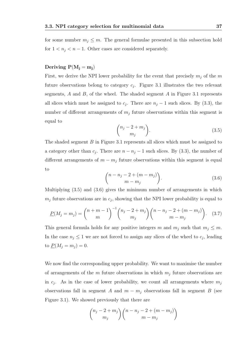for some number  $m_j \leq m$ . The general formulae presented in this subsection hold for  $1 < n_j < n - 1$ . Other cases are considered separately.

#### Deriving  $P(M_i = m_i)$

First, we derive the NPI lower probability for the event that precisely  $m_i$  of the m future observations belong to category  $c_j$ . Figure 3.1 illustrates the two relevant segments,  $A$  and  $B$ , of the wheel. The shaded segment  $A$  in Figure 3.1 represents all slices which must be assigned to  $c_j$ . There are  $n_j - 1$  such slices. By (3.3), the number of different arrangements of  $m_j$  future observations within this segment is equal to

$$
\binom{n_j - 2 + m_j}{m_j}.\tag{3.5}
$$

The shaded segment B in Figure 3.1 represents all slices which must be assigned to a category other than  $c_j$ . There are  $n - n_j - 1$  such slices. By (3.3), the number of different arrangements of  $m - m_j$  future observations within this segment is equal to

$$
\binom{n-n_j-2+(m-m_j)}{m-m_j}.\tag{3.6}
$$

Multiplying (3.5) and (3.6) gives the minimum number of arrangements in which  $m_j$  future observations are in  $c_j$ , showing that the NPI lower probability is equal to

$$
\underline{P}(M_j = m_j) = \binom{n+m-1}{m}^{-1} \binom{n_j - 2 + m_j}{m_j} \binom{n - n_j - 2 + (m - m_j)}{m - m_j}.
$$
 (3.7)

This general formula holds for any positive integers m and  $m_j$  such that  $m_j \leq m$ . In the case  $n_j \leq 1$  we are not forced to assign any slices of the wheel to  $c_j$ , leading to  $\underline{P}(M_j = m_j) = 0.$ 

We now find the corresponding upper probability. We want to maximise the number of arrangements of the  $m$  future observations in which  $m_j$  future observations are in  $c_j$ . As in the case of lower probability, we count all arrangements where  $m_j$ observations fall in segment A and  $m - m<sub>j</sub>$  observations fall in segment B (see Figure 3.1). We showed previously that there are

$$
\binom{n_j-2+m_j}{m_j} \binom{n-n_j-2+(m-m_j)}{m-m_j}
$$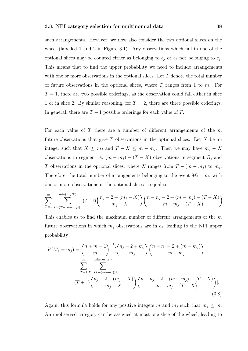such arrangements. However, we now also consider the two optional slices on the wheel (labelled 1 and 2 in Figure 3.1). Any observations which fall in one of the optional slices may be counted either as belonging to  $c_j$  or as not belonging to  $c_j$ . This means that to find the upper probability we need to include arrangements with one or more observations in the optional slices. Let  $T$  denote the total number of future observations in the optional slices, where  $T$  ranges from 1 to  $m$ . For  $T = 1$ , there are two possible orderings, as the observation could fall either in slice 1 or in slice 2. By similar reasoning, for  $T = 2$ , there are three possible orderings. In general, there are  $T + 1$  possible orderings for each value of T.

For each value of  $T$  there are a number of different arrangements of the  $m$ future observations that give  $T$  observations in the optional slices. Let  $X$  be an integer such that  $X \leq m_j$  and  $T - X \leq m - m_j$ . Then we may have  $m_j - X$ observations in segment A,  $(m - m_j) - (T - X)$  observations in segment B, and T observations in the optional slices, where X ranges from  $T - (m - m_j)$  to  $m_j$ . Therefore, the total number of arrangements belonging to the event  $M_j = m_j$  with one or more observations in the optional slices is equal to

$$
\sum_{T=1}^{m} \sum_{X=(T-(m-m_j))^+}^{\min\{m_j, T\}} (T+1) \binom{n_j-2+(m_j-X)}{m_j-X} \binom{n-n_j-2+(m-m_j)-(T-X)}{m-m_j-(T-X)}.
$$

This enables us to find the maximum number of different arrangements of the  $m$ future observations in which  $m_j$  observations are in  $c_j$ , leading to the NPI upper probability

$$
\overline{P}(M_j = m_j) = {n + m - 1 \choose m}^{-1} \left[ {n_j - 2 + m_j \choose m_j} \binom{n - n_j - 2 + (m - m_j)}{m - m_j} + \sum_{T=1}^m \sum_{\substack{X = (T - (m - m_j)) + \\ \vdots \\ X = (T + 1) \binom{n_j - 2 + (m_j - X)}{m_j - X}} \binom{n - n_j - 2 + (m - m_j) - (T - X)}{m - m_j - (T - X)} \right].
$$
\n(3.8)

Again, this formula holds for any positive integers m and  $m_j$  such that  $m_j \leq m$ . An unobserved category can be assigned at most one slice of the wheel, leading to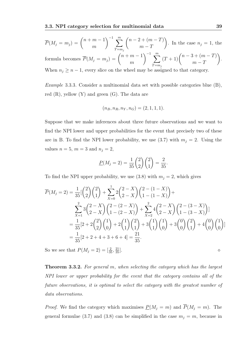red  $(R)$ , yellow  $(Y)$  and green  $(G)$ . The data are

$$
\overline{P}(M_j = m_j) = {n+m-1 \choose m}^{-1} \sum_{T=m_j}^{m} {n-2+(m-T) \choose m-T}.
$$
 In the case  $n_j = 1$ , the formula becomes  $\overline{P}(M_j = m_j) = {n+m-1 \choose m}^{-1} \sum_{T=m_j}^{m} (T+1) {n-3+(m-T) \choose m-T}.$   
When  $n_j \ge n-1$ , every slice on the wheel may be assigned to that category.

Example 3.3.3. Consider a multinomial data set with possible categories blue (B),

$$
f_{\rm{max}}
$$

$$
(n_B, n_R, n_Y, n_G) = (2, 1, 1, 1).
$$

Suppose that we make inferences about three future observations and we want to find the NPI lower and upper probabilities for the event that precisely two of these are in B. To find the NPI lower probability, we use  $(3.7)$  with  $m_j = 2$ . Using the values  $n = 5$ ,  $m = 3$  and  $n_j = 2$ ,

$$
\underline{P}(M_j = 2) = \frac{1}{35} \binom{2}{2} \binom{2}{1} = \frac{2}{35}.
$$

To find the NPI upper probability, we use (3.8) with  $m_j = 2$ , which gives

$$
\overline{P}(M_j = 2) = \frac{1}{35} \left[ \binom{2}{2} \binom{2}{1} + \sum_{X=0}^{1} 2 \binom{2-X}{2-X} \binom{2-(1-X)}{1-(1-X)} \right] +
$$
\n
$$
\sum_{X=1}^{2} 3 \binom{2-X}{2-X} \binom{2-(2-X)}{1-(2-X)} + \sum_{X=2}^{2} 4 \binom{2-X}{2-X} \binom{2-(3-X)}{1-(3-X)} \right]
$$
\n
$$
= \frac{1}{35} \left[ 2 + 2 \binom{2}{2} \binom{1}{0} + 2 \binom{1}{1} \binom{2}{1} + 3 \binom{1}{1} \binom{1}{0} + 3 \binom{0}{0} \binom{2}{1} + 4 \binom{0}{0} \binom{1}{0} \right]
$$
\n
$$
= \frac{1}{35} \left[ 2 + 2 + 4 + 3 + 6 + 4 \right] = \frac{21}{35}.
$$

So we see that  $P(M_j = 2) = \left[\frac{2}{35}, \frac{21}{35}\right]$  $\frac{21}{35}$ .

Theorem 3.3.2. For general m, when selecting the category which has the largest NPI lower or upper probability for the event that the category contains all of the future observations, it is optimal to select the category with the greatest number of data observations.

*Proof.* We find the category which maximises  $\underline{P}(M_j = m)$  and  $\overline{P}(M_j = m)$ . The general formulae (3.7) and (3.8) can be simplified in the case  $m_j = m$ , because in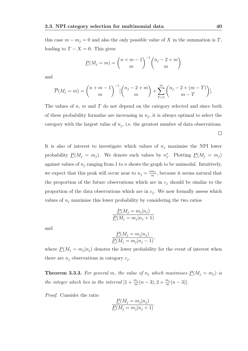this case  $m - m_j = 0$  and also the only possible value of X in the summation is T, leading to  $T - X = 0$ . This gives

$$
\underline{P}(M_j = m) = {n + m - 1 \choose m}^{-1} {n_j - 2 + m \choose m}
$$

and

$$
\overline{P}(M_j = m) = {n+m-1 \choose m}^{-1} \left[ {n_j - 2 + m \choose m} + \sum_{T=1}^{m} {n_j - 2 + (m-T) \choose m-T} \right].
$$

The values of  $n, m$  and  $T$  do not depend on the category selected and since both of these probability formulae are increasing in  $n_j$ , it is always optimal to select the category with the largest value of  $n_j$ , i.e. the greatest number of data observations.  $\Box$ 

It is also of interest to investigate which values of  $n_j$  maximise the NPI lower probability  $\underline{P}(M_j = m_j)$ . We denote such values by  $n_j^*$ . Plotting  $\underline{P}(M_j = m_j)$ against values of  $n_j$  ranging from 1 to n shows the graph to be unimodal. Intuitively, we expect that this peak will occur near to  $n_j = \frac{nm_j}{m}$  $\frac{m_j}{m}$ , because it seems natural that the proportion of the future observations which are in  $c_j$  should be similar to the proportion of the data observations which are in  $c_j$ . We now formally assess which values of  $n_i$  maximise this lower probability by considering the two ratios

$$
\frac{P(M_j = m_j | n_j)}{P(M_j = m_j | n_j + 1)}
$$

and

$$
\frac{P(M_j = m_j | n_j)}{P(M_j = m_j | n_j - 1)},
$$

where  $P(M_j = m_j | n_j)$  denotes the lower probability for the event of interest when there are  $n_j$  observations in category  $c_j$ .

**Theorem 3.3.3.** For general m, the value of  $n_j$  which maximises  $\underline{P}(M_j = m_j)$  is the integer which lies in the interval  $[1+\frac{m_j}{m}(n-3), 2+\frac{m_j}{m}(n-3)].$ 

Proof. Consider the ratio

$$
\frac{P(M_j = m_j | n_j)}{P(M_j = m_j | n_j + 1)}.
$$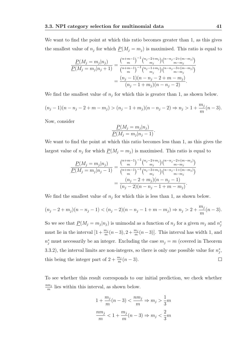We want to find the point at which this ratio becomes greater than 1, as this gives the smallest value of  $n_j$  for which  $\underline{P}(M_j = m_j)$  is maximised. This ratio is equal to

$$
\frac{P(M_j = m_j | n_j)}{P(M_j = m_j | n_j + 1)} = \frac{\binom{n+m-1}{m}^{-1} \binom{n_j - 2 + m_j}{m_j} \binom{n-n_j - 2 + (m-m_j)}{m - m_j}}{\binom{n+m-1}{m}^{-1} \binom{n_j - 1 + m_j}{m_j} \binom{n-n_j - 3 + (m-m_j)}{m - m_j}} = \frac{(n_j - 1)(n - n_j - 2 + m - m_j)}{(n_j - 1 + m_j)(n - n_j - 2)}.
$$

We find the smallest value of  $n_j$  for which this is greater than 1, as shown below.

$$
(n_j - 1)(n - n_j - 2 + m - m_j) > (n_j - 1 + m_j)(n - n_j - 2) \Rightarrow n_j > 1 + \frac{m_j}{m}(n - 3).
$$

Now, consider

$$
\frac{P(M_j = m_j | n_j)}{P(M_j = m_j | n_j - 1)}.
$$

We want to find the point at which this ratio becomes less than 1, as this gives the largest value of  $n_j$  for which  $\underline{P}(M_j = m_j)$  is maximised. This ratio is equal to

$$
\frac{P(M_j = m_j | n_j)}{P(M_j = m_j | n_j - 1)} = \frac{\binom{n+m-1}{m} \binom{n_j - 2 + m_j}{m_j} \binom{n-n_j - 2 + (m-m_j)}{m-m_j}}{\binom{n+m-1}{m} \binom{n_j - 3 + m_j}{m_j} \binom{n-n_j - 1 + (m-m_j)}{m-m_j}} = \frac{(n_j - 2 + m_j)(n - n_j - 1)}{(n_j - 2)(n - n_j - 1 + m - m_j)}.
$$

We find the smallest value of  $n_j$  for which this is less than 1, as shown below.

$$
(n_j - 2 + m_j)(n - n_j - 1) < (n_j - 2)(n - n_j - 1 + m - m_j) \Rightarrow n_j > 2 + \frac{m_j}{m}(n - 3).
$$

So we see that  $P(M_j = m_j | n_j)$  is unimodal as a function of  $n_j$  for a given  $m_j$  and  $n_j^*$ must lie in the interval  $[1 + \frac{m_j}{m}(n-3), 2 + \frac{m_j}{m}(n-3)]$ . This interval has width 1, and  $n_j^*$  must necessarily be an integer. Excluding the case  $m_j = m$  (covered in Theorem 3.3.2), the interval limits are non-integers, so there is only one possible value for  $n_j^*$ , this being the integer part of  $2 + \frac{m_j}{m}(n-3)$ .  $\Box$ 

To see whether this result corresponds to our initial prediction, we check whether  $nm_j$  $\frac{m_j}{m}$  lies within this interval, as shown below.

$$
1 + \frac{m_j}{m}(n-3) < \frac{n m_j}{m} \Rightarrow m_j > \frac{1}{3}m
$$
\n
$$
\frac{n m_j}{m} < 1 + \frac{m_j}{m}(n-3) \Rightarrow m_j < \frac{2}{3}m
$$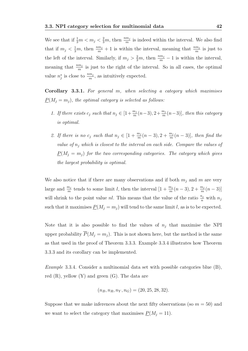We see that if  $\frac{1}{3}m < m_j < \frac{2}{3}m$ , then  $\frac{nm_j}{m}$  is indeed within the interval. We also find that if  $m_j < \frac{1}{3}m$ , then  $\frac{nm_j}{m} + 1$  is within the interval, meaning that  $\frac{nm_j}{m}$  is just to the left of the interval. Similarly, if  $m_j > \frac{2}{3}m$ , then  $\frac{nm_j}{m} - 1$  is within the interval, meaning that  $\frac{nm_j}{m}$  is just to the right of the interval. So in all cases, the optimal value  $n_j^*$  is close to  $\frac{nm_j}{m}$ , as intuitively expected.

Corollary 3.3.1. For general m, when selecting a category which maximises  $\underline{P}(M_j = m_j)$ , the optimal category is selected as follows:

- 1. If there exists  $c_j$  such that  $n_j \in [1 + \frac{m_j}{m}(n-3), 2 + \frac{m_j}{m}(n-3)]$ , then this category is optimal.
- 2. If there is no  $c_j$  such that  $n_j \in [1 + \frac{m_j}{m}(n-3), 2 + \frac{m_j}{m}(n-3)]$ , then find the value of  $n_j$  which is closest to the interval on each side. Compare the values of  $P(M_i = m_i)$  for the two corresponding categories. The category which gives the largest probability is optimal.

We also notice that if there are many observations and if both  $m_i$  and m are very large and  $\frac{m_j}{m}$  tends to some limit l, then the interval  $[1 + \frac{m_j}{m}(n-3), 2 + \frac{m_j}{m}(n-3)]$ will shrink to the point value *nl*. This means that the value of the ratio  $\frac{n_j}{n}$  with  $n_j$ such that it maximises  $P(M_i = m_i)$  will tend to the same limit l, as is to be expected.

Note that it is also possible to find the values of  $n_i$  that maximise the NPI upper probability  $\overline{P}(M_i = m_i)$ . This is not shown here, but the method is the same as that used in the proof of Theorem 3.3.3. Example 3.3.4 illustrates how Theorem 3.3.3 and its corollary can be implemented.

Example 3.3.4. Consider a multinomial data set with possible categories blue (B), red  $(R)$ , yellow  $(Y)$  and green  $(G)$ . The data are

$$
(n_B, n_R, n_Y, n_G) = (20, 25, 28, 32).
$$

Suppose that we make inferences about the next fifty observations (so  $m = 50$ ) and we want to select the category that maximises  $\underline{P}(M_j = 11)$ .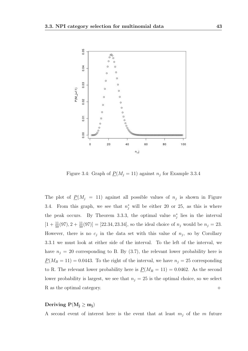

Figure 3.4: Graph of  $\underline{P}(M_j = 11)$  against  $n_j$  for Example 3.3.4

The plot of  $\underline{P}(M_j = 11)$  against all possible values of  $n_j$  is shown in Figure 3.4. From this graph, we see that  $n_j^*$  will be either 20 or 25, as this is where the peak occurs. By Theorem 3.3.3, the optimal value  $n_j^*$  lies in the interval  $[1+\frac{11}{50}(97), 2+\frac{11}{50}(97)] = [22.34, 23.34]$ , so the ideal choice of  $n_j$  would be  $n_j = 23$ . However, there is no  $c_j$  in the data set with this value of  $n_j$ , so by Corollary 3.3.1 we must look at either side of the interval. To the left of the interval, we have  $n_j = 20$  corresponding to B. By (3.7), the relevant lower probability here is  $\underline{P}(M_B = 11) = 0.0443$ . To the right of the interval, we have  $n_j = 25$  corresponding to R. The relevant lower probability here is  $\underline{P}(M_R = 11) = 0.0462$ . As the second lower probability is largest, we see that  $n_j = 25$  is the optimal choice, so we select R as the optimal category.

#### Deriving  $P(M_j \ge m_j)$

A second event of interest here is the event that at least  $m_j$  of the m future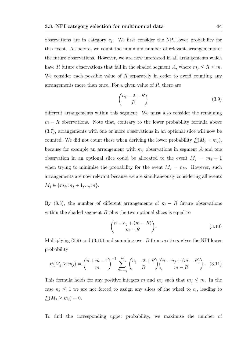observations are in category  $c_j$ . We first consider the NPI lower probability for this event. As before, we count the minimum number of relevant arrangements of the future observations. However, we are now interested in all arrangements which have R future observations that fall in the shaded segment A, where  $m_j \leq R \leq m$ . We consider each possible value of  $R$  separately in order to avoid counting any arrangements more than once. For a given value of  $R$ , there are

$$
\binom{n_j - 2 + R}{R} \tag{3.9}
$$

different arrangements within this segment. We must also consider the remaining  $m - R$  observations. Note that, contrary to the lower probability formula above (3.7), arrangements with one or more observations in an optional slice will now be counted. We did not count these when deriving the lower probability  $\underline{P}(M_j = m_j)$ , because for example an arrangement with  $m_i$  observations in segment A and one observation in an optional slice could be allocated to the event  $M_j = m_j + 1$ when trying to minimise the probability for the event  $M_j = m_j$ . However, such arrangements are now relevant because we are simultaneously considering all events  $M_j \in \{m_j, m_j + 1, ..., m\}.$ 

By (3.3), the number of different arrangements of  $m - R$  future observations within the shaded segment  $B$  plus the two optional slices is equal to

$$
\binom{n-n_j+(m-R)}{m-R}.\tag{3.10}
$$

Multiplying (3.9) and (3.10) and summing over R from  $m_j$  to m gives the NPI lower probability

$$
\underline{P}(M_j \ge m_j) = {n+m-1 \choose m}^{-1} \sum_{R=m_j}^{m} {n_j - 2 + R \choose R} {n - n_j + (m-R) \choose m-R}.
$$
 (3.11)

This formula holds for any positive integers m and  $m_j$  such that  $m_j \leq m$ . In the case  $n_j \leq 1$  we are not forced to assign any slices of the wheel to  $c_j$ , leading to  $\underline{P}(M_j \geq m_j) = 0.$ 

To find the corresponding upper probability, we maximise the number of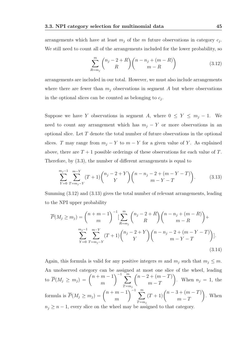arrangements which have at least  $m_j$  of the m future observations in category  $c_j$ . We still need to count all of the arrangements included for the lower probability, so

$$
\sum_{R=m_j}^{m} {n_j - 2 + R \choose R} {n - n_j + (m - R) \choose m - R}
$$
 (3.12)

arrangements are included in our total. However, we must also include arrangements where there are fewer than  $m_i$  observations in segment A but where observations in the optional slices can be counted as belonging to  $c_j$ .

Suppose we have Y observations in segment A, where  $0 \le Y \le m_j - 1$ . We need to count any arrangement which has  $m_i - Y$  or more observations in an optional slice. Let T denote the total number of future observations in the optional slices. T may range from  $m_j - Y$  to  $m - Y$  for a given value of Y. As explained above, there are  $T + 1$  possible orderings of these observations for each value of T. Therefore, by (3.3), the number of different arrangements is equal to

$$
\sum_{Y=0}^{m_j-1} \sum_{T=m_j-Y}^{m-Y} (T+1) \binom{n_j-2+Y}{Y} \binom{n-n_j-2+(m-Y-T)}{m-Y-T}.
$$
 (3.13)

Summing (3.12) and (3.13) gives the total number of relevant arrangements, leading to the NPI upper probability

$$
\overline{P}(M_j \ge m_j) = {n+m-1 \choose m}^{-1} \left[ \sum_{R=m_j}^{m} {n_j - 2 + R \choose R} {n-n_j + (m-R) \choose m-R} + \sum_{Y=0}^{m_j - 1} \sum_{T=m_j - Y}^{m-Y} (T+1) {n_j - 2 + Y \choose Y} {n-n_j - 2 + (m-Y - T) \choose m-Y - T} \right].
$$
\n(3.14)

Again, this formula is valid for any positive integers m and  $m_j$  such that  $m_j \leq m$ . An unobserved category can be assigned at most one slice of the wheel, leading to  $\overline{P}(M_j \ge m_j) = \binom{n+m-1}{m}$ m  $\bigg\}$ <sup>-1</sup>  $\sum_{m=1}^{\infty}$  $T = m_j$  $(n-2+(m-T))$  $m - T$  $\setminus$ . When  $n_j = 1$ , the formula is  $\overline{P}(M_j \ge m_j) = \binom{n+m-1}{m}$ m  $\Big)^{-1}$   $\sum_{m}$  $T = m_j$  $(T+1)$  $\binom{n-3+(m-T)}{T}$  $m - T$  $\setminus$ . When  $n_j \geq n-1$ , every slice on the wheel may be assigned to that category.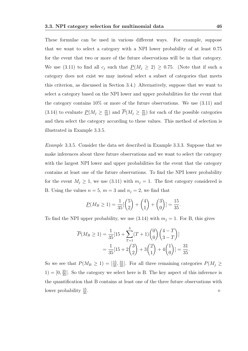These formulae can be used in various different ways. For example, suppose that we want to select a category with a NPI lower probability of at least 0.75 for the event that two or more of the future observations will be in that category. We use (3.11) to find all  $c_j$  such that  $P(M_j \geq 2) \geq 0.75$ . (Note that if such a category does not exist we may instead select a subset of categories that meets this criterion, as discussed in Section 3.4.) Alternatively, suppose that we want to select a category based on the NPI lower and upper probabilities for the event that the category contains  $10\%$  or more of the future observations. We use  $(3.11)$  and (3.14) to evaluate  $\underline{P}(M_j \geq \frac{m}{10})$  and  $\overline{P}(M_j \geq \frac{m}{10})$  for each of the possible categories and then select the category according to these values. This method of selection is illustrated in Example 3.3.5.

Example 3.3.5. Consider the data set described in Example 3.3.3. Suppose that we make inferences about three future observations and we want to select the category with the largest NPI lower and upper probabilities for the event that the category contains at least one of the future observations. To find the NPI lower probability for the event  $M_j \geq 1$ , we use (3.11) with  $m_j = 1$ . The first category considered is B. Using the values  $n = 5$ ,  $m = 3$  and  $n<sub>j</sub> = 2$ , we find that

$$
\underline{P}(M_B \ge 1) = \frac{1}{35} \left[ \binom{5}{2} + \binom{4}{1} + \binom{3}{0} \right] = \frac{15}{35}.
$$

To find the NPI upper probability, we use  $(3.14)$  with  $m_j = 1$ . For B, this gives

$$
\overline{P}(M_B \ge 1) = \frac{1}{35} [15 + \sum_{T=1}^3 (T+1) {0 \choose 0} {4-T \choose 3-T}]
$$

$$
= \frac{1}{35} [15 + 2 {3 \choose 2} + 3 {2 \choose 1} + 4 {1 \choose 0} = \frac{31}{35}
$$

.

So we see that  $P(M_B \geq 1) = \left[\frac{15}{35}, \frac{31}{35}\right]$ . For all three remaining categories  $P(M_j \geq 1)$  $1) = [0, \frac{25}{35}]$ . So the category we select here is B. The key aspect of this inference is the quantification that B contains at least one of the three future observations with lower probability  $\frac{15}{35}$ .  $\frac{15}{35}$ .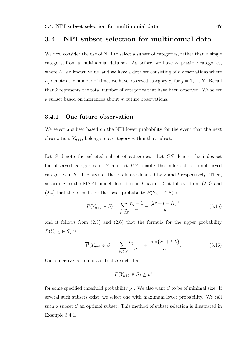### 3.4 NPI subset selection for multinomial data

We now consider the use of NPI to select a subset of categories, rather than a single category, from a multinomial data set. As before, we have  $K$  possible categories. where K is a known value, and we have a data set consisting of  $n$  observations where  $n_j$  denotes the number of times we have observed category  $c_j$  for  $j = 1, ..., K$ . Recall that  $k$  represents the total number of categories that have been observed. We select a subset based on inferences about m future observations.

#### 3.4.1 One future observation

We select a subset based on the NPI lower probability for the event that the next observation,  $Y_{n+1}$ , belongs to a category within that subset.

Let S denote the selected subset of categories. Let OS denote the index-set for observed categories in S and let US denote the index-set for unobserved categories in S. The sizes of these sets are denoted by r and l respectively. Then, according to the MNPI model described in Chapter 2, it follows from (2.3) and (2.4) that the formula for the lower probability  $\underline{P}(Y_{n+1} \in S)$  is

$$
\underline{P}(Y_{n+1} \in S) = \sum_{j \in OS} \frac{n_j - 1}{n} + \frac{(2r + l - K)^{+}}{n} \tag{3.15}
$$

and it follows from  $(2.5)$  and  $(2.6)$  that the formula for the upper probability  $P(Y_{n+1} \in S)$  is

$$
\overline{P}(Y_{n+1} \in S) = \sum_{j \in OS} \frac{n_j - 1}{n} + \frac{\min\{2r + l, k\}}{n}.
$$
\n(3.16)

Our objective is to find a subset  $S$  such that

$$
\underline{P}(Y_{n+1} \in S) \ge p^*
$$

for some specified threshold probability  $p^*$ . We also want S to be of minimal size. If several such subsets exist, we select one with maximum lower probability. We call such a subset S an optimal subset. This method of subset selection is illustrated in Example 3.4.1.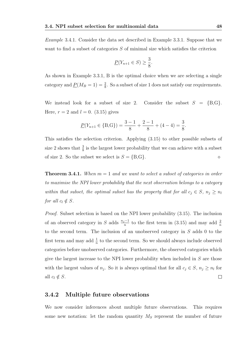Example 3.4.1. Consider the data set described in Example 3.3.1. Suppose that we want to find a subset of categories S of minimal size which satisfies the criterion

$$
\underline{P}(Y_{n+1}\in S)\geq \frac{3}{8}.
$$

As shown in Example 3.3.1, B is the optimal choice when we are selecting a single category and  $\underline{P}(M_B = 1) = \frac{2}{8}$ . So a subset of size 1 does not satisfy our requirements.

We instead look for a subset of size 2. Consider the subset  $S = \{B, G\}.$ Here,  $r = 2$  and  $l = 0$ . (3.15) gives

$$
\underline{P}(Y_{n+1} \in \{B, G\}) = \frac{3-1}{8} + \frac{2-1}{8} + (4-4) = \frac{3}{8}.
$$

This satisfies the selection criterion. Applying (3.15) to other possible subsets of size 2 shows that  $\frac{3}{8}$  is the largest lower probability that we can achieve with a subset of size 2. So the subset we select is  $S = \{B, G\}$ .

**Theorem 3.4.1.** When  $m = 1$  and we want to select a subset of categories in order to maximise the NPI lower probability that the next observation belongs to a category within that subset, the optimal subset has the property that for all  $c_j \in S$ ,  $n_j \geq n_l$ for all  $c_l \notin S$ .

Proof. Subset selection is based on the NPI lower probability (3.15). The inclusion of an observed category in S adds  $\frac{n_j-1}{n}$  to the first term in (3.15) and may add  $\frac{2}{n}$ to the second term. The inclusion of an unobserved category in S adds 0 to the first term and may add  $\frac{1}{n}$  to the second term. So we should always include observed categories before unobserved categories. Furthermore, the observed categories which give the largest increase to the NPI lower probability when included in  $S$  are those with the largest values of  $n_j$ . So it is always optimal that for all  $c_j \in S$ ,  $n_j \geq n_l$  for all  $c_l \notin S$ .  $\Box$ 

#### 3.4.2 Multiple future observations

We now consider inferences about multiple future observations. This requires some new notation: let the random quantity  $M<sub>S</sub>$  represent the number of future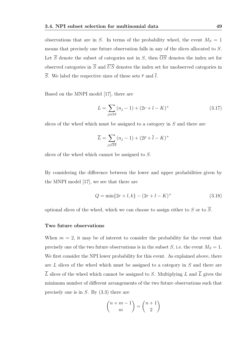observations that are in S. In terms of the probability wheel, the event  $M_S = 1$ means that precisely one future observation falls in any of the slices allocated to S. Let  $\overline{S}$  denote the subset of categories not in S, then  $\overline{OS}$  denotes the index set for observed categories in  $\overline{S}$  and  $\overline{US}$  denotes the index set for unobserved categories in  $\overline{S}$ . We label the respective sizes of these sets  $\overline{r}$  and  $\overline{l}$ .

Based on the MNPI model [17], there are

$$
L = \sum_{j \in OS} (n_j - 1) + (2r + l - K)^{+}
$$
\n(3.17)

slices of the wheel which must be assigned to a category in S and there are

$$
\overline{L} = \sum_{j \in \overline{OS}} (n_j - 1) + (2\overline{r} + \overline{l} - K)^+
$$

slices of the wheel which cannot be assigned to S.

By considering the difference between the lower and upper probabilities given by the MNPI model [17], we see that there are

$$
Q = \min\{2r + l, k\} - (2r + l - K)^{+}
$$
\n(3.18)

optional slices of the wheel, which we can choose to assign either to S or to  $\overline{S}$ .

#### Two future observations

When  $m = 2$ , it may be of interest to consider the probability for the event that precisely one of the two future observations is in the subset S, i.e. the event  $M_S = 1$ . We first consider the NPI lower probability for this event. As explained above, there are L slices of the wheel which must be assigned to a category in S and there are  $\overline{L}$  slices of the wheel which cannot be assigned to S. Multiplying L and  $\overline{L}$  gives the minimum number of different arrangements of the two future observations such that precisely one is in  $S$ . By  $(3.3)$  there are

$$
\binom{n+m-1}{m} = \binom{n+1}{2}
$$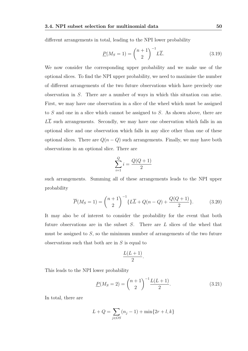different arrangements in total, leading to the NPI lower probability

$$
\underline{P}(M_S=1) = \binom{n+1}{2}^{-1} L\overline{L}.
$$
\n(3.19)

We now consider the corresponding upper probability and we make use of the optional slices. To find the NPI upper probability, we need to maximise the number of different arrangements of the two future observations which have precisely one observation in S. There are a number of ways in which this situation can arise. First, we may have one observation in a slice of the wheel which must be assigned to S and one in a slice which cannot be assigned to S. As shown above, there are  $L\overline{L}$  such arrangements. Secondly, we may have one observation which falls in an optional slice and one observation which falls in any slice other than one of these optional slices. There are  $Q(n - Q)$  such arrangements. Finally, we may have both observations in an optional slice. There are

$$
\sum_{i=1}^{Q} i = \frac{Q(Q+1)}{2}
$$

such arrangements. Summing all of these arrangements leads to the NPI upper probability

$$
\overline{P}(M_S = 1) = {n+1 \choose 2}^{-1} \{L\overline{L} + Q(n-Q) + \frac{Q(Q+1)}{2}\}.
$$
 (3.20)

It may also be of interest to consider the probability for the event that both future observations are in the subset  $S$ . There are  $L$  slices of the wheel that must be assigned to  $S$ , so the minimum number of arrangements of the two future observations such that both are in  $S$  is equal to

$$
\frac{L(L+1)}{2}.
$$

This leads to the NPI lower probability

$$
\underline{P}(M_S = 2) = \binom{n+1}{2}^{-1} \frac{L(L+1)}{2}.
$$
\n(3.21)

In total, there are

$$
L + Q = \sum_{j \in OS} (n_j - 1) + \min\{2r + l, k\}
$$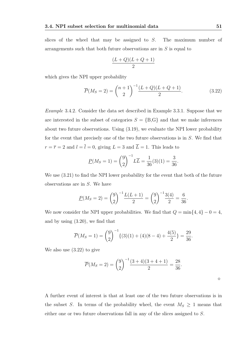slices of the wheel that may be assigned to S. The maximum number of arrangements such that both future observations are in S is equal to

$$
\frac{(L+Q)(L+Q+1)}{2}
$$

which gives the NPI upper probability

$$
\overline{P}(M_S = 2) = {n+1 \choose 2}^{-1} \frac{(L+Q)(L+Q+1)}{2}.
$$
\n(3.22)

Example 3.4.2. Consider the data set described in Example 3.3.1. Suppose that we are interested in the subset of categories  $S = \{B, G\}$  and that we make inferences about two future observations. Using (3.19), we evaluate the NPI lower probability for the event that precisely one of the two future observations is in S. We find that  $r = \overline{r} = 2$  and  $l = \overline{l} = 0$ , giving  $L = 3$  and  $\overline{L} = 1$ . This leads to

$$
\underline{P}(M_S=1) = \binom{9}{2}^{-1} L\overline{L} = \frac{1}{36}(3)(1) = \frac{3}{36}.
$$

We use (3.21) to find the NPI lower probability for the event that both of the future observations are in  $S$ . We have

$$
\underline{P}(M_S = 2) = \binom{9}{2}^{-1} \frac{L(L+1)}{2} = \binom{9}{2}^{-1} \frac{3(4)}{2} = \frac{6}{36}.
$$

We now consider the NPI upper probabilities. We find that  $Q = \min\{4, 4\} - 0 = 4$ , and by using (3.20), we find that

$$
\overline{P}(M_S=1) = {9 \choose 2}^{-1} \{ (3)(1) + (4)(8-4) + \frac{4(5)}{2} \} = \frac{29}{36}.
$$

We also use (3.22) to give

$$
\overline{P}(M_S = 2) = {9 \choose 2}^{-1} \frac{(3+4)(3+4+1)}{2} = \frac{28}{36}.
$$

A further event of interest is that at least one of the two future observations is in the subset S. In terms of the probability wheel, the event  $M_S \geq 1$  means that either one or two future observations fall in any of the slices assigned to S.

 $\Diamond$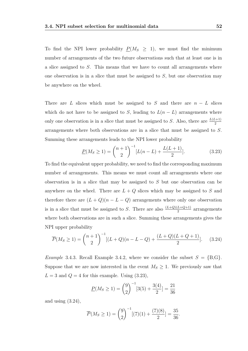To find the NPI lower probability  $P(M_S \geq 1)$ , we must find the minimum number of arrangements of the two future observations such that at least one is in a slice assigned to S. This means that we have to count all arrangements where one observation is in a slice that must be assigned to  $S$ , but one observation may be anywhere on the wheel.

There are L slices which must be assigned to S and there are  $n - L$  slices which do not have to be assigned to S, leading to  $L(n - L)$  arrangements where only one observation is in a slice that must be assigned to S. Also, there are  $\frac{L(L+1)}{2}$ arrangements where both observations are in a slice that must be assigned to S. Summing these arrangements leads to the NPI lower probability

$$
\underline{P}(M_S \ge 1) = {n+1 \choose 2}^{-1} [L(n-L) + \frac{L(L+1)}{2}]. \tag{3.23}
$$

To find the equivalent upper probability, we need to find the corresponding maximum number of arrangements. This means we must count all arrangements where one observation is in a slice that may be assigned to S but one observation can be anywhere on the wheel. There are  $L + Q$  slices which may be assigned to S and therefore there are  $(L+Q)(n-L-Q)$  arrangements where only one observation is in a slice that must be assigned to S. There are also  $\frac{(L+Q)(L+Q+1)}{2}$  arrangements where both observations are in such a slice. Summing these arrangements gives the NPI upper probability

$$
\overline{P}(M_S \ge 1) = {n+1 \choose 2}^{-1} [(L+Q)(n-L-Q) + \frac{(L+Q)(L+Q+1)}{2}]. \tag{3.24}
$$

*Example* 3.4.3. Recall Example 3.4.2, where we consider the subset  $S = \{B, G\}$ . Suppose that we are now interested in the event  $M_S \geq 1$ . We previously saw that  $L = 3$  and  $Q = 4$  for this example. Using  $(3.23)$ ,

$$
\underline{P}(M_S \ge 1) = \binom{9}{2}^{-1} [3(5) + \frac{3(4)}{2}] = \frac{21}{36}
$$

and using  $(3.24)$ ,

$$
\overline{P}(M_S \ge 1) = {9 \choose 2}^{-1} [(7)(1) + \frac{(7)(8)}{2}] = \frac{35}{36}.
$$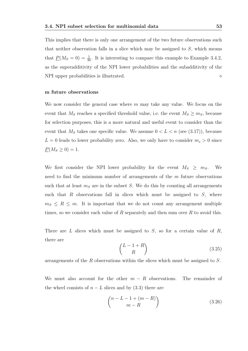This implies that there is only one arrangement of the two future observations such that neither observation falls in a slice which may be assigned to  $S$ , which means that  $\underline{P}(M_S = 0) = \frac{1}{36}$ . It is interesting to compare this example to Example 3.4.2, as the superadditivity of the NPI lower probabilities and the subadditivity of the NPI upper probabilities is illustrated.

#### m future observations

We now consider the general case where  $m$  may take any value. We focus on the event that  $M_S$  reaches a specified threshold value, i.e. the event  $M_S \geq m_S$ , because for selection purposes, this is a more natural and useful event to consider than the event that  $M<sub>S</sub>$  takes one specific value. We assume  $0 < L < n$  (see (3.17)), because  $L = 0$  leads to lower probability zero. Also, we only have to consider  $m_s > 0$  since  $\underline{P}(M_S \ge 0) = 1.$ 

We first consider the NPI lower probability for the event  $M_S \geq m_S$ . We need to find the minimum number of arrangements of the  $m$  future observations such that at least  $m<sub>S</sub>$  are in the subset S. We do this by counting all arrangements such that R observations fall in slices which must be assigned to  $S$ , where  $m_S \leq R \leq m$ . It is important that we do not count any arrangement multiple times, so we consider each value of  $R$  separately and then sum over  $R$  to avoid this.

There are  $L$  slices which must be assigned to  $S$ , so for a certain value of  $R$ , there are

$$
\binom{L-1+R}{R} \tag{3.25}
$$

arrangements of the R observations within the slices which must be assigned to S.

We must also account for the other  $m - R$  observations. The remainder of the wheel consists of  $n - L$  slices and by (3.3) there are

$$
\binom{n-L-1+(m-R)}{m-R}
$$
\n(3.26)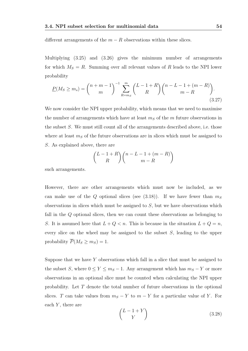different arrangements of the  $m - R$  observations within these slices.

Multiplying (3.25) and (3.26) gives the minimum number of arrangements for which  $M_S = R$ . Summing over all relevant values of R leads to the NPI lower probability

$$
\underline{P}(M_S \ge m_s) = \binom{n+m-1}{m}^{-1} \sum_{R=m_S}^{m} \binom{L-1+R}{R} \binom{n-L-1+(m-R)}{m-R}.
$$
\n(3.27)

We now consider the NPI upper probability, which means that we need to maximise the number of arrangements which have at least  $m<sub>S</sub>$  of the m future observations in the subset S. We must still count all of the arrangements described above, i.e. those where at least  $m<sub>S</sub>$  of the future observations are in slices which must be assigned to S. As explained above, there are

$$
\binom{L-1+R}{R}\binom{n-L-1+(m-R)}{m-R}
$$

such arrangements.

However, there are other arrangements which must now be included, as we can make use of the Q optional slices (see  $(3.18)$ ). If we have fewer than  $m<sub>S</sub>$ observations in slices which must be assigned to  $S$ , but we have observations which fall in the  $Q$  optional slices, then we can count these observations as belonging to S. It is assumed here that  $L + Q < n$ . This is because in the situation  $L + Q = n$ , every slice on the wheel may be assigned to the subset S, leading to the upper probability  $\overline{P}(M_S \geq m_S) = 1$ .

Suppose that we have  $Y$  observations which fall in a slice that must be assigned to the subset S, where  $0 \le Y \le m_S - 1$ . Any arrangement which has  $m_S - Y$  or more observations in an optional slice must be counted when calculating the NPI upper probability. Let T denote the total number of future observations in the optional slices. T can take values from  $m<sub>S</sub> - Y$  to  $m - Y$  for a particular value of Y. For each  $Y$ , there are

$$
\begin{pmatrix} L - 1 + Y \\ Y \end{pmatrix} \tag{3.28}
$$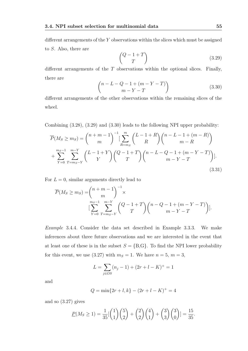different arrangements of the Y observations within the slices which must be assigned to S. Also, there are

$$
\begin{pmatrix} Q-1+T \ T \end{pmatrix} \tag{3.29}
$$

different arrangements of the  $T$  observations within the optional slices. Finally, there are

$$
\begin{pmatrix} n - L - Q - 1 + (m - Y - T) \\ m - Y - T \end{pmatrix}
$$
 (3.30)

different arrangements of the other observations within the remaining slices of the wheel.

Combining (3.28), (3.29) and (3.30) leads to the following NPI upper probability:

$$
\overline{P}(M_S \ge m_S) = {n+m-1 \choose m}^{-1} \left[ \sum_{R=m_S}^{m} {L-1+R \choose R} {n-L-1+(m-R) \choose m-R} + \sum_{Y=0}^{m_S-1} \sum_{T=m_S-Y}^{m-Y} {L-1+Y \choose Y} {Q-1+T \choose T} {n-L-Q-1+(m-Y-T) \choose m-Y-T} \right].
$$
\n(3.31)

For  $L = 0$ , similar arguments directly lead to

$$
\overline{P}(M_S \ge m_S) = {n+m-1 \choose m}^{-1} \times \left[ \sum_{Y=0}^{m_S-1} \sum_{T=m_S-Y}^{m-Y} {Q-1+T \choose T} {n-Q-1+(m-Y-T) \choose m-Y-T} \right].
$$

Example 3.4.4. Consider the data set described in Example 3.3.3. We make inferences about three future observations and we are interested in the event that at least one of these is in the subset  $S = \{B, G\}$ . To find the NPI lower probability for this event, we use (3.27) with  $m<sub>S</sub> = 1$ . We have  $n = 5, m = 3$ ,

$$
L = \sum_{j \in OS} (n_j - 1) + (2r + l - K)^{+} = 1
$$

and

$$
Q = \min\{2r + l, k\} - (2r + l - K)^{+} = 4
$$

and so (3.27) gives

$$
\underline{P}(M_S \ge 1) = \frac{1}{35} \left[ \binom{1}{1} \binom{5}{2} + \binom{2}{2} \binom{4}{1} + \binom{3}{3} \binom{3}{0} \right] = \frac{15}{35}.
$$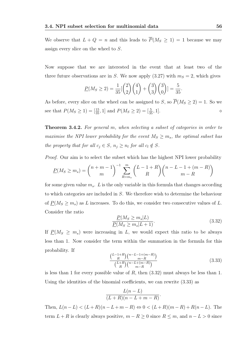We observe that  $L + Q = n$  and this leads to  $\overline{P}(M_S \ge 1) = 1$  because we may assign every slice on the wheel to S.

Now suppose that we are interested in the event that at least two of the three future observations are in S. We now apply  $(3.27)$  with  $m<sub>S</sub> = 2$ , which gives

$$
\underline{P}(M_S \ge 2) = \frac{1}{35} \left[ \binom{2}{2} \binom{4}{1} + \binom{3}{3} \binom{3}{0} \right] = \frac{5}{35}
$$

As before, every slice on the wheel can be assigned to S, so  $\overline{P}(M_S \geq 2) = 1$ . So we see that  $P(M_S \ge 1) = \left[\frac{15}{35}, 1\right]$  and  $P(M_S \ge 2) = \left[\frac{5}{35}, 1\right]$ .

Theorem 3.4.2. For general m, when selecting a subset of categories in order to maximise the NPI lower probability for the event  $M_S \geq m_s$ , the optimal subset has the property that for all  $c_j \in S$ ,  $n_j \geq n_l$  for all  $c_l \notin S$ .

Proof. Our aim is to select the subset which has the highest NPI lower probability

$$
\underline{P}(M_S \ge m_s) = {n+m-1 \choose m}^{-1} \sum_{R=m_s}^{m} {L-1+R \choose R} {n-L-1+(m-R) \choose m-R}
$$

for some given value  $m_s$ . L is the only variable in this formula that changes according to which categories are included in S. We therefore wish to determine the behaviour of  $\underline{P}(M_S \geq m_s)$  as L increases. To do this, we consider two consecutive values of L. Consider the ratio

$$
\frac{\underline{P}(M_S \ge m_s|L)}{\underline{P}(M_S \ge m_s|L+1)}.\tag{3.32}
$$

.

If  $\underline{P}(M_S \geq m_s)$  were increasing in L, we would expect this ratio to be always less than 1. Now consider the term within the summation in the formula for this probability. If

$$
\frac{\binom{L-1+R}{R}\binom{n-L-1+(m-R)}{m-R}}{\binom{L+R}{R}\binom{n-L+(m-R)}{m-R}}
$$
\n(3.33)

is less than 1 for every possible value of  $R$ , then  $(3.32)$  must always be less than 1. Using the identities of the binomial coefficients, we can rewrite (3.33) as

$$
\frac{L(n-L)}{(L+R)(n-L+m-R)}.
$$

Then,  $L(n-L) < (L+R)(n-L+m-R) \Leftrightarrow 0 < (L+R)(m-R)+R(n-L)$ . The term  $L + R$  is clearly always positive,  $m - R \geq 0$  since  $R \leq m$ , and  $n - L > 0$  since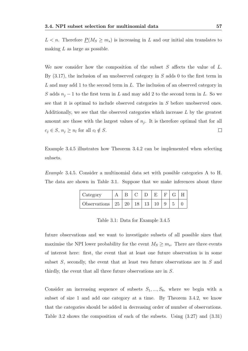$L < n$ . Therefore  $P(M_S \ge m_s)$  is increasing in L and our initial aim translates to making  $L$  as large as possible.

We now consider how the composition of the subset  $S$  affects the value of  $L$ . By  $(3.17)$ , the inclusion of an unobserved category in S adds 0 to the first term in L and may add 1 to the second term in L. The inclusion of an observed category in S adds  $n_j - 1$  to the first term in L and may add 2 to the second term in L. So we see that it is optimal to include observed categories in S before unobserved ones. Additionally, we see that the observed categories which increase  $L$  by the greatest amount are those with the largest values of  $n_j$ . It is therefore optimal that for all  $c_j \in S$ ,  $n_j \geq n_l$  for all  $c_l \notin S$ .  $\Box$ 

Example 3.4.5 illustrates how Theorem 3.4.2 can be implemented when selecting subsets.

Example 3.4.5. Consider a multinomial data set with possible categories A to H. The data are shown in Table 3.1. Suppose that we make inferences about three

| Category               |  |          | F. | $F \mid$ |  |
|------------------------|--|----------|----|----------|--|
| Observations   25   20 |  | 18 13 10 |    |          |  |

Table 3.1: Data for Example 3.4.5

future observations and we want to investigate subsets of all possible sizes that maximise the NPI lower probability for the event  $M_S \geq m_s$ . There are three events of interest here: first, the event that at least one future observation is in some subset  $S$ , secondly, the event that at least two future observations are in  $S$  and thirdly, the event that all three future observations are in S.

Consider an increasing sequence of subsets  $S_1, ..., S_8$ , where we begin with a subset of size 1 and add one category at a time. By Theorem 3.4.2, we know that the categories should be added in decreasing order of number of observations. Table 3.2 shows the composition of each of the subsets. Using (3.27) and (3.31)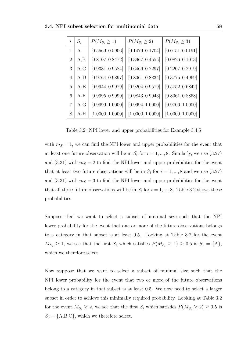| $\dot{i}$      | $S_i$ | $P(M_{S_i} \geq 1)$ | $P(M_{S_i} \geq 2)$ | $P(M_{S_i} \geq 3)$ |
|----------------|-------|---------------------|---------------------|---------------------|
| 1              | A     | [0.5569, 0.5906]    | [0.1479, 0.1704]    | [0.0151, 0.0191]    |
| $\overline{2}$ | A,B   | [0.8107, 0.8472]    | [0.3967, 0.4555]    | [0.0826, 0.1073]    |
| 3              | A-C   | [0.9331, 0.9584]    | [0.6466, 0.7297]    | [0.2207, 0.2919]    |
| 4              | A-D   | [0.9764, 0.9897]    | [0.8061, 0.8834]    | [0.3775, 0.4969]    |
| 5              | A-E   | [0.9944, 0.9979]    | [0.9204, 0.9579]    | [0.5752, 0.6842]    |
| 6              | A-F   | [0.9995, 0.9999]    | [0.9843, 0.9943]    | [0.8061, 0.8858]    |
| 7              | A-G   | [0.9999, 1.0000]    | [0.9994, 1.0000]    | [0.9706, 1.0000]    |
| 8              | A-H   | [1.0000, 1.0000]    | [1.0000, 1.0000]    | [1.0000, 1.0000]    |

Table 3.2: NPI lower and upper probabilities for Example 3.4.5

with  $m<sub>S</sub> = 1$ , we can find the NPI lower and upper probabilities for the event that at least one future observation will be in  $S_i$  for  $i = 1, ..., 8$ . Similarly, we use  $(3.27)$ and (3.31) with  $m<sub>S</sub> = 2$  to find the NPI lower and upper probabilities for the event that at least two future observations will be in  $S_i$  for  $i = 1, ..., 8$  and we use  $(3.27)$ and (3.31) with  $m<sub>S</sub> = 3$  to find the NPI lower and upper probabilities for the event that all three future observations will be in  $S_i$  for  $i = 1, ..., 8$ . Table 3.2 shows these probabilities.

Suppose that we want to select a subset of minimal size such that the NPI lower probability for the event that one or more of the future observations belongs to a category in that subset is at least 0.5. Looking at Table 3.2 for the event  $M_{S_i} \geq 1$ , we see that the first  $S_i$  which satisfies  $P(M_{S_i} \geq 1) \geq 0.5$  is  $S_1 = \{A\}$ , which we therefore select.

Now suppose that we want to select a subset of minimal size such that the NPI lower probability for the event that two or more of the future observations belong to a category in that subset is at least 0.5. We now need to select a larger subset in order to achieve this minimally required probability. Looking at Table 3.2 for the event  $M_{S_i} \geq 2$ , we see that the first  $S_i$  which satisfies  $P(M_{S_i} \geq 2) \geq 0.5$  is  $S_3 = \{A, B, C\}$ , which we therefore select.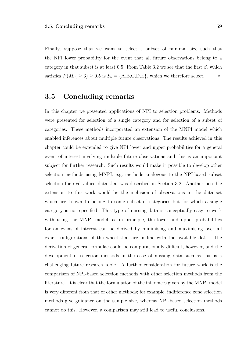Finally, suppose that we want to select a subset of minimal size such that the NPI lower probability for the event that all future observations belong to a category in that subset is at least 0.5. From Table 3.2 we see that the first  $S_i$  which satisfies  $\underline{P}(M_{S_i} \geq 3) \geq 0.5$  is  $S_5 = \{A, B, C, D, E\}$ , which we therefore select.  $\diamond$ 

### 3.5 Concluding remarks

In this chapter we presented applications of NPI to selection problems. Methods were presented for selection of a single category and for selection of a subset of categories. These methods incorporated an extension of the MNPI model which enabled inferences about multiple future observations. The results achieved in this chapter could be extended to give NPI lower and upper probabilities for a general event of interest involving multiple future observations and this is an important subject for further research. Such results would make it possible to develop other selection methods using MNPI, e.g. methods analogous to the NPI-based subset selection for real-valued data that was described in Section 3.2. Another possible extension to this work would be the inclusion of observations in the data set which are known to belong to some subset of categories but for which a single category is not specified. This type of missing data is conceptually easy to work with using the MNPI model, as in principle, the lower and upper probabilities for an event of interest can be derived by minimising and maximising over all exact configurations of the wheel that are in line with the available data. The derivation of general formulae could be computationally difficult, however, and the development of selection methods in the case of missing data such as this is a challenging future research topic. A further consideration for future work is the comparison of NPI-based selection methods with other selection methods from the literature. It is clear that the formulation of the inferences given by the MNPI model is very different from that of other methods; for example, indifference zone selection methods give guidance on the sample size, whereas NPI-based selection methods cannot do this. However, a comparison may still lead to useful conclusions.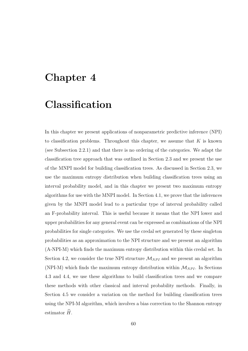# Chapter 4

# Classification

In this chapter we present applications of nonparametric predictive inference (NPI) to classification problems. Throughout this chapter, we assume that  $K$  is known (see Subsection 2.2.1) and that there is no ordering of the categories. We adapt the classification tree approach that was outlined in Section 2.3 and we present the use of the MNPI model for building classification trees. As discussed in Section 2.3, we use the maximum entropy distribution when building classification trees using an interval probability model, and in this chapter we present two maximum entropy algorithms for use with the MNPI model. In Section 4.1, we prove that the inferences given by the MNPI model lead to a particular type of interval probability called an F-probability interval. This is useful because it means that the NPI lower and upper probabilities for any general event can be expressed as combinations of the NPI probabilities for single categories. We use the credal set generated by these singleton probabilities as an approximation to the NPI structure and we present an algorithm (A-NPI-M) which finds the maximum entropy distribution within this credal set. In Section 4.2, we consider the true NPI structure  $\mathcal{M}_{NPI}$  and we present an algorithm (NPI-M) which finds the maximum entropy distribution within  $\mathcal{M}_{NPI}$ . In Sections 4.3 and 4.4, we use these algorithms to build classification trees and we compare these methods with other classical and interval probability methods. Finally, in Section 4.5 we consider a variation on the method for building classification trees using the NPI-M algorithm, which involves a bias correction to the Shannon entropy estimator  $\hat{H}$ .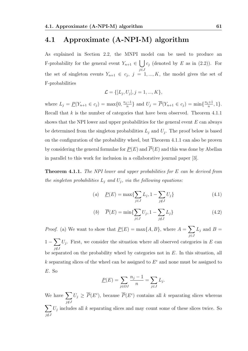# 4.1 Approximate (A-NPI-M) algorithm

As explained in Section 2.2, the MNPI model can be used to produce an F-probability for the general event  $Y_{n+1} \in \mathcal{C}$  (denoted by E as in (2.2)). For j∈J the set of singleton events  $Y_{n+1} \in c_j$ ,  $j = 1, ..., K$ , the model gives the set of F-probabilities

$$
\mathcal{L} = \{ [L_j, U_j], j = 1, ..., K \},\
$$

where  $L_j = \underline{P}(Y_{n+1} \in c_j) = \max\{0, \frac{n_j - 1}{n}\}$  $\frac{n^{j-1}}{n}$  and  $U_j = \overline{P}(Y_{n+1} \in c_j) = \min\{\frac{n_j+1}{n}\}$  $\frac{i+1}{n}, 1$ . Recall that  $k$  is the number of categories that have been observed. Theorem 4.1.1 shows that the NPI lower and upper probabilities for the general event  $E$  can always be determined from the singleton probabilities  $L_j$  and  $U_j$ . The proof below is based on the configuration of the probability wheel, but Theorem 4.1.1 can also be proven by considering the general formulae for  $P(E)$  and  $\overline{P}(E)$  and this was done by Abellan in parallel to this work for inclusion in a collaborative journal paper [3].

**Theorem 4.1.1.** The NPI lower and upper probabilities for  $E$  can be derived from the singleton probabilities  $L_j$  and  $U_j$ , via the following equations:

(a) 
$$
\underline{P}(E) = \max\{\sum_{j \in J} L_j, 1 - \sum_{j \notin J} U_j\}
$$
 (4.1)

(b) 
$$
\overline{P}(E) = \min\{\sum_{j \in J} U_j, 1 - \sum_{j \notin J} L_j\}
$$
 (4.2)

*Proof.* (a) We want to show that  $\underline{P}(E) = \max\{A, B\}$ , where  $A = \sum$ j∈J  $L_j$  and  $B=$  $1-\sum$ j /∈J  $U_j$ . First, we consider the situation where all observed categories in E can be separated on the probability wheel by categories not in  $E$ . In this situation, all k separating slices of the wheel can be assigned to  $E<sup>c</sup>$  and none must be assigned to E. So

$$
\underline{P}(E) = \sum_{j \in OJ} \frac{n_j - 1}{n} = \sum_{j \in J} L_j.
$$

We have  $\sum$  $j\notin J$  $U_j \geq \overline{P}(E^c)$ , because  $\overline{P}(E^c)$  contains all k separating slices whereas  $\sum$  $U_j$  includes all k separating slices and may count some of these slices twice. So

 $j\notin J$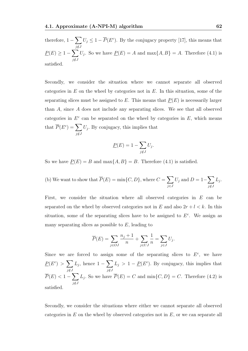therefore,  $1-\sum$ j∉J  $U_j \leq 1 - \overline{P}(E^c)$ . By the conjugacy property [17], this means that  $\underline{P}(E) \geq 1 - \sum$  $j\notin J$  $U_j$ . So we have  $\underline{P}(E) = A$  and  $\max\{A, B\} = A$ . Therefore (4.1) is satisfied.

Secondly, we consider the situation where we cannot separate all observed categories in  $E$  on the wheel by categories not in  $E$ . In this situation, some of the separating slices must be assigned to  $E$ . This means that  $P(E)$  is necessarily larger than A, since A does not include any separating slices. We see that all observed categories in  $E^c$  can be separated on the wheel by categories in  $E$ , which means that  $\overline{P}(E^c) = \sum$ j /∈J  $U_j$ . By conjugacy, this implies that

$$
\underline{P}(E) = 1 - \sum_{j \notin J} U_j.
$$

So we have  $\underline{P}(E) = B$  and  $\max\{A, B\} = B$ . Therefore (4.1) is satisfied.

(b) We want to show that 
$$
\overline{P}(E) = \min\{C, D\}
$$
, where  $C = \sum_{j \in J} U_j$  and  $D = 1 - \sum_{j \notin J} L_j$ .

First, we consider the situation where all observed categories in E can be separated on the wheel by observed categories not in E and also  $2r + l < k$ . In this situation, some of the separating slices have to be assigned to  $E<sup>c</sup>$ . We assign as many separating slices as possible to  $E$ , leading to

$$
\overline{P}(E) = \sum_{j \in OJ} \frac{n_j + 1}{n} + \sum_{j \in UJ} \frac{1}{n} = \sum_{j \in J} U_j.
$$

Since we are forced to assign some of the separating slices to  $E^c$ , we have  $\underline{P}(E^c) > \sum$ j∉J  $L_j$ , hence  $1-\sum$ j∉J  $L_j > 1 - \underline{P}(E^c)$ . By conjugacy, this implies that  $\overline{P}(E) < 1-\sum$  $j\notin J$  $L_j$ . So we have  $P(E) = C$  and  $\min\{C, D\} = C$ . Therefore (4.2) is satisfied.

Secondly, we consider the situations where either we cannot separate all observed categories in  $E$  on the wheel by observed categories not in  $E$ , or we can separate all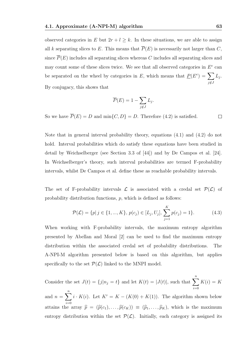observed categories in E but  $2r + l \geq k$ . In these situations, we are able to assign all k separating slices to E. This means that  $\overline{P}(E)$  is necessarily not larger than C, since  $\overline{P}(E)$  includes all separating slices whereas C includes all separating slices and may count some of these slices twice. We see that all observed categories in  $E<sup>c</sup>$  can be separated on the wheel by categories in E, which means that  $\underline{P}(E^c) = \sum$  $j\notin J$  $L_j$ . By conjugacy, this shows that

$$
\overline{P}(E) = 1 - \sum_{j \notin J} L_j.
$$

So we have  $\overline{P}(E) = D$  and  $\min\{C, D\} = D$ . Therefore (4.2) is satisfied.  $\Box$ 

Note that in general interval probability theory, equations (4.1) and (4.2) do not hold. Interval probabilities which do satisfy these equations have been studied in detail by Weichselberger (see Section 3.3 of [44]) and by De Campos et al. [24]. In Weichselberger's theory, such interval probabilities are termed F-probability intervals, whilst De Campos et al. define these as reachable probability intervals.

The set of F-probability intervals  $\mathcal L$  is associated with a credal set  $\mathcal P(\mathcal L)$  of probability distribution functions, p, which is defined as follows:

$$
\mathcal{P}(\mathcal{L}) = \{p | j \in \{1, ..., K\}, p(c_j) \in [L_j, U_j], \sum_{j=1}^{K} p(c_j) = 1\}.
$$
\n(4.3)

When working with F-probability intervals, the maximum entropy algorithm presented by Abellan and Moral [2] can be used to find the maximum entropy distribution within the associated credal set of probability distributions. The A-NPI-M algorithm presented below is based on this algorithm, but applies specifically to the set  $\mathcal{P}(\mathcal{L})$  linked to the MNPI model.

Consider the set  $J(t) = \{j | n_j = t\}$  and let  $K(t) = |J(t)|$ , such that  $\sum_{n=1}^{n}$  $i=0$  $K(i) = K$ 

and  $n = \sum_{n=1}^{\infty}$  $i=0$  $i \cdot K(i)$ . Let  $K' = K - (K(0) + K(1))$ . The algorithm shown below attains the array  $\hat{p} = (\hat{p}(c_1), \dots, \hat{p}(c_K)) \equiv (\hat{p}_1, \dots, \hat{p}_K)$ , which is the maximum entropy distribution within the set  $\mathcal{P}(\mathcal{L})$ . Initially, each category is assigned its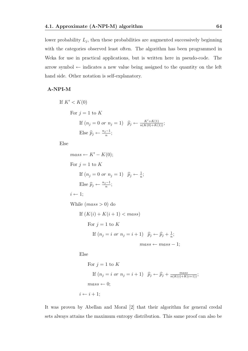lower probability  $L_j$ , then these probabilities are augmented successively beginning with the categories observed least often. The algorithm has been programmed in Weka for use in practical applications, but is written here in pseudo-code. The arrow symbol  $\leftarrow$  indicates a new value being assigned to the quantity on the left hand side. Other notation is self-explanatory.

#### A-NPI-M

If 
$$
K' < K(0)
$$
\n\nFor  $j = 1$  to  $K$ \n\nIf  $(n_j = 0 \text{ or } n_j = 1)$   $\widehat{p}_j \leftarrow \frac{K' + K(1)}{n(K(0) + K(1))};$ \n\nElse  $\widehat{p}_j \leftarrow \frac{n_j - 1}{n};$ 

Else

 $mass \leftarrow K' - K(0):$ For  $j = 1$  to K If  $(n_j = 0 \text{ or } n_j = 1)$   $\widehat{p}_j \leftarrow \frac{1}{n};$ Else  $\widehat{p}_j \leftarrow \frac{n_j-1}{n}$  $\frac{i-1}{n};$  $i \leftarrow 1;$ While  $(mass > 0)$  do If  $(K(i) + K(i + 1) < mass)$ For  $j = 1$  to K If  $(n_j = i \text{ or } n_j = i + 1)$   $\widehat{p}_j \leftarrow \widehat{p}_j + \frac{1}{n}$  $\frac{1}{n}$ ;  $mass \leftarrow mass - 1$ ;

Else

For 
$$
j = 1
$$
 to  $K$   
\nIf  $(n_j = i \text{ or } n_j = i + 1)$   $\hat{p}_j \leftarrow \hat{p}_j + \frac{mass}{n(K(i) + K(i+1))};$   
\n $mass \leftarrow 0;$   
\n $i \leftarrow i + 1;$ 

It was proven by Abellan and Moral [2] that their algorithm for general credal sets always attains the maximum entropy distribution. This same proof can also be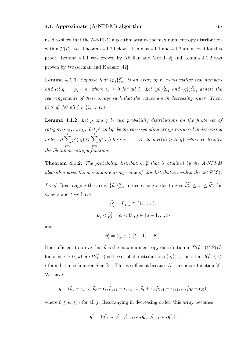used to show that the A-NPI-M algorithm attains the maximum entropy distribution within  $\mathcal{P}(\mathcal{L})$  (see Theorem 4.1.2 below). Lemmas 4.1.1 and 4.1.2 are needed for this proof. Lemma 4.1.1 was proven by Abellan and Moral [2] and Lemma 4.1.2 was proven by Wasserman and Kadane [42].

**Lemma 4.1.1.** Suppose that  $\{p_j\}_{j=1}^K$  is an array of K non-negative real numbers and let  $q_j = p_j + \epsilon_j$  where  $\epsilon_j \geq 0$  for all j. Let  $\{p_j^*\}_{j=1}^K$  and  $\{q_j^*\}_{j=1}^K$  denote the rearrangements of these arrays such that the values are in decreasing order. Then,  $p_j^* \le q_j^*$  for all  $j \in \{1, ..., K\}$ .

**Lemma 4.1.2.** Let  $p$  and  $q$  be two probability distributions on the finite set of categories  $c_1, ..., c_K$ . Let  $p^*$  and  $q^*$  be the corresponding arrays reordered in decreasing order. If  $\sum$ i  $j=1$  $p^*(c_j) \leq \sum$ i  $j=1$  $q^*(c_j)$  for  $i = 1, ..., K$ , then  $H(p) \geq H(q)$ , where H denotes the Shannon entropy function.

**Theorem 4.1.2.** The probability distribution  $\hat{p}$  that is attained by the A-NPI-M algorithm gives the maximum entropy value of any distribution within the set  $\mathcal{P}(\mathcal{L})$ .

*Proof.* Rearranging the array  $\{\hat{p}_j\}_{j=1}^K$  in decreasing order to give  $\widehat{p}_K^* \leq ... \leq \widehat{p}_1^*$ , for some  $s$  and  $t$  we have

$$
\hat{p}_j^* = L_j, j \in \{1, ..., s\},
$$
  

$$
L_j < \hat{p}_j^* = \alpha < U_j, j \in \{s+1, ..., t\}
$$

and

$$
\widehat{p_j^*} = U_j, j \in \{t+1, ..., K\}.
$$

It is sufficient to prove that  $\hat{p}$  is the maximum entropy distribution in  $B(\hat{p}, \epsilon) \cap \mathcal{P}(L)$ for some  $\epsilon > 0$ , where  $B(\hat{p}, \epsilon)$  is the set of all distributions  $\{q_j\}_{j=1}^K$  such that  $d(\hat{p}, q) \le$  $\epsilon$  for a distance function d on  $\mathbb{R}^n$ . This is sufficient because H is a convex function [2]. We have

$$
q = (\widehat{p}_1 + \epsilon_1, ..., \widehat{p}_s + \epsilon_s, \widehat{p}_{s+1} \pm \epsilon_{s+1}, ..., \widehat{p}_t \pm \epsilon_t, \widehat{p}_{t+1} - \epsilon_{t+1}, ..., \widehat{p}_K - \epsilon_K),
$$

where  $0 \leq \epsilon_j \leq \epsilon$  for all j. Rearranging in decreasing order, this array becomes

$$
q^*=(q_1^*,...,q_{s_1}^*,q_{s_1+1}^*,...,q_{t_1}^*,q_{t_1+1}^*,...,q_K^*),
$$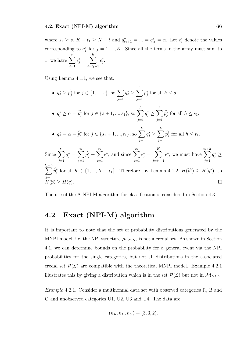where  $s_1 \geq s$ ,  $K - t_1 \geq K - t$  and  $q_{s_1+1}^* = ... = q_{t_1}^* = \alpha$ . Let  $\epsilon_j^*$  denote the values corresponding to  $q_j^*$  for  $j = 1, ..., K$ . Since all the terms in the array must sum to 1, we have  $\sum_{n=1}^{s_1}$  $j=1$  $\epsilon_j^* = \sum$ K  $j = t_1 + 1$  $\epsilon_j^*$ .

Using Lemma 4.1.1, we see that:

• 
$$
q_j^* \geq \hat{p}_j^*
$$
 for  $j \in \{1, ..., s\}$ , so  $\sum_{j=1}^h q_j^* \geq \sum_{j=1}^h \hat{p}_j^*$  for all  $h \leq s$ .  
\n•  $q_j^* \geq \alpha = \hat{p}_j^*$  for  $j \in \{s+1, ..., s_1\}$ , so  $\sum_{j=1}^h q_j^* \geq \sum_{j=1}^h \hat{p}_j^*$  for all  $h \leq s_1$ .  
\n•  $q_j^* = \alpha = \hat{p}_j^*$  for  $j \in \{s_1 + 1, ..., t_1\}$ , so  $\sum_{j=1}^h q_j^* \geq \sum_{j=1}^h \hat{p}_j^*$  for all  $h \leq t_1$ .  
\nSince  $\sum_{j=1}^{t_1} q_j^* = \sum_{j=1}^{t_1} \hat{p}_j^* + \sum_{j=1}^{s_1} \epsilon_j^*$ , and since  $\sum_{j=1}^{s_1} \epsilon_j^* = \sum_{j=t_1+1}^K \epsilon_j^*$ , we must have  $\sum_{j=1}^{t_1+h} q_j^* \geq \sum_{j=1}^{t_1+h} \hat{p}_j^*$  for all  $h \in \{1, ..., K - t_1\}$ . Therefore, by Lemma 4.1.2,  $H(\hat{p}^*) \geq H(q^*)$ , so  $H(\hat{p}) \geq H(q)$ .

The use of the A-NPI-M algorithm for classification is considered in Section 4.3.

### 4.2 Exact (NPI-M) algorithm

It is important to note that the set of probability distributions generated by the MNPI model, i.e. the NPI structure  $\mathcal{M}_{NPI}$ , is not a credal set. As shown in Section 4.1, we can determine bounds on the probability for a general event via the NPI probabilities for the single categories, but not all distributions in the associated credal set  $\mathcal{P}(\mathcal{L})$  are compatible with the theoretical MNPI model. Example 4.2.1 illustrates this by giving a distribution which is in the set  $\mathcal{P}(\mathcal{L})$  but not in  $\mathcal{M}_{NPI}$ .

Example 4.2.1. Consider a multinomial data set with observed categories R, B and O and unobserved categories U1, U2, U3 and U4. The data are

$$
(n_R, n_B, n_O) = (3, 3, 2).
$$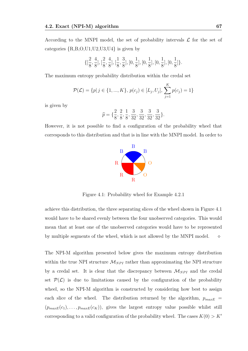$\left\{ \right.$ 

According to the MNPI model, the set of probability intervals  $\mathcal L$  for the set of categories  ${R,B,O,U1,U2,U3,U4}$  is given by

$$
[\frac{2}{8}, \frac{4}{8}], [\frac{2}{8}, \frac{4}{8}], [\frac{1}{8}, \frac{3}{8}], [0, \frac{1}{8}], [0, \frac{1}{8}], [0, \frac{1}{8}], [0, \frac{1}{8}]\}.
$$

The maximum entropy probability distribution within the credal set

$$
\mathcal{P}(\mathcal{L}) = \{p | j \in \{1, ..., K\}, p(c_j) \in [L_j, U_j], \sum_{j=1}^{K} p(c_j) = 1\}
$$

is given by

$$
\widehat{p} = \{ \frac{2}{8}, \frac{2}{8}, \frac{1}{8}, \frac{3}{32}, \frac{3}{32}, \frac{3}{32}, \frac{3}{32} \}.
$$

However, it is not possible to find a configuration of the probability wheel that corresponds to this distribution and that is in line with the MNPI model. In order to



Figure 4.1: Probability wheel for Example 4.2.1

achieve this distribution, the three separating slices of the wheel shown in Figure 4.1 would have to be shared evenly between the four unobserved categories. This would mean that at least one of the unobserved categories would have to be represented by multiple segments of the wheel, which is not allowed by the MNPI model.  $\diamond$ 

The NPI-M algorithm presented below gives the maximum entropy distribution within the true NPI structure  $\mathcal{M}_{NPI}$  rather than approximating the NPI structure by a credal set. It is clear that the discrepancy between  $\mathcal{M}_{NPI}$  and the credal set  $\mathcal{P}(\mathcal{L})$  is due to limitations caused by the configuration of the probability wheel, so the NPI-M algorithm is constructed by considering how best to assign each slice of the wheel. The distribution returned by the algorithm,  $p_{maxE}$  =  $(p_{maxE}(c_1), \ldots, p_{maxE}(c_K))$ , gives the largest entropy value possible whilst still corresponding to a valid configuration of the probability wheel. The cases  $K(0) > K'$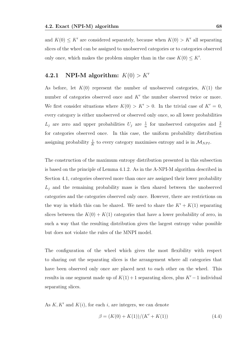and  $K(0) \leq K'$  are considered separately, because when  $K(0) > K'$  all separating slices of the wheel can be assigned to unobserved categories or to categories observed only once, which makes the problem simpler than in the case  $K(0) \leq K'$ .

### 4.2.1 NPI-M algorithm:  $K(0) > K'$

As before, let  $K(0)$  represent the number of unobserved categories,  $K(1)$  the number of categories observed once and  $K'$  the number observed twice or more. We first consider situations where  $K(0) > K' > 0$ . In the trivial case of  $K' = 0$ , every category is either unobserved or observed only once, so all lower probabilities  $L_j$  are zero and upper probabilities  $U_j$  are  $\frac{1}{n}$  for unobserved categories and  $\frac{2}{n}$ for categories observed once. In this case, the uniform probability distribution assigning probability  $\frac{1}{K}$  to every category maximises entropy and is in  $\mathcal{M}_{NPI}$ .

The construction of the maximum entropy distribution presented in this subsection is based on the principle of Lemma 4.1.2. As in the A-NPI-M algorithm described in Section 4.1, categories observed more than once are assigned their lower probability  $L_j$  and the remaining probability mass is then shared between the unobserved categories and the categories observed only once. However, there are restrictions on the way in which this can be shared. We need to share the  $K' + K(1)$  separating slices between the  $K(0) + K(1)$  categories that have a lower probability of zero, in such a way that the resulting distribution gives the largest entropy value possible but does not violate the rules of the MNPI model.

The configuration of the wheel which gives the most flexibility with respect to sharing out the separating slices is the arrangement where all categories that have been observed only once are placed next to each other on the wheel. This results in one segment made up of  $K(1) + 1$  separating slices, plus  $K' - 1$  individual separating slices.

As  $K, K'$  and  $K(i)$ , for each i, are integers, we can denote

$$
\beta = (K(0) + K(1))/(K' + K(1))\tag{4.4}
$$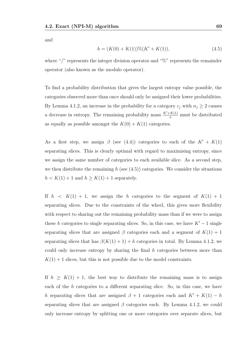and

$$
h = (K(0) + K(1))\%(K' + K(1)),\tag{4.5}
$$

where "/" represents the integer division operator and "%" represents the remainder operator (also known as the modulo operator).

To find a probability distribution that gives the largest entropy value possible, the categories observed more than once should only be assigned their lower probabilities. By Lemma 4.1.2, an increase in the probability for a category  $c_j$  with  $n_j \geq 2$  causes a decrease in entropy. The remaining probability mass  $\frac{K'+K(1)}{n}$  must be distributed as equally as possible amongst the  $K(0) + K(1)$  categories.

As a first step, we assign  $\beta$  (see (4.4)) categories to each of the  $K' + K(1)$ separating slices. This is clearly optimal with regard to maximising entropy, since we assign the same number of categories to each available slice. As a second step, we then distribute the remaining h (see  $(4.5)$ ) categories. We consider the situations  $h < K(1) + 1$  and  $h \geq K(1) + 1$  separately.

If  $h < K(1) + 1$ , we assign the h categories to the segment of  $K(1) + 1$ separating slices. Due to the constraints of the wheel, this gives more flexibility with respect to sharing out the remaining probability mass than if we were to assign these h categories to single separating slices. So, in this case, we have  $K'-1$  single separating slices that are assigned  $\beta$  categories each and a segment of  $K(1) + 1$ separating slices that has  $\beta(K(1) + 1) + h$  categories in total. By Lemma 4.1.2, we could only increase entropy by sharing the final  $h$  categories between more than  $K(1) + 1$  slices, but this is not possible due to the model constraints.

If  $h \geq K(1) + 1$ , the best way to distribute the remaining mass is to assign each of the h categories to a different separating slice. So, in this case, we have h separating slices that are assigned  $\beta + 1$  categories each and  $K' + K(1) - h$ separating slices that are assigned  $\beta$  categories each. By Lemma 4.1.2, we could only increase entropy by splitting one or more categories over separate slices, but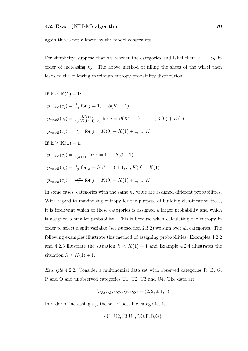again this is not allowed by the model constraints.

For simplicity, suppose that we reorder the categories and label them  $c_1, ..., c_K$  in order of increasing  $n_j$ . The above method of filling the slices of the wheel then leads to the following maximum entropy probability distribution:

#### If  $h < K(1) + 1$ :

$$
p_{maxE}(c_j) = \frac{1}{n\beta} \text{ for } j = 1, ..., \beta(K' - 1)
$$
  
\n
$$
p_{maxE}(c_j) = \frac{K(1) + 1}{n[\beta(K(1) + 1) + h]} \text{ for } j = \beta(K' - 1) + 1, ..., K(0) + K(1)
$$
  
\n
$$
p_{maxE}(c_j) = \frac{n_j - 1}{n} \text{ for } j = K(0) + K(1) + 1, ..., K
$$
  
\nIf  $\mathbf{h} \ge \mathbf{K(1) + 1}$ :  
\n
$$
p_{maxE}(c_j) = \frac{1}{n(\beta + 1)} \text{ for } j = 1, ..., h(\beta + 1)
$$
  
\n
$$
p_{maxE}(c_j) = \frac{1}{n\beta} \text{ for } j = h(\beta + 1) + 1, ..., K(0) + K(1)
$$

$$
p_{maxE}(c_j) = \frac{n_j - 1}{n} \text{ for } j = K(0) + K(1) + 1, ..., K
$$

In some cases, categories with the same  $n_j$  value are assigned different probabilities. With regard to maximising entropy for the purpose of building classification trees, it is irrelevant which of these categories is assigned a larger probability and which is assigned a smaller probability. This is because when calculating the entropy in order to select a split variable (see Subsection 2.3.2) we sum over all categories. The following examples illustrate this method of assigning probabilities. Examples 4.2.2 and 4.2.3 illustrate the situation  $h < K(1) + 1$  and Example 4.2.4 illustrates the situation  $h \geq K(1) + 1$ .

Example 4.2.2. Consider a multinomial data set with observed categories R, B, G, P and O and unobserved categories U1, U2, U3 and U4. The data are

$$
(n_R, n_B, n_G, n_P, n_O) = (2, 2, 2, 1, 1).
$$

In order of increasing  $n_j$ , the set of possible categories is

$$
\{U1,U2,U3,U4,P,O,R,B,G\}.
$$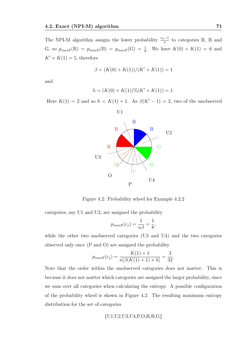The NPI-M algorithm assigns the lower probability  $\frac{n_j-1}{n}$  to categories R, B and G, so  $p_{maxE}(R) = p_{maxE}(B) = p_{maxE}(G) = \frac{1}{8}$ . We have  $K(0) + K(1) = 6$  and  $K' + K(1) = 5$ , therefore

$$
\beta = (K(0) + K(1))/(K' + K(1)) = 1
$$

and

$$
h = (K(0) + K(1))\%(K' + K(1)) = 1.
$$

Here  $K(1) = 2$  and so  $h < K(1) + 1$ . As  $\beta(K'-1) = 2$ , two of the unobserved



Figure 4.2: Probability wheel for Example 4.2.2

categories, say U1 and U2, are assigned the probability

$$
p_{maxE}(c_j) = \frac{1}{n\beta} = \frac{1}{8},
$$

while the other two unobserved categories (U3 and U4) and the two categories observed only once (P and O) are assigned the probability

$$
p_{maxE}(c_j) = \frac{K(1) + 1}{n[\beta(K(1) + 1) + h]} = \frac{3}{32}.
$$

Note that the order within the unobserved categories does not matter. This is because it does not matter which categories are assigned the larger probability, since we sum over all categories when calculating the entropy. A possible configuration of the probability wheel is shown in Figure 4.2. The resulting maximum entropy distribution for the set of categories

$$
\{U1, U2, U3, U4, P, O, R, B, G\}
$$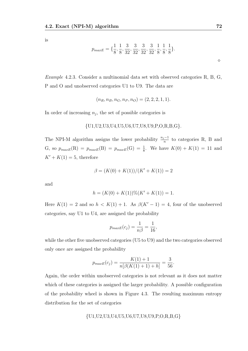is

$$
p_{maxE} = \{\frac{1}{8}, \frac{1}{8}, \frac{3}{32}, \frac{3}{32}, \frac{3}{32}, \frac{3}{32}, \frac{1}{8}, \frac{1}{8}, \frac{1}{8}\}.
$$

Example 4.2.3. Consider a multinomial data set with observed categories R, B, G, P and O and unobserved categories U1 to U9. The data are

$$
(n_R, n_B, n_G, n_P, n_O) = (2, 2, 2, 1, 1).
$$

In order of increasing  $n_j$ , the set of possible categories is

$$
\{U1,U2,U3,U4,U5,U6,U7,U8,U9,P,O,R,B,G\}.
$$

The NPI-M algorithm assigns the lower probability  $\frac{n_j-1}{n}$  to categories R, B and G, so  $p_{maxE}(R) = p_{maxE}(B) = p_{maxE}(G) = \frac{1}{8}$ . We have  $K(0) + K(1) = 11$  and  $K' + K(1) = 5$ , therefore

$$
\beta = (K(0) + K(1))/(K' + K(1)) = 2
$$

and

$$
h = (K(0) + K(1))\%(K' + K(1)) = 1.
$$

Here  $K(1) = 2$  and so  $h < K(1) + 1$ . As  $\beta(K' - 1) = 4$ , four of the unobserved categories, say U1 to U4, are assigned the probability

$$
p_{maxE}(c_j) = \frac{1}{n\beta} = \frac{1}{16},
$$

while the other five unobserved categories (U5 to U9) and the two categories observed only once are assigned the probability

$$
p_{maxE}(c_j) = \frac{K(1) + 1}{n[\beta(K(1) + 1) + h]} = \frac{3}{56}.
$$

Again, the order within unobserved categories is not relevant as it does not matter which of these categories is assigned the larger probability. A possible configuration of the probability wheel is shown in Figure 4.3. The resulting maximum entropy distribution for the set of categories

$$
\{U1,U2,U3,U4,U5,U6,U7,U8,U9,P,O,R,B,G\}
$$

 $\Diamond$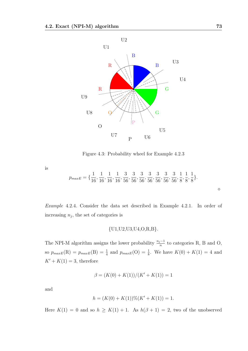

Figure 4.3: Probability wheel for Example 4.2.3

is

$$
p_{maxE} = \{\frac{1}{16}, \frac{1}{16}, \frac{1}{16}, \frac{1}{16}, \frac{3}{56}, \frac{3}{56}, \frac{3}{56}, \frac{3}{56}, \frac{3}{56}, \frac{3}{56}, \frac{3}{56}, \frac{1}{8}, \frac{1}{8}, \frac{1}{8}\}.
$$

*Example* 4.2.4. Consider the data set described in Example 4.2.1. In order of increasing 
$$
n_j
$$
, the set of categories is

$$
{U1, U2, U3, U4, O, R, B}.
$$

The NPI-M algorithm assigns the lower probability  $\frac{n_j-1}{n}$  to categories R, B and O, so  $p_{maxE}(R) = p_{maxE}(B) = \frac{1}{4}$  and  $p_{maxE}(O) = \frac{1}{8}$ . We have  $K(0) + K(1) = 4$  and  $K' + K(1) = 3$ , therefore

$$
\beta = (K(0) + K(1))/(K' + K(1)) = 1
$$

and

$$
h = (K(0) + K(1))\%(K' + K(1)) = 1.
$$

Here  $K(1) = 0$  and so  $h \geq K(1) + 1$ . As  $h(\beta + 1) = 2$ , two of the unobserved

 $\Diamond$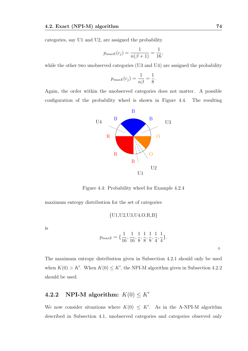categories, say U1 and U2, are assigned the probability

$$
p_{maxE}(c_j) = \frac{1}{n(\beta+1)} = \frac{1}{16},
$$

while the other two unobserved categories (U3 and U4) are assigned the probability

$$
p_{maxE}(c_j) = \frac{1}{n\beta} = \frac{1}{8}.
$$

Again, the order within the unobserved categories does not matter. A possible configuration of the probability wheel is shown in Figure 4.4. The resulting



Figure 4.4: Probability wheel for Example 4.2.4

maximum entropy distribution for the set of categories

$$
{U1, U2, U3, U4, O, R, B}
$$

is

$$
p_{maxE} = \{\frac{1}{16}, \frac{1}{16}, \frac{1}{8}, \frac{1}{8}, \frac{1}{8}, \frac{1}{4}, \frac{1}{4}\}.
$$

 $\Diamond$ 

The maximum entropy distribution given in Subsection 4.2.1 should only be used when  $K(0) > K'$ . When  $K(0) \leq K'$ , the NPI-M algorithm given in Subsection 4.2.2 should be used.

## 4.2.2 NPI-M algorithm:  $K(0) \leq K'$

We now consider situations where  $K(0) \leq K'$ . As in the A-NPI-M algorithm described in Subsection 4.1, unobserved categories and categories observed only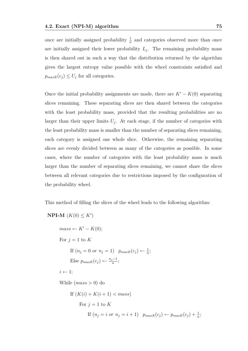once are initially assigned probability  $\frac{1}{n}$  and categories observed more than once are initially assigned their lower probability  $L_j$ . The remaining probability mass is then shared out in such a way that the distribution returned by the algorithm gives the largest entropy value possible with the wheel constraints satisfied and  $p_{maxE}(c_j) \leq U_j$  for all categories.

Once the initial probability assignments are made, there are  $K'-K(0)$  separating slices remaining. These separating slices are then shared between the categories with the least probability mass, provided that the resulting probabilities are no larger than their upper limits  $U_j$ . At each stage, if the number of categories with the least probability mass is smaller than the number of separating slices remaining, each category is assigned one whole slice. Otherwise, the remaining separating slices are evenly divided between as many of the categories as possible. In some cases, where the number of categories with the least probability mass is much larger than the number of separating slices remaining, we cannot share the slices between all relevant categories due to restrictions imposed by the configuration of the probability wheel.

This method of filling the slices of the wheel leads to the following algorithm:

NPI-M 
$$
(K(0) \leq K')
$$
  
\n
$$
mass \leftarrow K' - K(0);
$$
\nFor  $j = 1$  to  $K$   
\nIf  $(n_j = 0 \text{ or } n_j = 1)$   $p_{maxE}(c_j) \leftarrow \frac{1}{n};$   
\nElse  $p_{maxE}(c_j) \leftarrow \frac{n_j - 1}{n};$   
\n $i \leftarrow 1;$   
\nWhile  $(mass > 0)$  do  
\nIf  $(K(i) + K(i + 1) < mass)$   
\nFor  $j = 1$  to  $K$   
\nIf  $(n_j = i \text{ or } n_j = i + 1)$   $p_{maxE}(c_j) \leftarrow p_{maxE}(c_j) + \frac{1}{n};$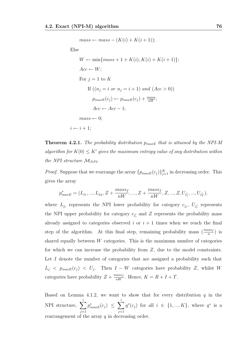$mass \leftarrow mass - (K(i) + K(i+1));$ Else  $W \leftarrow \min\{mass + 1 + K(i), K(i) + K(i + 1)\};$  $Acc \leftarrow W$ ; For  $j = 1$  to K If  $((n_i = i \text{ or } n_i = i + 1) \text{ and } (Acc > 0))$  $p_{maxE}(c_j) \leftarrow p_{maxE}(c_j) + \frac{mass}{nW};$  $Acc \leftarrow Acc - 1$ :  $mass \leftarrow 0$ :  $i \leftarrow i + 1$ ;

**Theorem 4.2.1.** The probability distribution  $p_{maxE}$  that is attained by the NPI-M algorithm for  $K(0) \leq K'$  gives the maximum entropy value of any distribution within the NPI structure  $\mathcal{M}_{NPI}$ .

*Proof.* Suppose that we rearrange the array  $\{p_{maxE}(c_j)\}_{j=1}^K$  in decreasing order. This gives the array

$$
p_{maxE}^* = (L_{j_1},...,L_{j_R}, Z + \frac{mass_f}{nW},..., Z + \frac{mass_f}{nW}, Z,..., Z, U_{j'_1},...,U_{j'_T}),
$$

where  $L_{j_i}$  represents the NPI lower probability for category  $c_{j_i}$ ,  $U_{j'_i}$  represents the NPI upper probability for category  $c_{j_i'}$  and Z represents the probability mass already assigned to categories observed i or  $i + 1$  times when we reach the final step of the algorithm. At this final step, remaining probability mass  $\left(\frac{mass_f}{n}\right)$  is shared equally between  $W$  categories. This is the maximum number of categories for which we can increase the probability from Z, due to the model constraints. Let I denote the number of categories that are assigned a probability such that  $L_j$  <  $p_{maxE}(c_j)$  <  $U_j$ . Then  $I - W$  categories have probability Z, whilst W categories have probability  $Z + \frac{mass_f}{nW}$ . Hence,  $K = R + I + T$ .

Based on Lemma 4.1.2, we want to show that for every distribution  $q$  in the NPI structure,  $\sum$ i  $j=1$  $p^*_{maxE}(c_j) \ \leq \ \sum$ i  $j=1$  $q^*(c_j)$  for all  $i \in \{1, ..., K\}$ , where  $q^*$  is a rearrangement of the array  $q$  in decreasing order.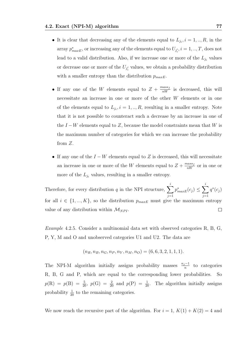- It is clear that decreasing any of the elements equal to  $L_{j_i}, i = 1, ..., R$ , in the array  $p_{maxE}^*$ , or increasing any of the elements equal to  $U_{j_i'}, i = 1, ..., T$ , does not lead to a valid distribution. Also, if we increase one or more of the  $L_{j_i}$  values or decrease one or more of the  $U_{j_i'}$  values, we obtain a probability distribution with a smaller entropy than the distribution  $p_{maxE}$ .
- If any one of the W elements equal to  $Z + \frac{mass_f}{nW}$  is decreased, this will necessitate an increase in one or more of the other W elements or in one of the elements equal to  $L_{j_i}, i = 1, ..., R$ , resulting in a smaller entropy. Note that it is not possible to counteract such a decrease by an increase in one of the  $I - W$  elements equal to Z, because the model constraints mean that W is the maximum number of categories for which we can increase the probability from Z.
- If any one of the  $I W$  elements equal to Z is decreased, this will necessitate an increase in one or more of the W elements equal to  $Z + \frac{mass_f}{nW}$  or in one or more of the  $L_{j_i}$  values, resulting in a smaller entropy.

i i Therefore, for every distribution q in the NPI structure,  $\sum$  $p^*_{maxE}(c_j) \leq \sum$  $q^*(c_j)$  $j=1$  $j=1$ for all  $i \in \{1, ..., K\}$ , so the distribution  $p_{maxE}$  must give the maximum entropy value of any distribution within  $\mathcal{M}_{NPI}$ .  $\Box$ 

Example 4.2.5. Consider a multinomial data set with observed categories R, B, G, P, Y, M and O and unobserved categories U1 and U2. The data are

$$
(n_R, n_B, n_G, n_P, n_Y, n_M, n_O) = (6, 6, 3, 2, 1, 1, 1).
$$

The NPI-M algorithm initially assigns probability masses  $\frac{n_j-1}{n}$  to categories R, B, G and P, which are equal to the corresponding lower probabilities. So  $p(R) = p(B) = \frac{5}{20}$ ,  $p(G) = \frac{2}{20}$  and  $p(P) = \frac{1}{20}$ . The algorithm initially assigns probability  $\frac{1}{20}$  to the remaining categories.

We now reach the recursive part of the algorithm. For  $i = 1, K(1) + K(2) = 4$  and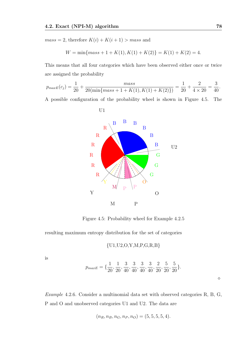$mass = 2$ , therefore  $K(i) + K(i + 1) > mass$  and

U1

$$
W = \min\{mass + 1 + K(1), K(1) + K(2)\} = K(1) + K(2) = 4.
$$

This means that all four categories which have been observed either once or twice are assigned the probability

$$
p_{maxE}(c_j) = \frac{1}{20} + \frac{mass}{20(\min\{mass + 1 + K(1), K(1) + K(2)\})} = \frac{1}{20} + \frac{2}{4 \times 20} = \frac{3}{40}.
$$

A possible configuration of the probability wheel is shown in Figure 4.5. The



Figure 4.5: Probability wheel for Example 4.2.5

resulting maximum entropy distribution for the set of categories

$$
\{U1, U2, O, Y, M, P, G, R, B\}
$$

is

$$
p_{maxE} = \{ \frac{1}{20}, \frac{1}{20}, \frac{3}{40}, \frac{3}{40}, \frac{3}{40}, \frac{3}{40}, \frac{2}{20}, \frac{5}{20}, \frac{5}{20} \}.
$$

 $\Diamond$ 

Example 4.2.6. Consider a multinomial data set with observed categories R, B, G, P and O and unobserved categories U1 and U2. The data are

$$
(n_R, n_B, n_G, n_P, n_O) = (5, 5, 5, 5, 4).
$$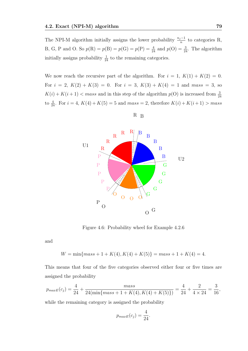The NPI-M algorithm initially assigns the lower probability  $\frac{n_j-1}{n}$  to categories R, B, G, P and O. So  $p(R) = p(B) = p(G) = p(P) = \frac{4}{24}$  and  $p(O) = \frac{3}{24}$ . The algorithm initially assigns probability  $\frac{1}{24}$  to the remaining categories.

We now reach the recursive part of the algorithm. For  $i = 1, K(1) + K(2) = 0$ . For  $i = 2$ ,  $K(2) + K(3) = 0$ . For  $i = 3$ ,  $K(3) + K(4) = 1$  and  $mass = 3$ , so  $K(i) + K(i+1) < mass$  and in this step of the algorithm  $p(O)$  is increased from  $\frac{3}{24}$ to  $\frac{4}{24}$ . For  $i = 4$ ,  $K(4) + K(5) = 5$  and  $mass = 2$ , therefore  $K(i) + K(i + 1) > mass$ 



R B

Figure 4.6: Probability wheel for Example 4.2.6

and

$$
W = \min\{mass + 1 + K(4), K(4) + K(5)\} = mass + 1 + K(4) = 4.
$$

This means that four of the five categories observed either four or five times are assigned the probability

$$
p_{maxE}(c_j) = \frac{4}{24} + \frac{mass}{24(\min\{mass + 1 + K(4), K(4) + K(5)\})} = \frac{4}{24} + \frac{2}{4 \times 24} = \frac{3}{16},
$$

while the remaining category is assigned the probability

$$
p_{maxE}(c_j) = \frac{4}{24}.
$$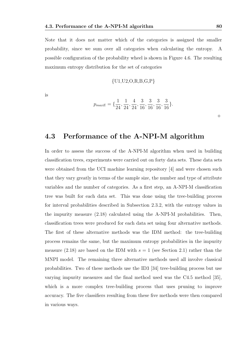Note that it does not matter which of the categories is assigned the smaller probability, since we sum over all categories when calculating the entropy. A possible configuration of the probability wheel is shown in Figure 4.6. The resulting maximum entropy distribution for the set of categories

$$
{U1, U2, O, R, B, G, P}
$$

is

$$
p_{maxE} = \{\frac{1}{24}, \frac{1}{24}, \frac{4}{24}, \frac{3}{16}, \frac{3}{16}, \frac{3}{16}, \frac{3}{16}\}.
$$

### 4.3 Performance of the A-NPI-M algorithm

In order to assess the success of the A-NPI-M algorithm when used in building classification trees, experiments were carried out on forty data sets. These data sets were obtained from the UCI machine learning repository [4] and were chosen such that they vary greatly in terms of the sample size, the number and type of attribute variables and the number of categories. As a first step, an A-NPI-M classification tree was built for each data set. This was done using the tree-building process for interval probabilities described in Subsection 2.3.2, with the entropy values in the impurity measure (2.18) calculated using the A-NPI-M probabilities. Then, classification trees were produced for each data set using four alternative methods. The first of these alternative methods was the IDM method: the tree-building process remains the same, but the maximum entropy probabilities in the impurity measure (2.18) are based on the IDM with  $s = 1$  (see Section 2.1) rather than the MNPI model. The remaining three alternative methods used all involve classical probabilities. Two of these methods use the ID3 [34] tree-building process but use varying impurity measures and the final method used was the C4.5 method [35], which is a more complex tree-building process that uses pruning to improve accuracy. The five classifiers resulting from these five methods were then compared in various ways.

 $\Diamond$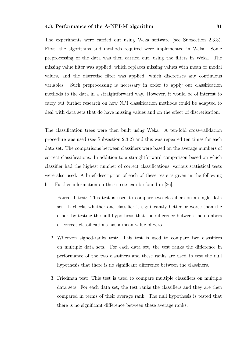The experiments were carried out using Weka software (see Subsection 2.3.3). First, the algorithms and methods required were implemented in Weka. Some preprocessing of the data was then carried out, using the filters in Weka. The missing value filter was applied, which replaces missing values with mean or modal values, and the discretise filter was applied, which discretises any continuous variables. Such preprocessing is necessary in order to apply our classification methods to the data in a straightforward way. However, it would be of interest to carry out further research on how NPI classification methods could be adapted to deal with data sets that do have missing values and on the effect of discretisation.

The classification trees were then built using Weka. A ten-fold cross-validation procedure was used (see Subsection 2.3.2) and this was repeated ten times for each data set. The comparisons between classifiers were based on the average numbers of correct classifications. In addition to a straightforward comparison based on which classifier had the highest number of correct classifications, various statistical tests were also used. A brief description of each of these tests is given in the following list. Further information on these tests can be found in [36].

- 1. Paired T-test: This test is used to compare two classifiers on a single data set. It checks whether one classifier is significantly better or worse than the other, by testing the null hypothesis that the difference between the numbers of correct classifications has a mean value of zero.
- 2. Wilcoxon signed-ranks test: This test is used to compare two classifiers on multiple data sets. For each data set, the test ranks the difference in performance of the two classifiers and these ranks are used to test the null hypothesis that there is no significant difference between the classifiers.
- 3. Friedman test: This test is used to compare multiple classifiers on multiple data sets. For each data set, the test ranks the classifiers and they are then compared in terms of their average rank. The null hypothesis is tested that there is no significant difference between these average ranks.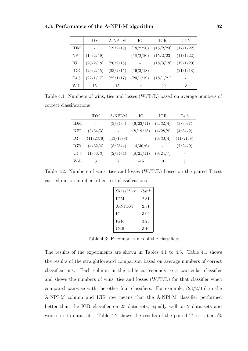|            | <b>IDM</b> | A-NPI-M   | IG        | IGR.      | C <sub>4.5</sub> |
|------------|------------|-----------|-----------|-----------|------------------|
| <b>IDM</b> |            | (19/2/19) | (18/2/20) | (15/2/23) | (17/1/22)        |
| <b>NPI</b> | (19/2/19)  |           | (18/2/20) | (15/2/23) | (17/1/22)        |
| IG         | (20/2/18)  | (20/2/18) |           | (18/3/19) | (19/1/20)        |
| IGR        | (23/2/15)  | (23/2/15) | (19/3/18) |           | (21/1/18)        |
| C4.5       | (22/1/17)  | (22/1/17) | (20/1/19) | (18/1/21) |                  |
| W-L        | 15         | 15        |           | $-20$     | -8               |

Table 4.1: Numbers of wins, ties and losses  $(W/T/L)$  based on average numbers of correct classifications

|                  | <b>IDM</b> | A-NPI-M   | ЮG        | IGR.     | C <sub>4.5</sub> |
|------------------|------------|-----------|-----------|----------|------------------|
| <b>IDM</b>       |            | (3/34/3)  | (6/23/11) | (4/32/4) | (3/36/1)         |
| <b>NPI</b>       | (3/34/3)   |           | (8/19/13) | (4/28/8) | (4/34/2)         |
| IG               | (11/23/6)  | (13/19/8) |           | (6/30/4) | (11/21/8)        |
| IGR              | (4/32/4)   | (8/28/4)  | (4/30/6)  |          | (7/24/9)         |
| C <sub>4.5</sub> | (1/36/3)   | (2/34/4)  | (8/21/11) | (9/24/7) |                  |
| W-L              | 3          | 7         | $-15$     | $\theta$ | 5                |

Table 4.2: Numbers of wins, ties and losses  $(W/T/L)$  based on the paired T-test carried out on numbers of correct classifications

| Classifier | Rank |
|------------|------|
| <b>IDM</b> | 2.81 |
| A-NPI-M    | 2.81 |
| ĪG         | 3.02 |
| <b>IGR</b> | 3.25 |
| C4.5       | 3.10 |

Table 4.3: Friedman ranks of the classifiers

The results of the experiments are shown in Tables 4.1 to 4.3. Table 4.1 shows the results of the straightforward comparison based on average numbers of correct classifications. Each column in the table corresponds to a particular classifier and shows the numbers of wins, ties and losses  $(W/T/L)$  for that classifier when compared pairwise with the other four classifiers. For example, (23/2/15) in the A-NPI-M column and IGR row means that the A-NPI-M classifier performed better than the IGR classifier on 23 data sets, equally well on 2 data sets and worse on 15 data sets. Table 4.2 shows the results of the paired T-test at a 5%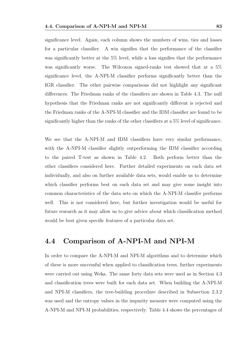significance level. Again, each column shows the numbers of wins, ties and losses for a particular classifier. A win signifies that the performance of the classifier was significantly better at the 5% level, while a loss signifies that the performance was significantly worse. The Wilcoxon signed-ranks test showed that at a 5% significance level, the A-NPI-M classifier performs significantly better than the IGR classifier. The other pairwise comparisons did not highlight any significant differences. The Friedman ranks of the classifiers are shown in Table 4.3. The null hypothesis that the Friedman ranks are not significantly different is rejected and the Friedman ranks of the A-NPI-M classifier and the IDM classifier are found to be significantly higher than the ranks of the other classifiers at a 5% level of significance.

We see that the A-NPI-M and IDM classifiers have very similar performance, with the A-NPI-M classifier slightly outperforming the IDM classifier according to the paired T-test as shown in Table 4.2. Both perform better than the other classifiers considered here. Further detailed experiments on each data set individually, and also on further available data sets, would enable us to determine which classifier performs best on each data set and may give some insight into common characteristics of the data sets on which the A-NPI-M classifer performs well. This is not considered here, but further investigation would be useful for future research as it may allow us to give advice about which classification method would be best given specific features of a particular data set.

## 4.4 Comparison of A-NPI-M and NPI-M

In order to compare the A-NPI-M and NPI-M algorithms and to determine which of these is more successful when applied to classification trees, further experiments were carried out using Weka. The same forty data sets were used as in Section 4.3 and classification trees were built for each data set. When building the A-NPI-M and NPI-M classifiers, the tree-building procedure described in Subsection 2.3.2 was used and the entropy values in the impurity measure were computed using the A-NPI-M and NPI-M probabilities, respectively. Table 4.4 shows the percentages of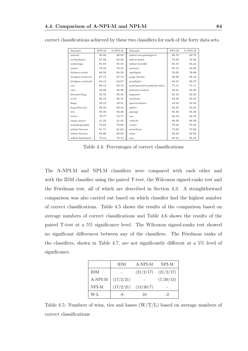| Dataset          | $NPI-M$ | $A-NPI-M$ | Dataset                    | $NPI-M$ | $A-NPI-M$ |
|------------------|---------|-----------|----------------------------|---------|-----------|
| anneal           | 99.09   | 99.09     | mfeat-morphological        | 69.78   | 69.78     |
| arrhythmia       | 67.88   | 68.06     | mfeat-pixel                | 79.99   | 79.92     |
| audiology        | 85.04   | 85.04     | mfeat-zernike              | 64.19   | 64.24     |
| autos            | 78.45   | 78.25     | nursery                    | 95.15   | 94.99     |
| balance-scale    | 69.59   | 69.59     | optdigits                  | 78.95   | 78.98     |
| bridges-version1 | 67.74   | 67.74     | page-blocks                | 96.08   | 96.10     |
| bridges-version2 | 64.15   | 63.87     | pendigits                  | 89.37   | 89.37     |
| $_{\rm car}$     | 90.13   | 90.13     | postoperative-patient-data | 71.11   | 71.11     |
| $_{\rm cmc}$     | 48.98   | 48.98     | primary-tumor              | 39.21   | 39.48     |
| dermatology      | 93.43   | 93.46     | segment                    | 94.18   | 94.20     |
| ecoli            | 80.19   | 80.19     | soybean                    | 93.29   | 93.35     |
| flags            | 59.12   | 59.27     | spectrometer               | 43.32   | 43.33     |
| hypothyroid      | 99.33   | 99.33     | splice                     | 93.25   | 93.25     |
| iris             | 93.40   | 93.40     | sponge                     | 94.48   | 94.48     |
| letter           | 78.77   | 78.77     | tae                        | 46.78   | 46.78     |
| lung-cancer      | 41.33   | 41.33     | vehicle                    | 69.39   | 69.39     |
| lymphography     | 73.68   | 73.68     | vowel                      | 75.92   | 75.95     |
| mfeat-factors    | 81.71   | 81.68     | waveform                   | 73.99   | 73.99     |
| mfeat-fourier    | 68.90   | 68.92     | wine                       | 92.02   | 92.02     |
| mfeat-karhunen   | 73.14   | 73.15     | zoo                        | 95.53   | 95.53     |

correct classifications achieved by these two classifiers for each of the forty data sets.

Table 4.4: Percentages of correct classifications

The A-NPI-M and NPI-M classifiers were compared with each other and with the IDM classifier using the paired T-test, the Wilcoxon signed-ranks test and the Friedman test, all of which are described in Section 4.3. A straightforward comparison was also carried out based on which classifier had the highest number of correct classifications. Table 4.5 shows the results of the comparison based on average numbers of correct classifications and Table 4.6 shows the results of the paired T-test at a 5% significance level. The Wilcoxon signed-ranks test showed no significant differences between any of the classifiers. The Friedman ranks of the classifiers, shown in Table 4.7, are not significantly different at a 5% level of significance.

|            | <b>IDM</b> | A-NPI-M   | NPI-M     |
|------------|------------|-----------|-----------|
| <b>IDM</b> |            | (21/2/17) | (21/2/17) |
| A-NPI-M    | (17/2/21)  |           | (7/20/13) |
| NPI-M      | (17/2/21)  | (13/20/7) |           |
| W-L        | -8         | 10        | -2        |

Table 4.5: Numbers of wins, ties and losses  $(W/T/L)$  based on average numbers of correct classifications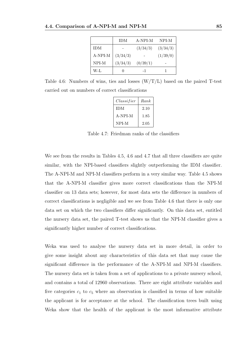|            | <b>IDM</b> | A-NPI-M  | NPI-M    |
|------------|------------|----------|----------|
| <b>IDM</b> |            | (3/34/3) | (3/34/3) |
| A-NPI-M    | (3/34/3)   |          | (1/39/0) |
| NPI-M      | (3/34/3)   | (0/39/1) |          |
| W-L        | 0          | - 1      |          |

Table 4.6: Numbers of wins, ties and losses  $(W/T/L)$  based on the paired T-test carried out on numbers of correct classifications

| Classifier | Rank |
|------------|------|
| <b>IDM</b> | 2.10 |
| A-NPI-M    | 1.85 |
| NPI-M      | 2.05 |

Table 4.7: Friedman ranks of the classifiers

We see from the results in Tables 4.5, 4.6 and 4.7 that all three classifiers are quite similar, with the NPI-based classifiers slightly outperforming the IDM classifier. The A-NPI-M and NPI-M classifiers perform in a very similar way. Table 4.5 shows that the A-NPI-M classifier gives more correct classifications than the NPI-M classifier on 13 data sets; however, for most data sets the difference in numbers of correct classifications is negligible and we see from Table 4.6 that there is only one data set on which the two classifiers differ significantly. On this data set, entitled the nursery data set, the paired T-test shows us that the NPI-M classifier gives a significantly higher number of correct classifications.

Weka was used to analyse the nursery data set in more detail, in order to give some insight about any characteristics of this data set that may cause the significant difference in the performance of the A-NPI-M and NPI-M classifiers. The nursery data set is taken from a set of applications to a private nursery school, and contains a total of 12960 observations. There are eight attribute variables and five categories  $c_1$  to  $c_5$  where an observation is classified in terms of how suitable the applicant is for acceptance at the school. The classification trees built using Weka show that the health of the applicant is the most informative attribute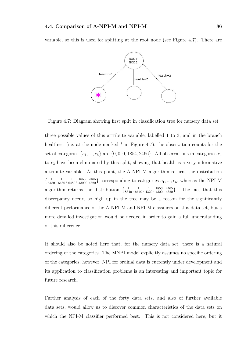variable, so this is used for splitting at the root node (see Figure 4.7). There are



Figure 4.7: Diagram showing first split in classification tree for nursery data set

three possible values of this attribute variable, labelled 1 to 3, and in the branch health=1 (i.e. at the node marked  $*$  in Figure 4.7), the observation counts for the set of categories  $\{c_1,...,c_5\}$  are  $\{0,0,0,1854,2466\}$ . All observations in categories  $c_1$ to  $c_3$  have been eliminated by this split, showing that health is a very informative attribute variable. At this point, the A-NPI-M algorithm returns the distribution  $\{\frac{1}{6480}, \frac{1}{6480}, \frac{1}{6480}, \frac{1853}{4320}, \frac{2465}{4320}\}\$  corresponding to categories  $c_1, ..., c_5$ , whereas the NPI-M algorithm returns the distribution  $\{\frac{1}{8640}, \frac{1}{8640}, \frac{1}{4320}, \frac{1}{4320}, \frac{1853}{4320}\}$ . The fact that this discrepancy occurs so high up in the tree may be a reason for the significantly different performance of the A-NPI-M and NPI-M classifiers on this data set, but a more detailed investigation would be needed in order to gain a full understanding of this difference.

It should also be noted here that, for the nursery data set, there is a natural ordering of the categories. The MNPI model explicitly assumes no specific ordering of the categories; however, NPI for ordinal data is currently under development and its application to classification problems is an interesting and important topic for future research.

Further analysis of each of the forty data sets, and also of further available data sets, would allow us to discover common characteristics of the data sets on which the NPI-M classifier performed best. This is not considered here, but it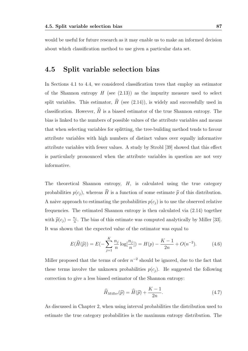would be useful for future research as it may enable us to make an informed decision about which classification method to use given a particular data set.

### 4.5 Split variable selection bias

In Sections 4.1 to 4.4, we considered classification trees that employ an estimator of the Shannon entropy  $H$  (see (2.13)) as the impurity measure used to select split variables. This estimator,  $\widehat{H}$  (see (2.14)), is widely and successfully used in classification. However,  $\widehat{H}$  is a biased estimator of the true Shannon entropy. The bias is linked to the numbers of possible values of the attribute variables and means that when selecting variables for splitting, the tree-building method tends to favour attribute variables with high numbers of distinct values over equally informative attribute variables with fewer values. A study by Strobl [39] showed that this effect is particularly pronounced when the attribute variables in question are not very informative.

The theoretical Shannon entropy,  $H$ , is calculated using the true category probabilities  $p(c_j)$ , whereas  $\widehat{H}$  is a function of some estimate  $\widehat{p}$  of this distribution. A naive approach to estimating the probabilities  $p(c_i)$  is to use the observed relative frequencies. The estimated Shannon entropy is then calculated via (2.14) together with  $\hat{p}(c_j) = \frac{n_j}{n}$ . The bias of this estimate was computed analytically by Miller [33]. It was shown that the expected value of the estimator was equal to

$$
E(\widehat{H}(\widehat{p})) = E(-\sum_{j=1}^{K} \frac{n_j}{n} \log[\frac{n_j}{n}]) = H(p) - \frac{K-1}{2n} + O(n^{-2}).
$$
 (4.6)

Miller proposed that the terms of order  $n^{-2}$  should be ignored, due to the fact that these terms involve the unknown probabilities  $p(c_j)$ . He suggested the following correction to give a less biased estimator of the Shannon entropy:

$$
\widehat{H}_{Miller}(\widehat{p}) = \widehat{H}(\widehat{p}) + \frac{K - 1}{2n}.
$$
\n(4.7)

As discussed in Chapter 2, when using interval probabilities the distribution used to estimate the true category probabilities is the maximum entropy distribution. The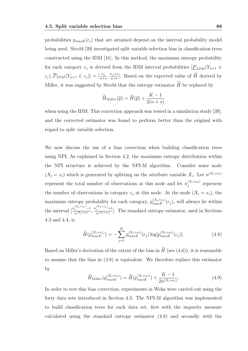probabilities  $p_{maxE}(c_i)$  that are attained depend on the interval probability model being used. Strobl [39] investigated split variable selection bias in classification trees constructed using the IDM [41]. In this method, the maximum entropy probability for each category  $c_j$  is derived from the IDM interval probabilities  $[\underline{P}_{IDM}(Y_{n+1} \in$  $(c_j)$ ,  $\overline{P}_{IDM}(Y_{n+1} \in c_j)] = [\frac{n_j}{n+s}, \frac{n_j+s}{n+s}]$  $\frac{n_j+s}{n+s}$ . Based on the expected value of H derived by Miller, it was suggested by Strobl that the entropy estimator  $\widehat{H}$  be replaced by

$$
\widehat{H}_{Miller}(\widehat{p}) = \widehat{H}(\widehat{p}) + \frac{K - 1}{2(n + s)}
$$

when using the IDM. This correction approach was tested in a simulation study [39], and the corrected estimator was found to perform better than the original with regard to split variable selection.

We now discuss the use of a bias correction when building classification trees using NPI. As explained in Section 4.2, the maximum entropy distribution within the NPI structure is achieved by the NPI-M algorithm. Consider some node  $(X_i = x_i)$  which is generated by splitting on the attribute variable  $X_i$ . Let  $n^{(X_i=x_i)}$ represent the total number of observations at this node and let  $n_i^{(X_i=x_i)}$  $y_j^{(A_i=x_i)}$  represent the number of observations in category  $c_j$  at this node. At the node  $(X_i = x_i)$ , the maximum entropy probability for each category,  $p_{maxE}^{(X_i=x_i)}(c_j)$ , will always lie within the interval  $\left[\frac{n_j^{(X_i=x_i)}-1}{n_j^{(X_i=x_i)}}\right]$  $\frac{n_j^{(X_i=x_i)}-1}{n^{(X_i=x_i)}}, \frac{n_j^{(X_i=x_i)}+1}{n^{(X_i=x_i)}}$  $\frac{j}{n^{(X_i=x_i)}}$ . The standard entropy estimator, used in Sections 4.3 and 4.4, is

$$
\widehat{H}(p_{maxE}^{(X_i=x_i)}) = -\sum_{j=1}^{K} p_{maxE}^{(X_i=x_i)}(c_j) \log[p_{maxE}^{(X_i=x_i)}(c_j)].
$$
\n(4.8)

Based on Miller's derivation of the extent of the bias in  $\widehat{H}$  (see (4.6)), it is reasonable to assume that the bias in (4.8) is equivalent. We therefore replace this estimator by

$$
\widehat{H}_{Miller}(p_{maxE}^{(X_i=x_i)}) = \widehat{H}(p_{maxE}^{(X_i=x_i)}) + \frac{K-1}{2n^{(X_i=x_i)}}.
$$
\n(4.9)

In order to test this bias correction, experiments in Weka were carried out using the forty data sets introduced in Section 4.3. The NPI-M algorithm was implemented to build classification trees for each data set, first with the impurity measure calculated using the standard entropy estimator (4.8) and secondly with the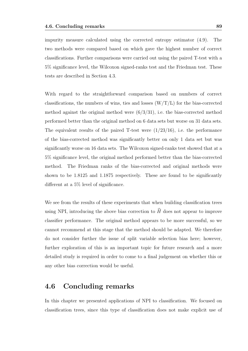impurity measure calculated using the corrected entropy estimator (4.9). The two methods were compared based on which gave the highest number of correct classifications. Further comparisons were carried out using the paired T-test with a 5% significance level, the Wilcoxon signed-ranks test and the Friedman test. These tests are described in Section 4.3.

With regard to the straightforward comparison based on numbers of correct classifications, the numbers of wins, ties and losses  $(W/T/L)$  for the bias-corrected method against the original method were  $(6/3/31)$ , i.e. the bias-corrected method performed better than the original method on 6 data sets but worse on 31 data sets. The equivalent results of the paired T-test were  $(1/23/16)$ , i.e. the performance of the bias-corrected method was significantly better on only 1 data set but was significantly worse on 16 data sets. The Wilcoxon signed-ranks test showed that at a 5% significance level, the original method performed better than the bias-corrected method. The Friedman ranks of the bias-corrected and original methods were shown to be 1.8125 and 1.1875 respectively. These are found to be significantly different at a 5% level of significance.

We see from the results of these experiments that when building classification trees using NPI, introducing the above bias correction to  $\widehat{H}$  does not appear to improve classifier performance. The original method appears to be more successful, so we cannot recommend at this stage that the method should be adapted. We therefore do not consider further the issue of split variable selection bias here; however, further exploration of this is an important topic for future research and a more detailed study is required in order to come to a final judgement on whether this or any other bias correction would be useful.

### 4.6 Concluding remarks

In this chapter we presented applications of NPI to classification. We focused on classification trees, since this type of classification does not make explicit use of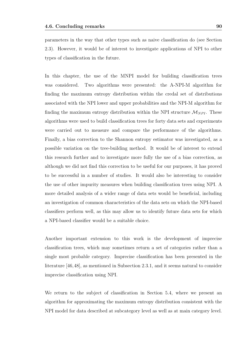parameters in the way that other types such as naive classification do (see Section 2.3). However, it would be of interest to investigate applications of NPI to other types of classification in the future.

In this chapter, the use of the MNPI model for building classification trees was considered. Two algorithms were presented: the A-NPI-M algorithm for finding the maximum entropy distribution within the credal set of distributions associated with the NPI lower and upper probabilities and the NPI-M algorithm for finding the maximum entropy distribution within the NPI structure  $\mathcal{M}_{NPI}$ . These algorithms were used to build classification trees for forty data sets and experiments were carried out to measure and compare the performance of the algorithms. Finally, a bias correction to the Shannon entropy estimator was investigated, as a possible variation on the tree-building method. It would be of interest to extend this research further and to investigate more fully the use of a bias correction, as although we did not find this correction to be useful for our purposes, it has proved to be successful in a number of studies. It would also be interesting to consider the use of other impurity measures when building classification trees using NPI. A more detailed analysis of a wider range of data sets would be beneficial, including an investigation of common characteristics of the data sets on which the NPI-based classifiers perform well, as this may allow us to identify future data sets for which a NPI-based classifier would be a suitable choice.

Another important extension to this work is the development of imprecise classification trees, which may sometimes return a set of categories rather than a single most probable category. Imprecise classification has been presented in the literature [46,48], as mentioned in Subsection 2.3.1, and it seems natural to consider imprecise classification using NPI.

We return to the subject of classification in Section 5.4, where we present an algorithm for approximating the maximum entropy distribution consistent with the NPI model for data described at subcategory level as well as at main category level.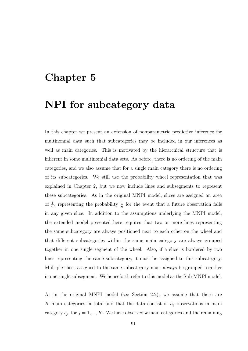# Chapter 5

# NPI for subcategory data

In this chapter we present an extension of nonparametric predictive inference for multinomial data such that subcategories may be included in our inferences as well as main categories. This is motivated by the hierarchical structure that is inherent in some multinomial data sets. As before, there is no ordering of the main categories, and we also assume that for a single main category there is no ordering of its subcategories. We still use the probability wheel representation that was explained in Chapter 2, but we now include lines and subsegments to represent these subcategories. As in the original MNPI model, slices are assigned an area of  $\frac{1}{n}$ , representing the probability  $\frac{1}{n}$  for the event that a future observation falls in any given slice. In addition to the assumptions underlying the MNPI model, the extended model presented here requires that two or more lines representing the same subcategory are always positioned next to each other on the wheel and that different subcategories within the same main category are always grouped together in one single segment of the wheel. Also, if a slice is bordered by two lines representing the same subcategory, it must be assigned to this subcategory. Multiple slices assigned to the same subcategory must always be grouped together in one single subsegment. We henceforth refer to this model as the Sub-MNPI model.

As in the original MNPI model (see Section 2.2), we assume that there are K main categories in total and that the data consist of  $n<sub>j</sub>$  observations in main category  $c_j$ , for  $j = 1, ..., K$ . We have observed k main categories and the remaining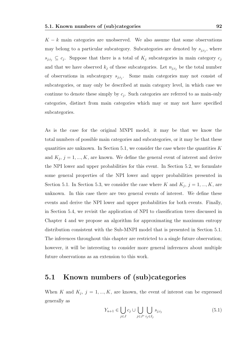$K - k$  main categories are unobserved. We also assume that some observations may belong to a particular subcategory. Subcategories are denoted by  $s_{j,i_j}$ , where  $s_{j,i_j} \subseteq c_j$ . Suppose that there is a total of  $K_j$  subcategories in main category  $c_j$ and that we have observed  $k_j$  of these subcategories. Let  $n_{j,i_j}$  be the total number of observations in subcategory  $s_{j,i_j}$ . Some main categories may not consist of subcategories, or may only be described at main category level, in which case we continue to denote these simply by  $c_j$ . Such categories are referred to as main-only categories, distinct from main categories which may or may not have specified subcategories.

As is the case for the original MNPI model, it may be that we know the total numbers of possible main categories and subcategories, or it may be that these quantities are unknown. In Section 5.1, we consider the case where the quantities  $K$ and  $K_j$ ,  $j = 1, ..., K$ , are known. We define the general event of interest and derive the NPI lower and upper probabilities for this event. In Section 5.2, we formulate some general properties of the NPI lower and upper probabilities presented in Section 5.1. In Section 5.3, we consider the case where K and  $K_j$ ,  $j = 1, ..., K$ , are unknown. In this case there are two general events of interest. We define these events and derive the NPI lower and upper probabilities for both events. Finally, in Section 5.4, we revisit the application of NPI to classification trees discussed in Chapter 4 and we propose an algorithm for approximating the maximum entropy distribution consistent with the Sub-MNPI model that is presented in Section 5.1. The inferences throughout this chapter are restricted to a single future observation; however, it will be interesting to consider more general inferences about multiple future observations as an extension to this work.

### 5.1 Known numbers of (sub)categories

When K and  $K_j$ ,  $j = 1, ..., K$ , are known, the event of interest can be expressed generally as

$$
Y_{n+1} \in \bigcup_{j \in J} c_j \cup \bigcup_{j \in J^*} \bigcup_{i_j \in I_j} s_{j,i_j} \tag{5.1}
$$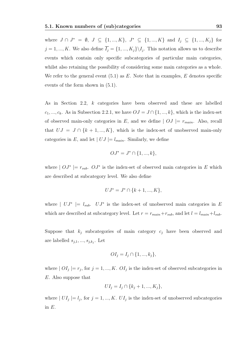where  $J \cap J^* = \emptyset, J \subseteq \{1, ..., K\}, J^* \subseteq \{1, ..., K\}$  and  $I_j \subseteq \{1, ..., K_j\}$  for  $j = 1, ..., K$ . We also define  $I_j = \{1, ..., K_j\} \backslash I_j$ . This notation allows us to describe events which contain only specific subcategories of particular main categories, whilst also retaining the possibility of considering some main categories as a whole. We refer to the general event  $(5.1)$  as E. Note that in examples, E denotes specific events of the form shown in (5.1).

As in Section 2.2, k categories have been observed and these are labelled  $c_1, ..., c_k$ . As in Subsection 2.2.1, we have  $OJ = J \cap \{1, ..., k\}$ , which is the index-set of observed main-only categories in E, and we define  $|OJ| = r_{main}$ . Also, recall that  $UJ = J \cap \{k+1, ..., K\}$ , which is the index-set of unobserved main-only categories in E, and let  $| UJ | = l_{main}$ . Similarly, we define

$$
OJ^* = J^* \cap \{1, ..., k\},\
$$

where  $|OJ^*| = r_{sub}$ .  $OJ^*$  is the index-set of observed main categories in E which are described at subcategory level. We also define

$$
UJ^* = J^* \cap \{k+1, ..., K\},\
$$

where  $| U J^* | = l_{sub}$ .  $U J^*$  is the index-set of unobserved main categories in E which are described at subcategory level. Let  $r = r_{main} + r_{sub}$ , and let  $l = l_{main} + l_{sub}$ .

Suppose that  $k_j$  subcategories of main category  $c_j$  have been observed and are labelled  $s_{j,1},...,s_{j,k_j}$ . Let

$$
OI_j = I_j \cap \{1, ..., k_j\},
$$

where  $|OI_j| = r_j$ , for  $j = 1, ..., K$ .  $OI_j$  is the index-set of observed subcategories in E. Also suppose that

$$
UI_j = I_j \cap \{k_j + 1, ..., K_j\},\
$$

where  $|UI_j| = l_j$ , for  $j = 1, ..., K$ .  $UI_j$  is the index-set of unobserved subcategories in  $E$ .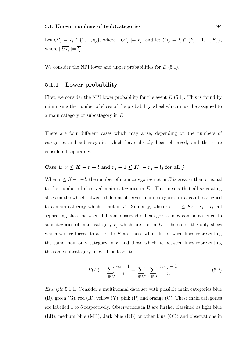Let  $OI_j = I_j \cap \{1, ..., k_j\}$ , where  $|OI_j| = \overline{r_j}$ , and let  $UI_j = I_j \cap \{k_j + 1, ..., K_j\}$ , where  $|UI_j|=l_j$ .

We consider the NPI lower and upper probabilities for  $E(5.1)$ .

#### 5.1.1 Lower probability

First, we consider the NPI lower probability for the event  $E(5.1)$ . This is found by minimising the number of slices of the probability wheel which must be assigned to a main category or subcategory in E.

There are four different cases which may arise, depending on the numbers of categories and subcategories which have already been observed, and these are considered separately.

### Case 1:  $r \leq K - r - l$  and  $r_j - 1 \leq K_j - r_j - l_j$  for all j

When  $r \leq K - r - l$ , the number of main categories not in E is greater than or equal to the number of observed main categories in  $E$ . This means that all separating slices on the wheel between different observed main categories in E can be assigned to a main category which is not in E. Similarly, when  $r_j - 1 \leq K_j - r_j - l_j$ , all separating slices between different observed subcategories in E can be assigned to subcategories of main category  $c_j$  which are not in E. Therefore, the only slices which we are forced to assign to  $E$  are those which lie between lines representing the same main-only category in  $E$  and those which lie between lines representing the same subcategory in  $E$ . This leads to

$$
\underline{P}(E) = \sum_{j \in OJ} \frac{n_j - 1}{n} + \sum_{j \in OJ^*} \sum_{i_j \in OI_j} \frac{n_{j,i_j} - 1}{n}.
$$
\n(5.2)

Example 5.1.1. Consider a multinomial data set with possible main categories blue (B), green (G), red (R), yellow (Y), pink (P) and orange (O). These main categories are labelled 1 to 6 respectively. Observations in B are further classified as light blue (LB), medium blue (MB), dark blue (DB) or other blue (OB) and observations in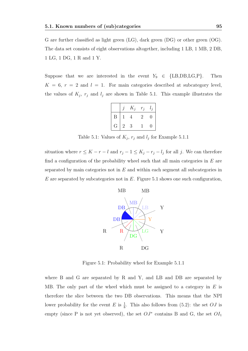G are further classified as light green (LG), dark green (DG) or other green (OG). The data set consists of eight observations altogether, including 1 LB, 1 MB, 2 DB, 1 LG, 1 DG, 1 R and 1 Y.

Suppose that we are interested in the event  $Y_9 \in \{LB, DB, LG, P\}$ . Then  $K = 6, r = 2$  and  $l = 1$ . For main categories described at subcategory level, the values of  $K_j$ ,  $r_j$  and  $l_j$  are shown in Table 5.1. This example illustrates the

|   |   | $K_i$ | $r_i$ | $l_i$ |
|---|---|-------|-------|-------|
| Β |   |       | 2     | 0     |
| G | 2 | 3     |       | 0     |

Table 5.1: Values of  $K_j$ ,  $r_j$  and  $l_j$  for Example 5.1.1

situation where  $r \leq K - r - l$  and  $r_j - 1 \leq K_j - r_j - l_j$  for all j. We can therefore find a configuration of the probability wheel such that all main categories in  $E$  are separated by main categories not in  $E$  and within each segment all subcategories in  $E$  are separated by subcategories not in  $E$ . Figure 5.1 shows one such configuration,



Figure 5.1: Probability wheel for Example 5.1.1

where B and G are separated by R and Y, and LB and DB are separated by MB. The only part of the wheel which must be assigned to a category in  $E$  is therefore the slice between the two DB observations. This means that the NPI lower probability for the event E is  $\frac{1}{8}$ . This also follows from (5.2): the set OJ is empty (since P is not yet observed), the set  $OJ^*$  contains B and G, the set  $OI_1$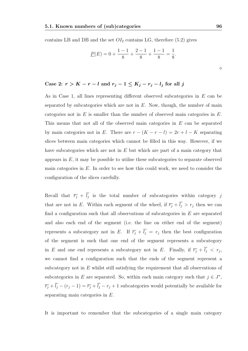contains LB and DB and the set  $OI_2$  contains LG, therefore (5.2) gives

$$
\underline{P}(E) = 0 + \frac{1-1}{8} + \frac{2-1}{8} + \frac{1-1}{8} = \frac{1}{8}.
$$

## Case 2:  $r > K - r - l$  and  $r_j - 1 \le K_j - r_j - l_j$  for all j

As in Case 1, all lines representing different observed subcategories in E can be separated by subcategories which are not in  $E$ . Now, though, the number of main categories not in  $E$  is smaller than the number of observed main categories in  $E$ . This means that not all of the observed main categories in E can be separated by main categories not in E. There are  $r - (K - r - l) = 2r + l - K$  separating slices between main categories which cannot be filled in this way. However, if we have subcategories which are not in  $E$  but which are part of a main category that appears in  $E$ , it may be possible to utilise these subcategories to separate observed main categories in  $E$ . In order to see how this could work, we need to consider the configuration of the slices carefully.

Recall that  $\overline{r_j}$  +  $l_j$  is the total number of subcategories within category j that are not in E. Within each segment of the wheel, if  $\overline{r_j} + \overline{l_j} > r_j$  then we can find a configuration such that all observations of subcategories in  $E$  are separated and also each end of the segment (i.e. the line on either end of the segment) represents a subcategory not in E. If  $\overline{r_j} + \overline{l_j} = r_j$  then the best configuration of the segment is such that one end of the segment represents a subcategory in E and one end represents a subcategory not in E. Finally, if  $\overline{r_j} + l_j \leq r_j$ , we cannot find a configuration such that the ends of the segment represent a subcategory not in  $E$  whilst still satisfying the requirement that all observations of subcategories in E are separated. So, within each main category such that  $j \in J^*$ ,  $\overline{r_j}$  +  $\overline{l_j}$  –  $(r_j - 1) = \overline{r_j} + \overline{l_j} - r_j + 1$  subcategories would potentially be available for separating main categories in E.

It is important to remember that the subcategories of a single main category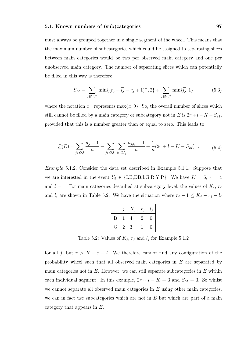must always be grouped together in a single segment of the wheel. This means that the maximum number of subcategories which could be assigned to separating slices between main categories would be two per observed main category and one per unobserved main category. The number of separating slices which can potentially be filled in this way is therefore

$$
S_M = \sum_{j \in OJ^*} \min\{ (\overline{r_j} + \overline{l_j} - r_j + 1)^+, 2 \} + \sum_{j \in UJ^*} \min\{ \overline{l_j}, 1 \}
$$
(5.3)

where the notation  $x^+$  represents max $\{x, 0\}$ . So, the overall number of slices which still cannot be filled by a main category or subcategory not in E is  $2r + l - K - S_M$ , provided that this is a number greater than or equal to zero. This leads to

$$
\underline{P}(E) = \sum_{j \in OJ} \frac{n_j - 1}{n} + \sum_{j \in OJ^*} \sum_{i \in OI_j} \frac{n_{j, i_j} - 1}{n} + \frac{1}{n} (2r + l - K - S_M)^+.
$$
 (5.4)

Example 5.1.2. Consider the data set described in Example 5.1.1. Suppose that we are interested in the event  $Y_9 \in \{LB, DB, LG, R, Y, P\}$ . We have  $K = 6, r = 4$ and  $l = 1$ . For main categories described at subcategory level, the values of  $K_j$ ,  $r_j$ and  $l_j$  are shown in Table 5.2. We have the situation where  $r_j - 1 \leq K_j - r_j - l_j$ 

|   |   | $K_i$          | $r_i$         | $l_{\cdot i}$ |
|---|---|----------------|---------------|---------------|
| Β |   |                | $\mathcal{L}$ | 0             |
| G | 2 | $\overline{3}$ |               | 0             |

Table 5.2: Values of  $K_j$ ,  $r_j$  and  $l_j$  for Example 5.1.2

for all j, but  $r > K - r - l$ . We therefore cannot find any configuration of the probability wheel such that all observed main categories in E are separated by main categories not in  $E$ . However, we can still separate subcategories in  $E$  within each individual segment. In this example,  $2r + l - K = 3$  and  $S_M = 3$ . So whilst we cannot separate all observed main categories in  $E$  using other main categories, we can in fact use subcategories which are not in  $E$  but which are part of a main category that appears in E.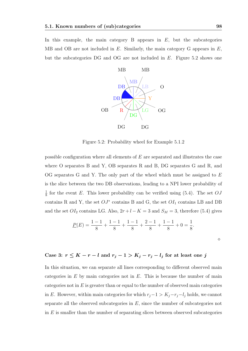In this example, the main category B appears in  $E$ , but the subcategories MB and OB are not included in  $E$ . Similarly, the main category G appears in  $E$ , but the subcategories DG and OG are not included in E. Figure 5.2 shows one



Figure 5.2: Probability wheel for Example 5.1.2

possible configuration where all elements of  $E$  are separated and illustrates the case where O separates B and Y, OB separates R and B, DG separates G and R, and OG separates G and Y. The only part of the wheel which must be assigned to E is the slice between the two DB observations, leading to a NPI lower probability of 1  $\frac{1}{8}$  for the event E. This lower probability can be verified using (5.4). The set  $OJ$ contains R and Y, the set  $OJ^*$  contains B and G, the set  $OI_1$  contains LB and DB and the set  $OI_2$  contains LG. Also,  $2r + l - K = 3$  and  $S_M = 3$ , therefore (5.4) gives

$$
\underline{P}(E) = \frac{1-1}{8} + \frac{1-1}{8} + \frac{1-1}{8} + \frac{2-1}{8} + \frac{1-1}{8} + 0 = \frac{1}{8}.
$$

Case 3: 
$$
r \leq K - r - l
$$
 and  $r_j - 1 > K_j - r_j - l_j$  for at least one j

In this situation, we can separate all lines corresponding to different observed main categories in  $E$  by main categories not in  $E$ . This is because the number of main categories not in  $E$  is greater than or equal to the number of observed main categories in E. However, within main categories for which  $r_j-1 > K_j-r_j-l_j$  holds, we cannot separate all the observed subcategories in  $E$ , since the number of subcategories not in  $E$  is smaller than the number of separating slices between observed subcategories

 $\Diamond$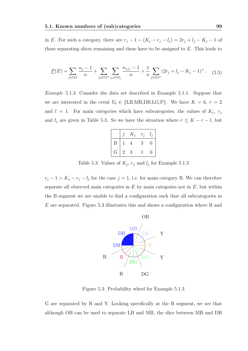in E. For such a category, there are  $r_j - 1 - (K_j - r_j - l_j) = 2r_j + l_j - K_j - 1$  of these separating slices remaining and these have to be assigned to E. This leads to

$$
\underline{P}(E) = \sum_{j \in OJ} \frac{n_j - 1}{n} + \sum_{j \in OJ^*} \sum_{i_j \in OI_j} \frac{n_{j,i_j} - 1}{n} + \frac{1}{n} \sum_{j \in OJ^*} (2r_j + l_j - K_j - 1)^+.
$$
 (5.5)

Example 5.1.3. Consider the data set described in Example 5.1.1. Suppose that we are interested in the event  $Y_9 \in \{LB, MB, DB, LG, P\}$ . We have  $K = 6, r = 2$ and  $l = 1$ . For main categories which have subcategories, the values of  $K_j$ ,  $r_j$ and  $l_j$  are given in Table 5.3. So we have the situation where  $r \leq K - r - l$ , but

|   |   | $K_i$ | $r_j$ | $l_i$    |
|---|---|-------|-------|----------|
| B |   | 4     | 3     | 0        |
| G | 2 | 3     |       | $^{(1)}$ |

Table 5.3: Values of  $K_j$ ,  $r_j$  and  $l_j$  for Example 5.1.3

 $r_j - 1 > K_j - r_j - l_j$  for the case  $j = 1$ , i.e. for main category B. We can therefore separate all observed main categories in  $E$  by main categories not in  $E$ , but within the B segment we are unable to find a configuration such that all subcategories in E are separated. Figure 5.3 illustrates this and shows a configuration where B and



Figure 5.3: Probability wheel for Example 5.1.3

G are separated by R and Y. Looking specifically at the B segment, we see that although OB can be used to separate LB and MB, the slice between MB and DB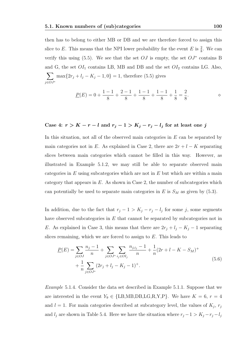then has to belong to either MB or DB and we are therefore forced to assign this slice to E. This means that the NPI lower probability for the event E is  $\frac{2}{8}$ . We can verify this using (5.5). We see that the set  $OJ$  is empty, the set  $OJ^*$  contains B and G, the set  $OI_1$  contains LB, MB and DB and the set  $OI_2$  contains LG. Also,  $\sum$ j∈OJ<sup>∗</sup>  $\max\{2r_j + l_j - K_j - 1, 0\} = 1$ , therefore (5.5) gives

$$
\underline{P}(E) = 0 + \frac{1-1}{8} + \frac{2-1}{8} + \frac{1-1}{8} + \frac{1-1}{8} + \frac{1}{8} = \frac{2}{8}.
$$

#### Case 4:  $r > K - r - l$  and  $r_j - 1 > K_j - r_j - l_j$  for at least one j

In this situation, not all of the observed main categories in  $E$  can be separated by main categories not in E. As explained in Case 2, there are  $2r + l - K$  separating slices between main categories which cannot be filled in this way. However, as illustrated in Example 5.1.2, we may still be able to separate observed main categories in  $E$  using subcategories which are not in  $E$  but which are within a main category that appears in  $E$ . As shown in Case 2, the number of subcategories which can potentially be used to separate main categories in E is  $S_M$  as given by (5.3).

In addition, due to the fact that  $r_j - 1 > K_j - r_j - l_j$  for some j, some segments have observed subcategories in  $E$  that cannot be separated by subcategories not in E. As explained in Case 3, this means that there are  $2r_j + l_j - K_j - 1$  separating slices remaining, which we are forced to assign to E. This leads to

$$
\underline{P}(E) = \sum_{j \in OJ} \frac{n_j - 1}{n} + \sum_{j \in OJ^*} \sum_{i_j \in OI_j} \frac{n_{j,i_j} - 1}{n} + \frac{1}{n} (2r + l - K - S_M)^+ + \frac{1}{n} \sum_{j \in OJ^*} (2r_j + l_j - K_j - 1)^+.
$$
\n(5.6)

Example 5.1.4. Consider the data set described in Example 5.1.1. Suppose that we are interested in the event  $Y_9 \in \{LB, MB, DB, LG, R, Y, P\}$ . We have  $K = 6, r = 4$ and  $l = 1$ . For main categories described at subcategory level, the values of  $K_j$ ,  $r_j$ and  $l_j$  are shown in Table 5.4. Here we have the situation where  $r_j - 1 > K_j - r_j - l_j$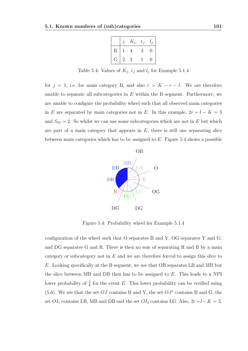|   |   | $K_i$ | $r_i$ | $\overline{1}$ |
|---|---|-------|-------|----------------|
| Β |   |       | 3     | 0              |
| G | 2 | 3     |       | 0              |

Table 5.4: Values of  $K_j$ ,  $r_j$  and  $l_j$  for Example 5.1.4

for  $j = 1$ , i.e. for main category B, and also  $r > K - r - l$ . We are therefore unable to separate all subcategories in  $E$  within the B segment. Furthermore, we are unable to configure the probability wheel such that all observed main categories in E are separated by main categories not in E. In this example,  $2r + l - K = 3$ and  $S_M = 2$ . So whilst we can use some subcategories which are not in E but which are part of a main category that appears in  $E$ , there is still one separating slice between main categories which has to be assigned to  $E$ . Figure 5.4 shows a possible



Figure 5.4: Probability wheel for Example 5.1.4

configuration of the wheel such that O separates B and Y, OG separates Y and G, and DG separates G and R. There is then no way of separating R and B by a main category or subcategory not in  $E$  and we are therefore forced to assign this slice to E. Looking specifically at the B segment, we see that OB separates LB and MB but the slice between MB and DB then has to be assigned to E. This leads to a NPI lower probability of  $\frac{3}{8}$  for the event E. This lower probability can be verified using (5.6). We see that the set  $OJ$  contains R and Y, the set  $OJ^*$  contains B and G, the set  $OI_1$  contains LB, MB and DB and the set  $OI_2$  contains LG. Also,  $2r+l-K=3$ ,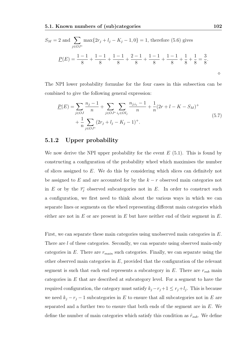$$
S_M = 2 \text{ and } \sum_{j \in OJ^*} \max\{2r_j + l_j - K_j - 1, 0\} = 1 \text{, therefore (5.6) gives}
$$
  

$$
\underline{P}(E) = \frac{1 - 1}{8} + \frac{1 - 1}{8} + \frac{1 - 1}{8} + \frac{2 - 1}{8} + \frac{1 - 1}{8} + \frac{1 - 1}{8} + \frac{1}{8} + \frac{1}{8} = \frac{3}{8}.
$$

The NPI lower probability formulae for the four cases in this subsection can be combined to give the following general expression:

$$
\underline{P}(E) = \sum_{j \in OJ} \frac{n_j - 1}{n} + \sum_{j \in OJ^*} \sum_{i_j \in OI_j} \frac{n_{j,i_j} - 1}{n} + \frac{1}{n} (2r + l - K - S_M)^+ + \frac{1}{n} \sum_{j \in OJ^*} (2r_j + l_j - K_j - 1)^+.
$$
\n(5.7)

### 5.1.2 Upper probability

We now derive the NPI upper probability for the event  $E(5.1)$ . This is found by constructing a configuration of the probability wheel which maximises the number of slices assigned to E. We do this by considering which slices can definitely not be assigned to E and are accounted for by the  $k - r$  observed main categories not in E or by the  $\overline{r_i}$  observed subcategories not in E. In order to construct such a configuration, we first need to think about the various ways in which we can separate lines or segments on the wheel representing different main categories which either are not in  $E$  or are present in  $E$  but have neither end of their segment in  $E$ .

First, we can separate these main categories using unobserved main categories in E. There are l of these categories. Secondly, we can separate using observed main-only categories in  $E$ . There are  $r_{main}$  such categories. Finally, we can separate using the other observed main categories in  $E$ , provided that the configuration of the relevant segment is such that each end represents a subcategory in  $E$ . There are  $r_{sub}$  main categories in E that are described at subcategory level. For a segment to have the required configuration, the category must satisfy  $k_j - r_j + 1 \leq r_j + l_j$ . This is because we need  $k_j - r_j - 1$  subcategories in E to ensure that all subcategories not in E are separated and a further two to ensure that both ends of the segment are in E. We define the number of main categories which satisfy this condition as  $\tilde{r}_{sub}$ . We define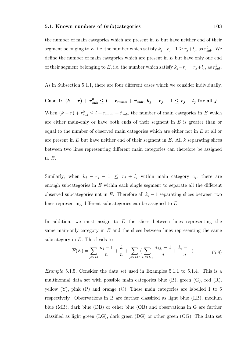the number of main categories which are present in  $E$  but have neither end of their segment belonging to E, i.e. the number which satisfy  $k_j - r_j - 1 \ge r_j + l_j$ , as  $r_{sub}^0$ . We define the number of main categories which are present in E but have only one end of their segment belonging to E, i.e. the number which satisfy  $k_j - r_j = r_j + l_j$ , as  $r_{sub}^1$ .

As in Subsection 5.1.1, there are four different cases which we consider individually.

Case 1: 
$$
(k - r) + r_{sub}^0 \le l + r_{main} + \tilde{r}_{sub}, k_j - r_j - 1 \le r_j + l_j
$$
 for all j

When  $(k - r) + r_{sub}^0 \leq l + r_{main} + \tilde{r}_{sub}$ , the number of main categories in E which are either main-only or have both ends of their segment in  $E$  is greater than or equal to the number of observed main categories which are either not in  $E$  at all or are present in  $E$  but have neither end of their segment in  $E$ . All k separating slices between two lines representing different main categories can therefore be assigned to E.

Similarly, when  $k_j - r_j - 1 \leq r_j + l_j$  within main category  $c_j$ , there are enough subcategories in  $E$  within each single segment to separate all the different observed subcategories not in E. Therefore all  $k_j - 1$  separating slices between two lines representing different subcategories can be assigned to E.

In addition, we must assign to  $E$  the slices between lines representing the same main-only category in  $E$  and the slices between lines representing the same subcategory in  $E$ . This leads to

$$
\overline{P}(E) = \sum_{j \in OJ} \frac{n_j - 1}{n} + \frac{k}{n} + \sum_{j \in OJ^*} \left( \sum_{i_j \in OI_j} \frac{n_{j,i_j} - 1}{n} + \frac{k_j - 1}{n} \right).
$$
(5.8)

Example 5.1.5. Consider the data set used in Examples 5.1.1 to 5.1.4. This is a multinomial data set with possible main categories blue (B), green (G), red (R), yellow (Y), pink (P) and orange (O). These main categories are labelled 1 to 6 respectively. Observations in B are further classified as light blue (LB), medium blue (MB), dark blue (DB) or other blue (OB) and observations in G are further classified as light green (LG), dark green (DG) or other green (OG). The data set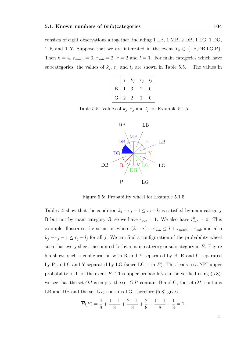consists of eight observations altogether, including 1 LB, 1 MB, 2 DB, 1 LG, 1 DG, 1 R and 1 Y. Suppose that we are interested in the event  $Y_9 \in \{\text{LB}, \text{DB}, \text{LG}, \text{P}\}.$ Then  $k = 4$ ,  $r_{main} = 0$ ,  $r_{sub} = 2$ ,  $r = 2$  and  $l = 1$ . For main categories which have subcategories, the values of  $k_j$ ,  $r_j$  and  $l_j$  are shown in Table 5.5. The values in

|   |   | $k_i$          | $r_i$     | $\iota_i$ |
|---|---|----------------|-----------|-----------|
| Β |   | 3              | $\dot{2}$ | 0         |
| G | 2 | $\overline{2}$ |           | 0         |

Table 5.5: Values of  $k_j$ ,  $r_j$  and  $l_j$  for Example 5.1.5



Figure 5.5: Probability wheel for Example 5.1.5

Table 5.5 show that the condition  $k_j - r_j + 1 \leq r_j + l_j$  is satisfied by main category B but not by main category G, so we have  $\tilde{r}_{sub} = 1$ . We also have  $r_{sub}^0 = 0$ . This example illustrates the situation where  $(k - r) + r_{sub}^0 \leq l + r_{main} + \tilde{r}_{sub}$  and also  $k_j - r_j - 1 \leq r_j + l_j$  for all j. We can find a configuration of the probability wheel such that every slice is accounted for by a main category or subcategory in  $E$ . Figure 5.5 shows such a configuration with R and Y separated by B, R and G separated by P, and G and Y separated by LG (since LG is in  $E$ ). This leads to a NPI upper probability of 1 for the event  $E$ . This upper probability can be verified using  $(5.8)$ : we see that the set  $OJ$  is empty, the set  $OJ^*$  contains B and G, the set  $OI_1$  contains LB and DB and the set  $OI_2$  contains LG, therefore (5.8) gives

$$
\overline{P}(E) = \frac{4}{8} + \frac{1-1}{8} + \frac{2-1}{8} + \frac{2}{8} + \frac{1-1}{8} + \frac{1}{8} = 1.
$$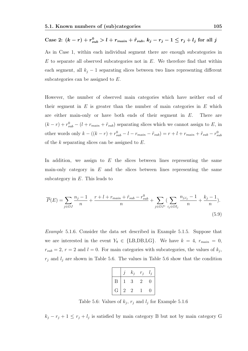## Case 2:  $(k - r) + r_{sub}^0 > l + r_{main} + \tilde{r}_{sub}, k_j - r_j - 1 \le r_j + l_j$  for all  $j$

As in Case 1, within each individual segment there are enough subcategories in  $E$  to separate all observed subcategories not in  $E$ . We therefore find that within each segment, all  $k_i - 1$  separating slices between two lines representing different subcategories can be assigned to  $E$ .

However, the number of observed main categories which have neither end of their segment in  $E$  is greater than the number of main categories in  $E$  which are either main-only or have both ends of their segment in  $E$ . There are  $(k - r) + r_{sub}^0 - (l + r_{main} + \tilde{r}_{sub})$  separating slices which we cannot assign to E, in other words only  $k - ((k - r) + r_{sub}^0 - l - r_{main} - \tilde{r}_{sub}) = r + l + r_{main} + \tilde{r}_{sub} - r_{sub}^0$ of the  $k$  separating slices can be assigned to  $E$ .

In addition, we assign to  $E$  the slices between lines representing the same main-only category in  $E$  and the slices between lines representing the same subcategory in  $E$ . This leads to

$$
\overline{P}(E) = \sum_{j \in OJ} \frac{n_j - 1}{n} + \frac{r + l + r_{main} + \tilde{r}_{sub} - r_{sub}^0}{n} + \sum_{j \in OJ^*} \left( \sum_{i_j \in OI_j} \frac{n_{j, i_j} - 1}{n} + \frac{k_j - 1}{n} \right).
$$
\n(5.9)

Example 5.1.6. Consider the data set described in Example 5.1.5. Suppose that we are interested in the event  $Y_9 \in \{\text{LB}, \text{DB}, \text{LG}\}\$ . We have  $k = 4$ ,  $r_{main} = 0$ ,  $r_{sub} = 2$ ,  $r = 2$  and  $l = 0$ . For main categories with subcategories, the values of  $k_j$ ,  $r_j$  and  $l_j$  are shown in Table 5.6. The values in Table 5.6 show that the condition

|                |                | $k_i$     | $r_i$        | $\overline{a}$ |
|----------------|----------------|-----------|--------------|----------------|
| Β              |                | 3         | $\mathbf{z}$ |                |
| $\overline{G}$ | $\overline{2}$ | $\dot{2}$ |              |                |

Table 5.6: Values of  $k_j$ ,  $r_j$  and  $l_j$  for Example 5.1.6

 $k_j - r_j + 1 \leq r_j + l_j$  is satisfied by main category B but not by main category G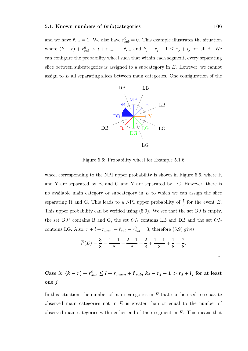and we have  $\tilde{r}_{sub} = 1$ . We also have  $r_{sub}^0 = 0$ . This example illustrates the situation where  $(k - r) + r_{sub}^0 > l + r_{main} + \tilde{r}_{sub}$  and  $k_j - r_j - 1 \le r_j + l_j$  for all j. We can configure the probability wheel such that within each segment, every separating slice between subcategories is assigned to a subcategory in  $E$ . However, we cannot assign to  $E$  all separating slices between main categories. One configuration of the



Figure 5.6: Probability wheel for Example 5.1.6

wheel corresponding to the NPI upper probability is shown in Figure 5.6, where R and Y are separated by B, and G and Y are separated by LG. However, there is no available main category or subcategory in  $E$  to which we can assign the slice separating R and G. This leads to a NPI upper probability of  $\frac{7}{8}$  for the event E. This upper probability can be verified using  $(5.9)$ . We see that the set  $OJ$  is empty, the set  $OJ^*$  contains B and G, the set  $OI_1$  contains LB and DB and the set  $OI_2$ contains LG. Also,  $r + l + r_{main} + \tilde{r}_{sub} - r_{sub}^0 = 3$ , therefore (5.9) gives

$$
\overline{P}(E) = \frac{3}{8} + \frac{1-1}{8} + \frac{2-1}{8} + \frac{2}{8} + \frac{1-1}{8} + \frac{1}{8} = \frac{7}{8}.
$$

Case 3:  $(k - r) + r_{sub}^0 \leq l + r_{main} + \tilde{r}_{sub}, k_j - r_j - 1 > r_j + l_j$  for at least one j

In this situation, the number of main categories in  $E$  that can be used to separate observed main categories not in  $E$  is greater than or equal to the number of observed main categories with neither end of their segment in  $E$ . This means that

 $\Diamond$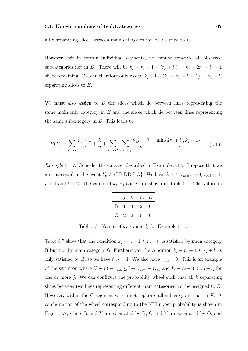all k separating slices between main categories can be assigned to  $E$ .

However, within certain individual segments, we cannot separate all observed subcategories not in E. There will be  $k_j - r_j - 1 - (r_j + l_j) = k_j - 2r_j - l_j - 1$ slices remaining. We can therefore only assign  $k_j - 1 - (k_j - 2r_j - l_j - 1) = 2r_j + l_j$ separating slices to E.

We must also assign to  $E$  the slices which lie between lines representing the same main-only category in  $E$  and the slices which lie between lines representing the same subcategory in  $E$ . This leads to

$$
\overline{P}(E) = \sum_{j \in OJ} \frac{n_j - 1}{n} + \frac{k}{n} + \sum_{j \in OJ^*} \left( \sum_{i_j \in OI_j} \frac{n_{j,i_j} - 1}{n} + \frac{\min\{2r_j + l_j, k_j - 1\}}{n} \right). \tag{5.10}
$$

Example 5.1.7. Consider the data set described in Example 5.1.5. Suppose that we are interested in the event  $Y_9 \in \{\text{LB}, \text{DB}, \text{P}, \text{O}\}\.$  We have  $k = 4$ ,  $r_{main} = 0$ ,  $r_{sub} = 1$ ,  $r=1$  and  $l=2$ . The values of  $k_j$ ,  $r_j$  and  $l_j$  are shown in Table 5.7. The values in

|   |              | $k_i$ | $r_i$             | $l_{\cdot i}$ |
|---|--------------|-------|-------------------|---------------|
| Β | $\mathbf{1}$ | 3     | 2                 | 0             |
| G | 2            | 2     | $\mathbf{\Omega}$ | 0             |

Table 5.7: Values of  $k_j$ ,  $r_j$  and  $l_j$  for Example 5.1.7

Table 5.7 show that the condition  $k_j - r_j - 1 \le r_j + l_j$  is satisfied by main category B but not by main category G. Furthermore, the condition  $k_j - r_j + 1 \leq r_j + l_j$  is only satisfied by B, so we have  $\tilde{r}_{sub} = 1$ . We also have  $r_{sub}^0 = 0$ . This is an example of the situation where  $(k - r) + r_{sub}^0 \leq l + r_{main} + \tilde{r}_{sub}$  and  $k_j - r_j - 1 > r_j + l_j$  for one or more j. We can configure the probability wheel such that all  $k$  separating slices between two lines representing different main categories can be assigned to E. However, within the G segment we cannot separate all subcategories not in  $E$ . A configuration of the wheel corresponding to the NPI upper probability is shown in Figure 5.7, where R and Y are separated by B, G and Y are separated by O, and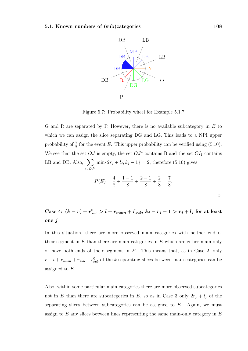

Figure 5.7: Probability wheel for Example 5.1.7

G and R are separated by P. However, there is no available subcategory in  $E$  to which we can assign the slice separating DG and LG. This leads to a NPI upper probability of  $\frac{7}{8}$  for the event E. This upper probability can be verified using (5.10). We see that the set  $OJ$  is empty, the set  $OJ^*$  contains B and the set  $OI_1$  contains LB and DB. Also,  $\Sigma$ j∈OJ<sup>∗</sup>  $\min\{2r_j + l_j, k_j - 1\} = 2$ , therefore (5.10) gives

$$
\overline{P}(E) = \frac{4}{8} + \frac{1-1}{8} + \frac{2-1}{8} + \frac{2}{8} = \frac{7}{8}.
$$

 $\Diamond$ 

Case 4:  $(k - r) + r_{sub}^0 > l + r_{main} + \tilde{r}_{sub}, k_j - r_j - 1 > r_j + l_j$  for at least one j

In this situation, there are more observed main categories with neither end of their segment in  $E$  than there are main categories in  $E$  which are either main-only or have both ends of their segment in  $E$ . This means that, as in Case 2, only  $r + l + r_{main} + \tilde{r}_{sub} - r_{sub}^{0}$  of the k separating slices between main categories can be assigned to E.

Also, within some particular main categories there are more observed subcategories not in E than there are subcategories in E, so as in Case 3 only  $2r_j + l_j$  of the separating slices between subcategories can be assigned to  $E$ . Again, we must assign to  $E$  any slices between lines representing the same main-only category in  $E$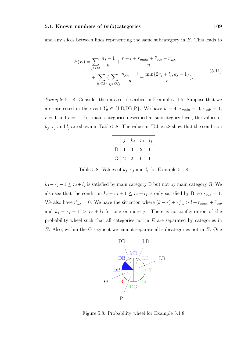and any slices between lines representing the same subcategory in E. This leads to

$$
\overline{P}(E) = \sum_{j \in OJ} \frac{n_j - 1}{n} + \frac{r + l + r_{main} + \tilde{r}_{sub} - r_{sub}^0}{n} + \sum_{j \in OJ^*} \left( \sum_{i_j \in OI_j} \frac{n_{j, i_j} - 1}{n} + \frac{\min\{2r_j + l_j, k_j - 1\}}{n} \right).
$$
\n(5.11)

Example 5.1.8. Consider the data set described in Example 5.1.5. Suppose that we are interested in the event  $Y_9 \in \{\text{LB,DB,P}\}\.$  We have  $k = 4$ ,  $r_{main} = 0$ ,  $r_{sub} = 1$ ,  $r = 1$  and  $l = 1$ . For main categories described at subcategory level, the values of  $k_j$ ,  $r_j$  and  $l_j$  are shown in Table 5.8. The values in Table 5.8 show that the condition

|                  |              | $k_i$ | $r_i$          | $l_{i}$ |
|------------------|--------------|-------|----------------|---------|
| $\boldsymbol{B}$ | $\mathbf{1}$ | 3     | $\overline{2}$ | 0       |
| G                | 2            | 2     | $\mathbf{0}$   | 0       |

Table 5.8: Values of  $k_j$ ,  $r_j$  and  $l_j$  for Example 5.1.8

 $k_j - r_j - 1 \leq r_j + l_j$  is satisfied by main category B but not by main category G. We also see that the condition  $k_j - r_j + 1 \leq r_j + l_j$  is only satisfied by B, so  $\tilde{r}_{sub} = 1$ . We also have  $r_{sub}^0 = 0$ . We have the situation where  $(k - r) + r_{sub}^0 > l + r_{main} + \tilde{r}_{sub}$ and  $k_j - r_j - 1 > r_j + l_j$  for one or more j. There is no configuration of the probability wheel such that all categories not in E are separated by categories in  $E$ . Also, within the G segment we cannot separate all subcategories not in  $E$ . One



Figure 5.8: Probability wheel for Example 5.1.8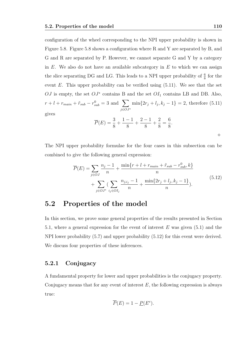configuration of the wheel corresponding to the NPI upper probability is shown in Figure 5.8. Figure 5.8 shows a configuration where R and Y are separated by B, and G and R are separated by P. However, we cannot separate G and Y by a category in  $E$ . We also do not have an available subcategory in  $E$  to which we can assign the slice separating DG and LG. This leads to a NPI upper probability of  $\frac{6}{8}$  for the event E. This upper probability can be verified using  $(5.11)$ . We see that the set OJ is empty, the set  $O J^*$  contains B and the set  $O I_1$  contains LB and DB. Also,  $r + l + r_{main} + \tilde{r}_{sub} - r_{sub}^0 = 3$  and  $\sum$ j∈OJ<sup>∗</sup>  $\min\{2r_j + l_j, k_j - 1\} = 2$ , therefore (5.11) gives

$$
\overline{P}(E) = \frac{3}{8} + \frac{1-1}{8} + \frac{2-1}{8} + \frac{2}{8} = \frac{6}{8}.
$$

The NPI upper probability formulae for the four cases in this subsection can be combined to give the following general expression:

$$
\overline{P}(E) = \sum_{j \in OJ} \frac{n_j - 1}{n} + \frac{\min\{r + l + r_{main} + \tilde{r}_{sub} - r_{sub}^0, k\}}{n} + \sum_{j \in OJ^*} \left( \sum_{i_j \in OI_j} \frac{n_{j, i_j} - 1}{n} + \frac{\min\{2r_j + l_j, k_j - 1\}}{n} \right).
$$
\n(5.12)

# 5.2 Properties of the model

In this section, we prove some general properties of the results presented in Section 5.1, where a general expression for the event of interest  $E$  was given (5.1) and the NPI lower probability (5.7) and upper probability (5.12) for this event were derived. We discuss four properties of these inferences.

#### 5.2.1 Conjugacy

A fundamental property for lower and upper probabilities is the conjugacy property. Conjugacy means that for any event of interest  $E$ , the following expression is always true:

$$
\overline{P}(E) = 1 - \underline{P}(E^c).
$$

 $\Diamond$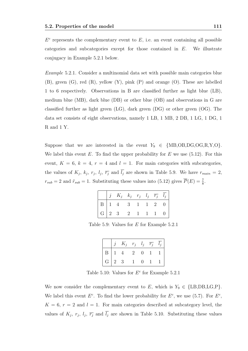$E<sup>c</sup>$  represents the complementary event to  $E$ , i.e. an event containing all possible categories and subcategories except for those contained in E. We illustrate conjugacy in Example 5.2.1 below.

Example 5.2.1. Consider a multinomial data set with possible main categories blue (B), green (G), red (R), yellow (Y), pink (P) and orange (O). These are labelled 1 to 6 respectively. Observations in B are classified further as light blue (LB), medium blue (MB), dark blue (DB) or other blue (OB) and observations in G are classified further as light green (LG), dark green (DG) or other green (OG). The data set consists of eight observations, namely 1 LB, 1 MB, 2 DB, 1 LG, 1 DG, 1 R and 1 Y.

Suppose that we are interested in the event  $Y_9 \in \{MB, OB, DG, OG, R, Y, O\}$ . We label this event  $E$ . To find the upper probability for  $E$  we use (5.12). For this event,  $K = 6$ ,  $k = 4$ ,  $r = 4$  and  $l = 1$ . For main categories with subcategories, the values of  $K_j$ ,  $k_j$ ,  $r_j$ ,  $l_j$ ,  $\overline{r_j}$  and  $l_j$  are shown in Table 5.9. We have  $r_{main} = 2$ ,  $r_{sub} = 2$  and  $\tilde{r}_{sub} = 1$ . Substituting these values into (5.12) gives  $\overline{P}(E) = \frac{7}{8}$ .

|  | $\begin{vmatrix} j & K_j & k_j & r_j & l_j & \overline{r_j} & \overline{l_j} \end{vmatrix}$ |  |  |  |
|--|---------------------------------------------------------------------------------------------|--|--|--|
|  |                                                                                             |  |  |  |
|  |                                                                                             |  |  |  |

Table 5.9: Values for E for Example 5.2.1

|  | $j$ $K_j$ $r_j$ $l_j$ $\overline{r_j}$ $\overline{l_j}$                   |  |  |
|--|---------------------------------------------------------------------------|--|--|
|  |                                                                           |  |  |
|  | $\begin{array}{ c ccccccccccc }\hline G&2&3&1&0&1&1 \\\hline \end{array}$ |  |  |

Table 5.10: Values for  $E<sup>c</sup>$  for Example 5.2.1

We now consider the complementary event to E, which is  $Y_9 \in \{\text{LB}, \text{DB}, \text{LG}, \text{P}\}.$ We label this event  $E^c$ . To find the lower probability for  $E^c$ , we use (5.7). For  $E^c$ ,  $K = 6$ ,  $r = 2$  and  $l = 1$ . For main categories described at subcategory level, the values of  $K_j$ ,  $r_j$ ,  $l_j$ ,  $\overline{r_j}$  and  $l_j$  are shown in Table 5.10. Substituting these values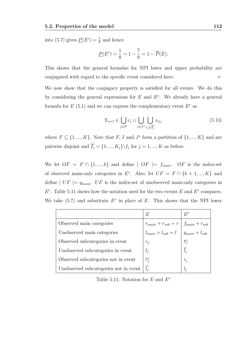into (5.7) gives  $\underline{P}(E^c) = \frac{1}{8}$  and hence

$$
\underline{P}(E^c) = \frac{1}{8} = 1 - \frac{7}{8} = 1 - \overline{P}(E).
$$

This shows that the general formulae for NPI lower and upper probability are conjugated with regard to the specific event considered here.

We now show that the conjugacy property is satisfied for all events. We do this by considering the general expressions for  $E$  and  $E<sup>c</sup>$ . We already have a general formula for  $E(5.1)$  and we can express the complementary event  $E<sup>c</sup>$  as

$$
Y_{n+1} \in \bigcup_{j \in F} c_j \cup \bigcup_{j \in J^*} \bigcup_{i_j \in \overline{I_j}} s_{ji_j} \tag{5.13}
$$

where  $F \subseteq \{1, ..., K\}$ . Note that  $F, J$  and  $J^*$  form a partition of  $\{1, ..., K\}$  and are pairwise disjoint and  $\overline{I_j} = \{1, ..., K_j\} \backslash I_j$  for  $j = 1, ..., K$  as before.

We let  $OF = F \cap \{1, ..., k\}$  and define  $\vert OF \vert = f_{main}.$  OF is the index-set of observed main-only categories in  $E^c$ . Also, let  $UF = F \cap \{k+1, ..., K\}$  and define  $|UF| = q_{main}$ . UF is the index-set of unobserved main-only categories in  $E<sup>c</sup>$ . Table 5.11 shows how the notation used for the two events E and  $E<sup>c</sup>$  compares. We take  $(5.7)$  and substitute  $E^c$  in place of E. This shows that the NPI lower

|                                       | E                                                                                              | $E^{c}$          |
|---------------------------------------|------------------------------------------------------------------------------------------------|------------------|
| Observed main categories              |                                                                                                |                  |
| Unobserved main categories            | $r_{main} + r_{sub} = r$ $f_{main} + r_{sub}$<br>$l_{main} + l_{sub} = l$ $q_{main} + l_{sub}$ |                  |
| Observed subcategories in event       | $r_j$                                                                                          | $\overline{r_j}$ |
| Unobserved subcategories in event     | $l_j$                                                                                          | $\overline{l_j}$ |
| Observed subcategories not in event   | $\overline{r_i}$                                                                               | $r_i$            |
| Unobserved subcategories not in event | $l_i$                                                                                          | $l_i$            |

Table 5.11: Notation for  $E$  and  $E<sup>c</sup>$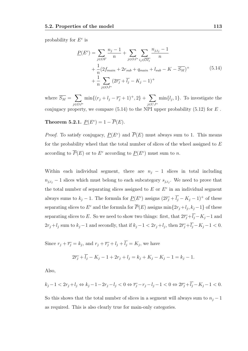probability for  $E^c$  is

$$
\underline{P}(E^{c}) = \sum_{j \in OF} \frac{n_{j} - 1}{n} + \sum_{j \in OJ^{*}} \sum_{i_{j} \in \overline{OI_{j}}} \frac{n_{j,i_{j}} - 1}{n} + \frac{1}{n} (2f_{main} + 2r_{sub} + q_{main} + l_{sub} - K - \overline{S_{M}})^{+} + \frac{1}{n} \sum_{j \in OJ^{*}} (2\overline{r_{j}} + \overline{l_{j}} - K_{j} - 1)^{+}
$$
\n(5.14)

where  $\overline{S_M} = \sum$ j∈OJ<sup>∗</sup>  $\min\{(r_j+l_j-\overline{r_j}+1)^+,2\}+\sum$ j∈UJ<sup>∗</sup>  $\min\{l_j, 1\}.$  To investigate the conjugacy property, we compare  $(5.14)$  to the NPI upper probability  $(5.12)$  for  $E$ .

### **Theorem 5.2.1.**  $\underline{P}(E^c) = 1 - \overline{P}(E)$ .

*Proof.* To satisfy conjugacy,  $\underline{P}(E^c)$  and  $\overline{P}(E)$  must always sum to 1. This means for the probability wheel that the total number of slices of the wheel assigned to  $E$ according to  $\overline{P}(E)$  or to  $E^c$  according to  $\underline{P}(E^c)$  must sum to n.

Within each individual segment, there are  $n_j - 1$  slices in total including  $n_{j,i_j}$  − 1 slices which must belong to each subcategory  $s_{j,i_j}$ . We need to prove that the total number of separating slices assigned to  $E$  or  $E<sup>c</sup>$  in an individual segment always sums to  $k_j - 1$ . The formula for  $\underline{P}(E^c)$  assigns  $(2\overline{r}_j + \overline{l}_j - K_j - 1)^+$  of these separating slices to  $E^c$  and the formula for  $\overline{P}(E)$  assigns  $\min\{2r_j+l_j,k_j-1\}$  of these separating slices to E. So we need to show two things: first, that  $2\overline{r_j}+\overline{l_j}-K_j-1$  and  $2r_j + l_j$  sum to  $k_j - 1$  and secondly, that if  $k_j - 1 < 2r_j + l_j$ , then  $2\overline{r_j} + \overline{l_j} - K_j - 1 < 0$ .

Since  $r_j + \overline{r_j} = k_j$ , and  $r_j + \overline{r_j} + l_j + l_j = K_j$ , we have

$$
2\overline{r_j} + l_j - K_j - 1 + 2r_j + l_j = k_j + K_j - K_j - 1 = k_j - 1.
$$

Also,

$$
k_j - 1 < 2r_j + l_j \Leftrightarrow k_j - 1 - 2r_j - l_j < 0 \Leftrightarrow \overline{r_j} - r_j - l_j - 1 < 0 \Leftrightarrow 2\overline{r_j} + \overline{l_j} - K_j - 1 < 0.
$$

So this shows that the total number of slices in a segment will always sum to  $n_j - 1$ as required. This is also clearly true for main-only categories.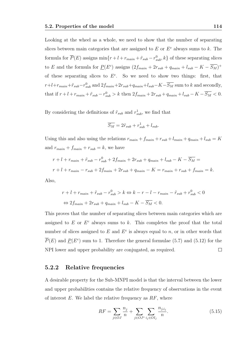Looking at the wheel as a whole, we need to show that the number of separating slices between main categories that are assigned to  $E$  or  $E<sup>c</sup>$  always sums to  $k$ . The formula for  $\overline{P}(E)$  assigns  $\min\{r + l + r_{main} + \tilde{r}_{sub} - r_{sub}^0, k\}$  of these separating slices to E and the formula for  $\underline{P}(E^c)$  assigns  $(2f_{main} + 2r_{sub} + q_{main} + l_{sub} - K - \overline{S_M})^+$ of these separating slices to  $E^c$ . So we need to show two things: first, that  $r+l+r_{main}+\tilde{r}_{sub}-r_{sub}^0$  and  $2f_{main}+2r_{sub}+q_{main}+l_{sub}-K-\overline{S_M}$  sum to k and secondly, that if  $r + l + r_{main} + \tilde{r}_{sub} - r_{sub}^0 > k$  then  $2f_{main} + 2r_{sub} + q_{main} + l_{sub} - K - \overline{S_M} < 0$ .

By considering the definitions of  $\tilde{r}_{sub}$  and  $r_{sub}^1$ , we find that

$$
\overline{S_M} = 2\tilde{r}_{sub} + r_{sub}^1 + l_{sub}.
$$

Using this and also using the relations  $r_{main} + f_{main} + r_{sub} + l_{main} + q_{main} + l_{sub} = K$ and  $r_{main} + f_{main} + r_{sub} = k$ , we have

$$
r + l + r_{main} + \tilde{r}_{sub} - r_{sub}^0 + 2f_{main} + 2r_{sub} + q_{main} + l_{sub} - K - \overline{S_M} =
$$
  

$$
r + l + r_{main} - r_{sub} + 2f_{main} + 2r_{sub} + q_{main} - K = r_{main} + r_{sub} + f_{main} = k.
$$

Also,

$$
r + l + r_{main} + \tilde{r}_{sub} - r_{sub}^0 > k \Leftrightarrow k - r - l - r_{main} - \tilde{r}_{sub} + r_{sub}^0 < 0
$$
  

$$
\Leftrightarrow 2f_{main} + 2r_{sub} + q_{main} + l_{sub} - K - \overline{S_M} < 0.
$$

This proves that the number of separating slices between main categories which are assigned to  $E$  or  $E<sup>c</sup>$  always sums to  $k$ . This completes the proof that the total number of slices assigned to  $E$  and  $E^c$  is always equal to n, or in other words that  $\overline{P}(E)$  and  $\underline{P}(E^c)$  sum to 1. Therefore the general formulae (5.7) and (5.12) for the NPI lower and upper probability are conjugated, as required.  $\Box$ 

### 5.2.2 Relative frequencies

A desirable property for the Sub-MNPI model is that the interval between the lower and upper probabilities contains the relative frequency of observations in the event of interest  $E$ . We label the relative frequency as  $RF$ , where

$$
RF = \sum_{j \in OJ} \frac{n_j}{n} + \sum_{j \in OJ^*} \sum_{i_j \in OI_j} \frac{n_{j,i_j}}{n}.
$$
 (5.15)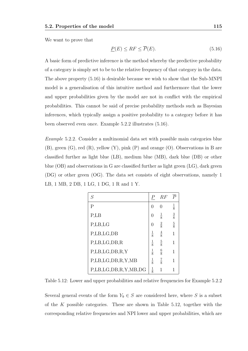We want to prove that

$$
\underline{P}(E) \le RF \le \overline{P}(E). \tag{5.16}
$$

A basic form of predictive inference is the method whereby the predictive probability of a category is simply set to be to the relative frequency of that category in the data. The above property (5.16) is desirable because we wish to show that the Sub-MNPI model is a generalisation of this intuitive method and furthermore that the lower and upper probabilities given by the model are not in conflict with the empirical probabilities. This cannot be said of precise probability methods such as Bayesian inferences, which typically assign a positive probability to a category before it has been observed even once. Example 5.2.2 illustrates (5.16).

Example 5.2.2. Consider a multinomial data set with possible main categories blue (B), green (G), red (R), yellow (Y), pink (P) and orange (O). Observations in B are classified further as light blue (LB), medium blue (MB), dark blue (DB) or other blue (OB) and observations in G are classified further as light green (LG), dark green (DG) or other green (OG). The data set consists of eight observations, namely 1 LB, 1 MB, 2 DB, 1 LG, 1 DG, 1 R and 1 Y.

| S                       | Р                | RF            | $\overline{P}$ |
|-------------------------|------------------|---------------|----------------|
| $\mathsf{P}$            | O                | 0             | $\frac{1}{8}$  |
| P,LB                    | $\mathcal{O}$    | $\frac{1}{8}$ | $\frac{3}{8}$  |
| P,LB,LG                 | $\left( \right)$ | $\frac{2}{8}$ | $\frac{5}{8}$  |
| P,LB,LG,DB              | $\frac{1}{8}$    | $\frac{4}{8}$ | $\overline{1}$ |
| P, LB, LG, DB, R        | $\frac{1}{8}$    | $rac{5}{8}$   | 1              |
| P, LB, LG, DB, R, Y     | $\frac{1}{8}$    | $\frac{6}{8}$ | 1              |
| P, LB, LG, DB, R, Y, MB | $\frac{1}{8}$    | $\frac{7}{8}$ | 1              |
| P,LB,LG,DB,R,Y,MB,DG    | $\frac{1}{8}$    | 1             | 1              |

Table 5.12: Lower and upper probabilities and relative frequencies for Example 5.2.2

Several general events of the form  $Y_9 \in S$  are considered here, where S is a subset of the K possible categories. These are shown in Table  $5.12$ , together with the corresponding relative frequencies and NPI lower and upper probabilities, which are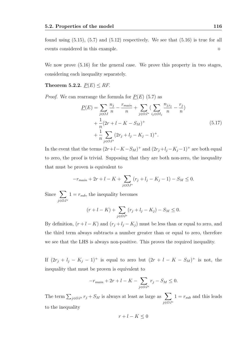found using  $(5.15)$ ,  $(5.7)$  and  $(5.12)$  respectively. We see that  $(5.16)$  is true for all events considered in this example.

We now prove (5.16) for the general case. We prove this property in two stages, considering each inequality separately.

Theorem 5.2.2.  $P(E) \leq RF$ .

*Proof.* We can rearrange the formula for  $P(E)$  (5.7) as

$$
\underline{P}(E) = \sum_{j \in OJ} \frac{n_j}{n} - \frac{r_{main}}{n} + \sum_{j \in OJ^*} \left( \sum_{i_j \in OI_j} \frac{n_{j,i_j}}{n} - \frac{r_j}{n} \right) + \frac{1}{n} (2r + l - K - S_M)^+ + \frac{1}{n} \sum_{j \in OJ^*} (2r_j + l_j - K_j - 1)^+.
$$
\n(5.17)

In the event that the terms  $(2r+l-K-S_M)^+$  and  $(2r_j+l_j-K_j-1)^+$  are both equal to zero, the proof is trivial. Supposing that they are both non-zero, the inequality that must be proven is equivalent to

$$
-r_{\text{main}} + 2r + l - K + \sum_{j \in OJ^*} (r_j + l_j - K_j - 1) - S_M \le 0.
$$

Since  $\sum$ j∈OJ<sup>∗</sup>  $1 = r_{sub}$ , the inequality becomes

$$
(r + l - K) + \sum_{j \in OJ^*} (r_j + l_j - K_j) - S_M \le 0.
$$

By definition,  $(r + l - K)$  and  $(r_j + l_j - K_j)$  must be less than or equal to zero, and the third term always subtracts a number greater than or equal to zero, therefore we see that the LHS is always non-positive. This proves the required inequality.

If  $(2r_j + l_j - K_j - 1)^+$  is equal to zero but  $(2r + l - K - S_M)^+$  is not, the inequality that must be proven is equivalent to

$$
-r_{\text{main}} + 2r + l - K - \sum_{j \in OJ^*} r_j - S_M \le 0.
$$

The term  $\sum_{j\in OJ^*} r_j + S_M$  is always at least as large as  $\sum$ j∈OJ<sup>∗</sup>  $1 = r_{sub}$  and this leads to the inequality

$$
r + l - K \le 0
$$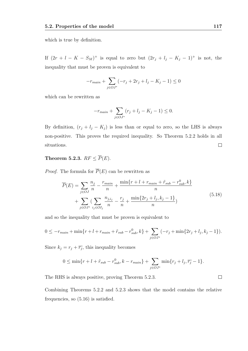which is true by definition.

If  $(2r + l - K - S_M)^+$  is equal to zero but  $(2r_j + l_j - K_j - 1)^+$  is not, the inequality that must be proven is equivalent to

$$
-r_{main} + \sum_{j \in OJ^*} (-r_j + 2r_j + l_j - K_j - 1) \le 0
$$

which can be rewritten as

$$
-r_{main} + \sum_{j \in OJ^*} (r_j + l_j - K_j - 1) \le 0.
$$

By definition,  $(r_j + l_j - K_j)$  is less than or equal to zero, so the LHS is always non-positive. This proves the required inequality. So Theorem 5.2.2 holds in all situations.  $\Box$ 

## Theorem 5.2.3.  $RF \leq \overline{P}(E)$ .

*Proof.* The formula for  $\overline{P}(E)$  can be rewritten as

$$
\overline{P}(E) = \sum_{j \in OJ} \frac{n_j}{n} - \frac{r_{main}}{n} + \frac{\min\{r + l + r_{main} + \tilde{r}_{sub} - r_{sub}^0, k\}}{n} + \sum_{j \in OJ^*} \left( \sum_{i_j \in OI_j} \frac{n_{j,i_j}}{n} - \frac{r_j}{n} + \frac{\min\{2r_j + l_j, k_j - 1\}}{n} \right)
$$
\n(5.18)

and so the inequality that must be proven is equivalent to

$$
0 \leq -r_{main} + \min\{r + l + r_{main} + \tilde{r}_{sub} - r_{sub}^0, k\} + \sum_{j \in OJ^*} (-r_j + \min\{2r_j + l_j, k_j - 1\}).
$$

Since  $k_j = r_j + \overline{r_j}$ , this inequality becomes

$$
0 \le \min\{r + l + \tilde{r}_{sub} - r_{sub}^0, k - r_{main}\} + \sum_{j \in OJ^*} \min\{r_j + l_j, \overline{r_j} - 1\}.
$$

The RHS is always positive, proving Theorem 5.2.3.

Combining Theorems 5.2.2 and 5.2.3 shows that the model contains the relative frequencies, so (5.16) is satisfied.

 $\Box$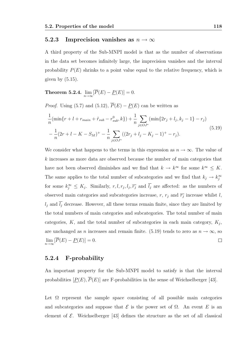### 5.2.3 Imprecision vanishes as  $n \to \infty$

A third property of the Sub-MNPI model is that as the number of observations in the data set becomes infinitely large, the imprecision vanishes and the interval probability  $P(E)$  shrinks to a point value equal to the relative frequency, which is given by  $(5.15)$ .

Theorem 5.2.4.  $\lim_{n\to\infty} [P(E)-\underline{P}(E)]=0.$ 

*Proof.* Using (5.7) and (5.12),  $\overline{P}(E) - P(E)$  can be written as

$$
\frac{1}{n}(\min\{r+l+r_{main}+\tilde{r}_{sub}-r_{sub}^0,k\})+\frac{1}{n}\sum_{j\in OJ^*}(\min\{2r_j+l_j,k_j-1\}-r_j)
$$
\n
$$
-\frac{1}{n}(2r+l-K-S_M)^+ - \frac{1}{n}\sum_{j\in OJ^*}((2r_j+l_j-K_j-1)^+-r_j).
$$
\n(5.19)

We consider what happens to the terms in this expression as  $n \to \infty$ . The value of k increases as more data are observed because the number of main categories that have not been observed diminishes and we find that  $k \to k^{\infty}$  for some  $k^{\infty} \leq K$ . The same applies to the total number of subcategories and we find that  $k_j \to k_j^{\infty}$ for some  $k_j^{\infty} \leq K_j$ . Similarly,  $r, l, r_j, l_j, \overline{r_j}$  and  $\overline{l_j}$  are affected: as the numbers of observed main categories and subcategories increase, r,  $r_j$  and  $\overline{r_j}$  increase whilst l,  $l_j$  and  $\overline{l_j}$  decrease. However, all these terms remain finite, since they are limited by the total numbers of main categories and subcategories. The total number of main categories,  $K$ , and the total number of subcategories in each main category,  $K_j$ , are unchanged as n increases and remain finite. (5.19) tends to zero as  $n \to \infty$ , so  $\lim_{n\to\infty} [P(E) - \underline{P}(E)] = 0.$  $\Box$ 

#### 5.2.4 F-probability

An important property for the Sub-MNPI model to satisfy is that the interval probabilities  $[\underline{P}(E), \overline{P}(E)]$  are F-probabilities in the sense of Weichselberger [43].

Let  $\Omega$  represent the sample space consisting of all possible main categories and subcategories and suppose that  $\mathcal E$  is the power set of  $\Omega$ . An event E is an element of  $\mathcal E$ . Weichselberger [43] defines the structure as the set of all classical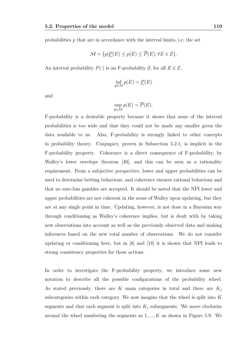probabilities p that are in accordance with the interval limits, i.e. the set

$$
\mathcal{M} = \{ p | \underline{P}(E) \le p(E) \le P(E), \forall E \in \mathcal{E} \}.
$$

An interval probability  $P(\cdot)$  is an F-probability if, for all  $E \in \mathcal{E}$ ,

$$
\inf_{p \in \mathcal{M}} p(E) = \underline{P}(E)
$$

and

$$
\sup_{p \in \mathcal{M}} p(E) = \overline{P}(E).
$$

F-probability is a desirable property because it shows that none of the interval probabilities is too wide and that they could not be made any smaller given the data available to us. Also, F-probability is strongly linked to other concepts in probability theory. Conjugacy, proven in Subsection 5.2.1, is implicit in the F-probability property. Coherence is a direct consequence of F-probability, by Walley's lower envelope theorem [40], and this can be seen as a rationality requirement. From a subjective perspective, lower and upper probabilities can be used to determine betting behaviour, and coherence ensures rational behaviour and that no sure-loss gambles are accepted. It should be noted that the NPI lower and upper probabilities are not coherent in the sense of Walley upon updating, but they are at any single point in time. Updating, however, is not done in a Bayesian way through conditioning as Walley's coherence implies, but is dealt with by taking new observations into account as well as the previously observed data and making inferences based on the new total number of observations. We do not consider updating or conditioning here, but in [6] and [18] it is shown that NPI leads to strong consistency properties for these actions.

In order to investigate the F-probability property, we introduce some new notation to describe all the possible configurations of the probability wheel. As stated previously, there are K main categories in total and there are  $K_j$ subcategories within each category. We now imagine that the wheel is split into  $K$ segments and that each segment is split into  $K_j$  subsegments. We move clockwise around the wheel numbering the segments as  $1, \ldots, K$  as shown in Figure 5.9. We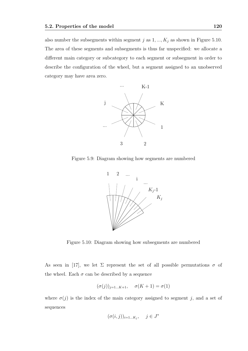also number the subsegments within segment  $j$  as  $1, ..., K_j$  as shown in Figure 5.10. The area of these segments and subsegments is thus far unspecified: we allocate a different main category or subcategory to each segment or subsegment in order to describe the configuration of the wheel, but a segment assigned to an unobserved category may have area zero.



Figure 5.9: Diagram showing how segments are numbered



Figure 5.10: Diagram showing how subsegments are numbered

As seen in [17], we let  $\Sigma$  represent the set of all possible permutations  $\sigma$  of the wheel. Each  $\sigma$  can be described by a sequence

$$
(\sigma(j))_{j=1\ldots K+1}, \quad \sigma(K+1) = \sigma(1)
$$

where  $\sigma(j)$  is the index of the main category assigned to segment j, and a set of sequences

$$
(\sigma(i,j))_{i=1...K_j}, \quad j \in J^*
$$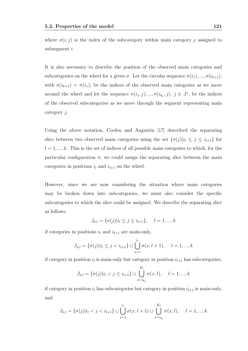It is also necessary to describe the position of the observed main categories and subcategories on the wheel for a given  $\sigma$ . Let the circular sequence  $\sigma(i_1), ..., \sigma(i_{k+1}),$ with  $\sigma(i_{k+1}) = \sigma(i_1)$ , be the indices of the observed main categories as we move around the wheel and let the sequence  $\sigma(i_1, j), ..., \sigma(i_{k_j}, j), j \in J^*$ , be the indices of the observed subcategories as we move through the segment representing main category j.

Using the above notation, Coolen and Augustin [17] described the separating slice between two observed main categories using the set  ${\{\sigma(j)|i_l \leq j \leq i_{l+1}\}}$  for  $l = 1, \ldots, k$ . This is the set of indices of all possible main categories to which, for the particular configuration  $\sigma$ , we could assign the separating slice between the main categories in positions  $i_l$  and  $i_{l+1}$  on the wheel.

However, since we are now considering the situation where main categories may be broken down into subcategories, we must also consider the specific subcategories to which the slice could be assigned. We describe the separating slice as follows:

$$
J_{\sigma,l} = \{\sigma(j)|i_l \le j \le i_{l+1}\}, \quad l = 1, ..., k
$$

if categories in positions  $i_l$  and  $i_{l+1}$  are main-only,

$$
J_{\sigma,l} = \{\sigma(j)|i_l \le j < i_{l+1}\} \cup \bigcup_{x=1}^{i_1} \sigma(x, l+1), \quad l = 1, ..., k
$$

if category in position  $i_l$  is main-only but category in position  $i_{l+1}$  has subcategories,

$$
J_{\sigma,l} = \{ \sigma(j) | i_l < j \le i_{l+1} \} \cup \bigcup_{x=i_{k_l}}^{K_l} \sigma(x, l), \quad l = 1, ..., k
$$

if category in position  $i_l$  has subcategories but category in position  $i_{l+1}$  is main-only, and

$$
J_{\sigma,l} = \{\sigma(j)|i_l < j < i_{l+1}\} \cup \bigcup_{x=1}^{i_1} \sigma(x, l+1) \cup \bigcup_{x=i_{k_l}}^{K_l} \sigma(x, l), \quad l = 1, ..., k
$$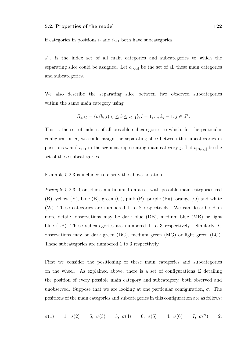if categories in positions  $i_l$  and  $i_{l+1}$  both have subcategories.

 $J_{\sigma,l}$  is the index set of all main categories and subcategories to which the separating slice could be assigned. Let  $c_{|J_{\sigma,l}|}$  be the set of all these main categories and subcategories.

We also describe the separating slice between two observed subcategories within the same main category using

$$
B_{\sigma,j,l} = \{\sigma(b,j)|i_l \le b \le i_{l+1}\}, l = 1, ..., k_j - 1, j \in J^*.
$$

This is the set of indices of all possible subcategories to which, for the particular configuration  $\sigma$ , we could assign the separating slice between the subcategories in positions  $i_l$  and  $i_{l+1}$  in the segment representing main category j. Let  $s_{|B_{\sigma,i,l}|}$  be the set of these subcategories.

Example 5.2.3 is included to clarify the above notation.

Example 5.2.3. Consider a multinomial data set with possible main categories red (R), yellow (Y), blue (B), green (G), pink (P), purple (Pu), orange (O) and white (W). These categories are numbered 1 to 8 respectively. We can describe B in more detail: observations may be dark blue (DB), medium blue (MB) or light blue (LB). These subcategories are numbered 1 to 3 respectively. Similarly, G observations may be dark green (DG), medium green (MG) or light green (LG). These subcategories are numbered 1 to 3 respectively.

First we consider the positioning of these main categories and subcategories on the wheel. As explained above, there is a set of configurations  $\Sigma$  detailing the position of every possible main category and subcategory, both observed and unobserved. Suppose that we are looking at one particular configuration,  $\sigma$ . The positions of the main categories and subcategories in this configuration are as follows:

$$
\sigma(1) \ = \ 1, \ \sigma(2) \ = \ 5, \ \sigma(3) \ = \ 3, \ \sigma(4) \ = \ 6, \ \sigma(5) \ = \ 4, \ \sigma(6) \ = \ 7, \ \sigma(7) \ = \ 2,
$$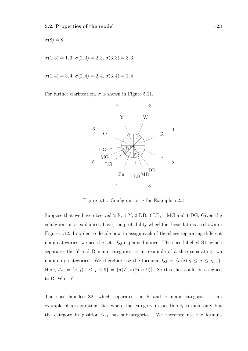$$
\sigma(8) = 8
$$

 $\sigma(1,3) = 1, 3, \sigma(2,3) = 2, 3, \sigma(3,3) = 3, 3$ 

 $\sigma(1, 4) = 3, 4, \sigma(2, 4) = 2, 4, \sigma(3, 4) = 1, 4$ 

For further clarification,  $\sigma$  is shown in Figure 5.11.



Figure 5.11: Configuration  $\sigma$  for Example 5.2.3

Suppose that we have observed 2 R, 1 Y, 2 DB, 1 LB, 1 MG and 1 DG. Given the configuration  $\sigma$  explained above, the probability wheel for these data is as shown in Figure 5.12. In order to decide how to assign each of the slices separating different main categories, we use the sets  $J_{\sigma,l}$  explained above. The slice labelled S1, which separates the Y and R main categories, is an example of a slice separating two main-only categories. We therefore use the formula  $J_{\sigma,l} = {\sigma(j)}|i_l \leq j \leq i_{l+1}$ . Here,  $J_{\sigma,l} = {\sigma(j)|7 \leq j \leq 9} = {\sigma(7), \sigma(8), \sigma(9)}$ . So this slice could be assigned to R, W or Y.

The slice labelled S2, which separates the R and B main categories, is an example of a separating slice where the category in position  $i_l$  is main-only but the category in position  $i_{l+1}$  has subcategories. We therefore use the formula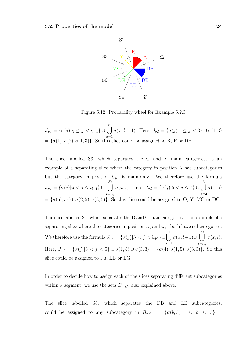

Figure 5.12: Probability wheel for Example 5.2.3

 $J_{\sigma,l} = \{ \sigma(j) | i_l \leq j < i_{l+1} \} \cup \left\{ \right. \right)$  $\,i_1$  $x=1$  $\sigma(x, l + 1)$ . Here,  $J_{\sigma, l} = {\{\sigma(j)| 1 \leq j < 3\}} \cup \sigma(1, 3)$  $= {\sigma(1), \sigma(2), \sigma(1, 3)}$ . So this slice could be assigned to R, P or DB.

The slice labelled S3, which separates the G and Y main categories, is an example of a separating slice where the category in position  $i_l$  has subcategories but the category in position  $i_{l+1}$  is main-only. We therefore use the formula  $J_{\sigma,l} = \{ \sigma(j) | i_l < j \leq i_{l+1} \} \cup \left\{ \right\}$  $K_l$  $x=i_{k_l}$  $\sigma(x, l)$ . Here,  $J_{\sigma, l} = {\sigma(j)| 5 < j \le 7} \cup \begin{bmatrix} \end{bmatrix}$ 3  $x=2$  $\sigma(x,5)$ = { $\sigma(6)$ ,  $\sigma(7)$ ,  $\sigma(2, 5)$ ,  $\sigma(3, 5)$ }. So this slice could be assigned to O, Y, MG or DG.

The slice labelled S4, which separates the B and G main categories, is an example of a separating slice where the categories in positions  $i_l$  and  $i_{l+1}$  both have subcategories. We therefore use the formula  $J_{\sigma,l} = {\sigma(j)}|i_l < j < i_{l+1}$ }∪  $\,i_1$  $x=1$  $\sigma(x, l+1) \cup \begin{pmatrix} \end{pmatrix}$  $K_l$  $x=i_{k_l}$  $\sigma(x,l).$ Here,  $J_{\sigma,l} = {\sigma(j)|3 < j < 5} \cup \sigma(1,5) \cup \sigma(3,3) = {\sigma(4), \sigma(1,5), \sigma(3,3)}$ . So this slice could be assigned to Pu, LB or LG.

In order to decide how to assign each of the slices separating different subcategories within a segment, we use the sets  $B_{\sigma,j,l}$ , also explained above.

The slice labelled S5, which separates the DB and LB subcategories, could be assigned to any subcategory in  $B_{\sigma,j,l} = {\sigma(b, 3)|1 \leq b \leq 3}$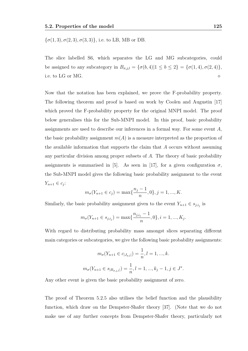$$
\{\sigma(1,3), \sigma(2,3), \sigma(3,3)\}\
$$
, i.e. to LB, MB or DB.

The slice labelled S6, which separates the LG and MG subcategories, could be assigned to any subcategory in  $B_{\sigma,j,l} = \{\sigma(b, 4)|1 \leq b \leq 2\} = \{\sigma(1, 4), \sigma(2, 4)\},\$ i.e. to LG or MG.

Now that the notation has been explained, we prove the F-probability property. The following theorem and proof is based on work by Coolen and Augustin [17] which proved the F-probability property for the original MNPI model. The proof below generalises this for the Sub-MNPI model. In this proof, basic probability assignments are used to describe our inferences in a formal way. For some event A, the basic probability assignment  $m(A)$  is a measure interpreted as the proportion of the available information that supports the claim that A occurs without assuming any particular division among proper subsets of A. The theory of basic probability assignments is summarised in [5]. As seen in [17], for a given configuration  $\sigma$ , the Sub-MNPI model gives the following basic probability assignment to the event  $Y_{n+1} \in c_j$ :

$$
m_{\sigma}(Y_{n+1} \in c_j) = \max\{\frac{n_j - 1}{n}, 0\}, j = 1, ..., K.
$$

Similarly, the basic probability assignment given to the event  $Y_{n+1} \in s_{j,i_j}$  is

$$
m_{\sigma}(Y_{n+1}\in s_{j,i_j})=\max\{\frac{n_{j,i_j}-1}{n},0\}, i=1,...,K_j.
$$

With regard to distributing probability mass amongst slices separating different main categories or subcategories, we give the following basic probability assignments:

$$
m_{\sigma}(Y_{n+1} \in c_{|J_{\sigma,l}|}) = \frac{1}{n}, l = 1, ..., k.
$$
  

$$
m_{\sigma}(Y_{n+1} \in s_{|B_{\sigma,j,l}|}) = \frac{1}{n}, l = 1, ..., k_j - 1, j \in J^*.
$$

Any other event is given the basic probability assignment of zero.

The proof of Theorem 5.2.5 also utilises the belief function and the plausibility function, which draw on the Dempster-Shafer theory [37]. (Note that we do not make use of any further concepts from Dempster-Shafer theory, particularly not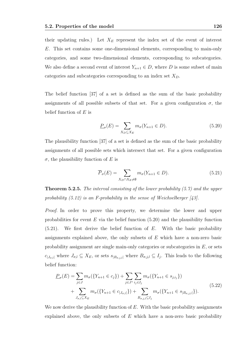their updating rules.) Let  $X_E$  represent the index set of the event of interest E. This set contains some one-dimensional elements, corresponding to main-only categories, and some two-dimensional elements, corresponding to subcategories. We also define a second event of interest  $Y_{n+1} \in D$ , where D is some subset of main categories and subcategories corresponding to an index set  $X_D$ .

The belief function [37] of a set is defined as the sum of the basic probability assignments of all possible subsets of that set. For a given configuration  $\sigma$ , the belief function of  $E$  is

$$
\underline{P}_{\sigma}(E) = \sum_{X_D \subseteq X_E} m_{\sigma}(Y_{n+1} \in D). \tag{5.20}
$$

The plausibility function [37] of a set is defined as the sum of the basic probability assignments of all possible sets which intersect that set. For a given configuration  $\sigma$ , the plausibility function of E is

$$
\overline{P}_{\sigma}(E) = \sum_{X_D \cap X_E \neq \emptyset} m_{\sigma}(Y_{n+1} \in D). \tag{5.21}
$$

**Theorem 5.2.5.** The interval consisting of the lower probability  $(5.7)$  and the upper probability  $(5.12)$  is an F-probability in the sense of Weichselberger [43].

Proof. In order to prove this property, we determine the lower and upper probabilities for event  $E$  via the belief function  $(5.20)$  and the plausibility function (5.21). We first derive the belief function of E. With the basic probability assignments explained above, the only subsets of E which have a non-zero basic probability assignment are single main-only categories or subcategories in E, or sets  $c_{|J_{\sigma,l}|}$  where  $J_{\sigma,l} \subseteq X_E$ , or sets  $s_{|B_{\sigma,j,l}|}$  where  $B_{\sigma,j,l} \subseteq I_j$ . This leads to the following belief function:

$$
\underline{P}_{\sigma}(E) = \sum_{j \in J} m_{\sigma}(\{Y_{n+1} \in c_j\}) + \sum_{j \in J^*} \sum_{i_j \in I_j} m_{\sigma}(\{Y_{n+1} \in s_{j,i_j}\}) + \sum_{J_{\sigma,l} \subseteq X_E} m_{\sigma}(\{Y_{n+1} \in c_{|J_{\sigma,l}|}\}) + \sum_{B_{\sigma,j,l} \subseteq I_j} m_{\sigma}(\{Y_{n+1} \in s_{|B_{\sigma,j,l}|}\}).
$$
\n(5.22)

We now derive the plausibility function of  $E$ . With the basic probability assignments explained above, the only subsets of  $E$  which have a non-zero basic probability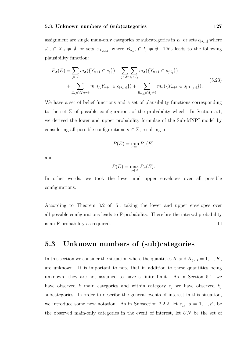assignment are single main-only categories or subcategories in E, or sets  $c_{|J_{\sigma,l}|}$  where  $J_{\sigma,l} \cap X_E \neq \emptyset$ , or sets  $s_{|B_{\sigma,j,l}|}$  where  $B_{\sigma,j,l} \cap I_j \neq \emptyset$ . This leads to the following plausibility function:

$$
\overline{P}_{\sigma}(E) = \sum_{j \in J} m_{\sigma}(\{Y_{n+1} \in c_j\}) + \sum_{j \in J^*} \sum_{i_j \in I_j} m_{\sigma}(\{Y_{n+1} \in s_{j,i_j}\}) + \sum_{J_{\sigma,l} \cap X_E \neq \emptyset} m_{\sigma}(\{Y_{n+1} \in c_{|J_{\sigma,l}|}\}) + \sum_{B_{\sigma,j,l} \cap I_j \neq \emptyset} m_{\sigma}(\{Y_{n+1} \in s_{|B_{\sigma,j,l}|}\}).
$$
\n(5.23)

We have a set of belief functions and a set of plausibility functions corresponding to the set  $\Sigma$  of possible configurations of the probability wheel. In Section 5.1, we derived the lower and upper probability formulae of the Sub-MNPI model by considering all possible configurations  $\sigma \in \Sigma$ , resulting in

$$
\underline{P}(E) = \min_{\sigma \in \Sigma} \underline{P}_{\sigma}(E)
$$

and

$$
\overline{P}(E) = \max_{\sigma \in \Sigma} \overline{P}_{\sigma}(E).
$$

In other words, we took the lower and upper envelopes over all possible configurations.

According to Theorem 3.2 of [5], taking the lower and upper envelopes over all possible configurations leads to F-probability. Therefore the interval probability is an F-probability as required.  $\Box$ 

## 5.3 Unknown numbers of (sub)categories

In this section we consider the situation where the quantities K and  $K_j$ ,  $j = 1, ..., K$ , are unknown. It is important to note that in addition to these quantities being unknown, they are not assumed to have a finite limit. As in Section 5.1, we have observed k main categories and within category  $c_i$  we have observed  $k_i$ subcategories. In order to describe the general events of interest in this situation, we introduce some new notation. As in Subsection 2.2.2, let  $c_{j_s}$ ,  $s = 1, ..., r'$ , be the observed main-only categories in the event of interest, let UN be the set of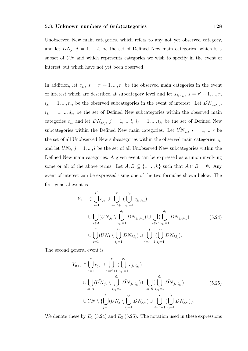Unobserved New main categories, which refers to any not yet observed category, and let  $DN_j$ ,  $j = 1, ..., l$ , be the set of Defined New main categories, which is a subset of UN and which represents categories we wish to specify in the event of interest but which have not yet been observed.

In addition, let  $c_{j_s}$ ,  $s = r' + 1, ..., r$ , be the observed main categories in the event of interest which are described at subcategory level and let  $s_{j_s,i_{j_s}}, s = r' + 1, ..., r$ ,  $i_{j_s} = 1, ..., r_s$ , be the observed subcategories in the event of interest. Let  $\tilde{DN}_{j_s,i_{j_s}},$  $i_{j_s} = 1, ..., d_s$ , be the set of Defined New subcategories within the observed main categories  $c_{j_s}$  and let  $DN_{j,i_j}, j = 1, ..., l, i_j = 1, ..., l_j$ , be the set of Defined New subcategories within the Defined New main categories. Let  $\tilde{UN}_{j_s}, s = 1, ..., r$  be the set of all Unobserved New subcategories within the observed main categories  $c_{j_s}$ and let  $UN_j$ ,  $j = 1, ..., l$  be the set of all Unobserved New subcategories within the Defined New main categories. A given event can be expressed as a union involving some or all of the above terms. Let  $A, B \subseteq \{1, ..., k\}$  such that  $A \cap B = \emptyset$ . Any event of interest can be expressed using one of the two formulae shown below. The first general event is

$$
Y_{n+1} \in \bigcup_{s=1}^{r'} c_{j_s} \cup \bigcup_{s=r'+1}^{r} (\bigcup_{i_{js}=1}^{r_s} s_{j_s, i_{js}})
$$
  

$$
\cup \bigcup_{s \in A} (\tilde{UN}_{j_s} \setminus \bigcup_{i_{js}=1}^{d_s} \tilde{DN}_{j_s, i_{js}}) \cup \bigcup_{s \in B} (\bigcup_{i_{js}=1}^{d_s} \tilde{DN}_{j_s, i_{js}})
$$

$$
\cup \bigcup_{j=1}^{l'} (UN_j \setminus \bigcup_{i_{js}=1}^{l_j} DN_{j,i_j}) \cup \bigcup_{j=l'+1}^{l_j} (\bigcup_{i_{js}=1}^{l_j} DN_{j,i_j}).
$$
(5.24)

The second general event is

$$
Y_{n+1} \in \bigcup_{s=1}^{r'} c_{j_s} \cup \bigcup_{s=r'+1}^{r} (\bigcup_{i_{j_s}=1}^{r_s} s_{j_s, i_{j_s}})
$$
  

$$
\cup \bigcup_{s \in A} (\tilde{UN}_{j_s} \setminus \bigcup_{i_{j_s}=1}^{d_s} \tilde{DN}_{j_s, i_{j_s}}) \cup \bigcup_{s \in B} (\bigcup_{i_{j_s}=1}^{d_s} \tilde{DN}_{j_s, i_{j_s}})
$$

$$
\cup \, \text{UN} \setminus \{ \bigcup_{j=1}^{l'} (UN_j \setminus \bigcup_{i_{j}=1}^{l_j} DN_{j, i_j}) \cup \bigcup_{j=l'+1}^{l} (\bigcup_{i_{j}=1}^{l_j} DN_{j, i_j}) \}.
$$
(5.25)

We denote these by  $E_1$  (5.24) and  $E_2$  (5.25). The notation used in these expressions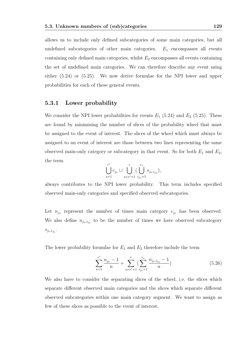allows us to include only defined subcategories of some main categories, but all undefined subcategories of other main categories.  $E_1$  encompasses all events containing only defined main categories, whilst  $E_2$  encompasses all events containing the set of undefined main categories. We can therefore describe any event using either (5.24) or (5.25). We now derive formulae for the NPI lower and upper probabilities for each of these general events.

### 5.3.1 Lower probability

We consider the NPI lower probabilities for events  $E_1$  (5.24) and  $E_2$  (5.25). These are found by minimising the number of slices of the probability wheel that must be assigned to the event of interest. The slices of the wheel which must always be assigned to an event of interest are those between two lines representing the same observed main-only category or subcategory in that event. So for both  $E_1$  and  $E_2$ , the term

$$
\bigcup_{s=1}^{r'} c_{j_s} \cup \bigcup_{s=r'+1}^r \big(\bigcup_{i_{js}=1}^{r_s} s_{j_s,i_{j_s}}\big),
$$

always contributes to the NPI lower probability. This term includes specified observed main-only categories and specified observed subcategories.

Let  $n_{j_s}$  represent the number of times main category  $c_{j_s}$  has been observed. We also define  $n_{j_s,i_{j_s}}$  to be the number of times we have observed subcategory  $s_{j_s,i_{j_s}}.$ 

The lower probability formulae for  $E_1$  and  $E_2$  therefore include the term

$$
\sum_{s=1}^{r'} \frac{n_{j_s} - 1}{n} + \sum_{s=r'+1}^{r} \left( \sum_{i_{j_s}=1}^{r_s} \frac{n_{j_s, i_{j_s}} - 1}{n} \right)
$$
(5.26)

We also have to consider the separating slices of the wheel, i.e. the slices which separate different observed main categories and the slices which separate different observed subcategories within one main category segment. We want to assign as few of these slices as possible to the event of interest.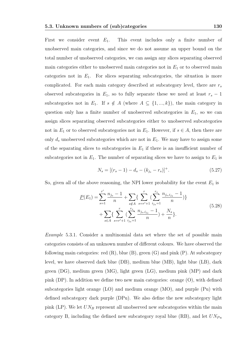First we consider event  $E_1$ . This event includes only a finite number of unobserved main categories, and since we do not assume an upper bound on the total number of unobserved categories, we can assign any slices separating observed main categories either to unobserved main categories not in  $E_1$  or to observed main categories not in  $E_1$ . For slices separating subcategories, the situation is more complicated. For each main category described at subcategory level, there are  $r_s$ observed subcategories in  $E_1$ , so to fully separate these we need at least  $r_s - 1$ subcategories not in  $E_1$ . If  $s \notin A$  (where  $A \subseteq \{1, ..., k\}$ ), the main category in question only has a finite number of unobserved subcategories in  $E_1$ , so we can assign slices separating observed subcategories either to unobserved subcategories not in  $E_1$  or to observed subcategories not in  $E_1$ . However, if  $s \in A$ , then there are only  $d_s$  unobserved subcategories which are not in  $E_1$ . We may have to assign some of the separating slices to subcategories in  $E_1$  if there is an insufficient number of subcategories not in  $E_1$ . The number of separating slices we have to assign to  $E_1$  is

$$
N_s = [(r_s - 1) - d_s - (k_{j_s} - r_s)]^+.
$$
\n(5.27)

So, given all of the above reasoning, the NPI lower probability for the event  $E_1$  is

$$
\underline{P}(E_1) = \sum_{s=1}^{r'} \frac{n_{j_s} - 1}{n} + \sum_{s \notin A} \{ \sum_{s=r'+1}^r (\sum_{i_{j_s}=1}^{r_s} \frac{n_{j_s, i_{j_s}} - 1}{n}) \} + \sum_{s \in A} \{ \sum_{s=r'+1}^r (\sum_{i_{j_s}=1}^{r_s} \frac{n_{j_s, i_{j_s}} - 1}{n}) + \frac{N_s}{n} \}.
$$
\n(5.28)

Example 5.3.1. Consider a multinomial data set where the set of possible main categories consists of an unknown number of different colours. We have observed the following main categories: red  $(R)$ , blue  $(B)$ , green  $(G)$  and pink  $(P)$ . At subcategory level, we have observed dark blue (DB), medium blue (MB), light blue (LB), dark green (DG), medium green (MG), light green (LG), medium pink (MP) and dark pink (DP). In addition we define two new main categories: orange (O), with defined subcategories light orange (LO) and medium orange (MO), and purple (Pu) with defined subcategory dark purple (DPu). We also define the new subcategory light pink (LP). We let  $UN_B$  represent all unobserved new subcategories within the main category B, including the defined new subcategory royal blue  $(RB)$ , and let  $UN_{Pu}$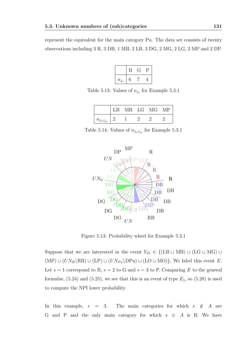represent the equivalent for the main category Pu. The data set consists of twenty observations including 3 R, 3 DB, 1 MB, 2 LB, 3 DG, 2 MG, 2 LG, 2 MP and 2 DP.

$$
\begin{array}{|c|c|c|c|}\n\hline\n & B & G & P \\
\hline\nn_{j_s} & 6 & 7 & 4 \\
\hline\n\end{array}
$$

Table 5.13: Values of  $n_{j_s}$  for Example 5.3.1

|                   | LB |  | MB LG MG MP |  |
|-------------------|----|--|-------------|--|
| $n_{j_s,i_{j_s}}$ |    |  |             |  |

Table 5.14: Values of  $n_{j_s,i_{j_s}}$  for Example 5.3.1



Figure 5.13: Probability wheel for Example 5.3.1

Suppose that we are interested in the event  $Y_{21} \in \{ (LB \cup MB) \cup (LG \cup MG) \cup$  $(MP) \cup (UN_B \setminus RB) \cup (LP) \cup (UN_{Pu} \setminus DPu) \cup (LO \cup MO)$ . We label this event E. Let  $s = 1$  correspond to B,  $s = 2$  to G and  $s = 3$  to P. Comparing E to the general formulae,  $(5.24)$  and  $(5.25)$ , we see that this is an event of type  $E_1$ , so  $(5.28)$  is used to compute the NPI lower probability.

In this example,  $r = 3$ . The main categories for which  $s \notin A$  are G and P and the only main category for which  $s \in A$  is B. We have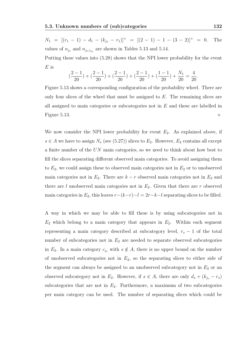$E$  is

 $N_1 = [(r_1 - 1) - d_1 - (k_{j_1} - r_1)]^+ = [(2 - 1) - 1 - (3 - 2)]^+ = 0.$  The values of  $n_{j_s}$  and  $n_{j_s,i_{j_s}}$  are shown in Tables 5.13 and 5.14. Putting these values into (5.28) shows that the NPI lower probability for the event

$$
\left(\frac{2-1}{20}\right) + \left(\frac{2-1}{20}\right) + \left(\frac{2-1}{20}\right) + \left(\frac{2-1}{20}\right) + \left(\frac{1-1}{20}\right) + \frac{N_1}{20} = \frac{4}{20}.
$$

Figure 5.13 shows a corresponding configuration of the probability wheel. There are only four slices of the wheel that must be assigned to  $E$ . The remaining slices are all assigned to main categories or subcategories not in  $E$  and these are labelled in Figure 5.13.  $\Diamond$ 

We now consider the NPI lower probability for event  $E_2$ . As explained above, if  $s \in A$  we have to assign  $N_s$  (see (5.27)) slices to  $E_2$ . However,  $E_2$  contains all except a finite number of the UN main categories, so we need to think about how best to fill the slices separating different observed main categories. To avoid assigning them to  $E_2$ , we could assign these to observed main categories not in  $E_2$  or to unobserved main categories not in  $E_2$ . There are  $k - r$  observed main categories not in  $E_2$  and there are l unobserved main categories not in  $E_2$ . Given that there are r observed main categories in  $E_2$ , this leaves  $r-(k-r)-l = 2r-k-l$  separating slices to be filled.

A way in which we may be able to fill these is by using subcategories not in  $E_2$  which belong to a main category that appears in  $E_2$ . Within each segment representing a main category described at subcategory level,  $r_s - 1$  of the total number of subcategories not in  $E_2$  are needed to separate observed subcategories in  $E_2$ . In a main category  $c_{j_s}$  with  $s \notin A$ , there is no upper bound on the number of unobserved subcategories not in  $E_2$ , so the separating slices to either side of the segment can always be assigned to an unobserved subcategory not in  $E_2$  or an observed subcategory not in  $E_2$ . However, if  $s \in A$ , there are only  $d_s + (k_{j_s} - r_s)$ subcategories that are not in  $E_2$ . Furthermore, a maximum of two subcategories per main category can be used. The number of separating slices which could be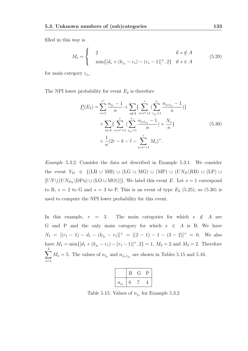filled in this way is

$$
M_s = \begin{cases} 2 & \text{if } s \notin A \\ \min\{[d_s + (k_{j_s} - r_s) - (r_s - 1)]^+, 2\} & \text{if } s \in A \end{cases}
$$
(5.29)

for main category  $c_{j_s}$ .

The NPI lower probability for event  $E_2$  is therefore

$$
\underline{P}(E_2) = \sum_{s=1}^{r'} \frac{n_{j_s} - 1}{n} + \sum_{s \notin A} \left\{ \sum_{s=r'+1}^r \left( \sum_{i_{js}=1}^{r_s} \frac{n_{j_s i_{js}} - 1}{n} \right) \right\} + \sum_{s \in A} \left\{ \sum_{s=r'+1}^r \left( \sum_{i_{js}=1}^{r_s} \frac{n_{j_s i_{js}} - 1}{n} \right) + \frac{N_s}{n} \right\} + \frac{1}{n} (2r - k - l - \sum_{s=r'+1}^r M_s)^+.
$$
\n(5.30)

Example 5.3.2. Consider the data set described in Example 5.3.1. We consider the event  $Y_{21} \in \{ (LB \cup MB) \cup (LG \cup MG) \cup (MP) \cup (UN_B \backslash RB) \cup (LP) \cup (UP) \}$  $[UN \setminus ((UN_{Pu} \Dra{DPu}) \cup (LO \cup MO))]$ . We label this event E. Let  $s = 1$  correspond to B,  $s = 2$  to G and  $s = 3$  to P. This is an event of type  $E_2$  (5.25), so (5.30) is used to compute the NPI lower probability for this event.

In this example,  $r = 3$ . The main categories for which  $s \notin A$  are G and P and the only main category for which  $s \in A$  is B. We have  $N_1 = [(r_1 - 1) - d_1 - (k_{j_1} - r_1)]^+ = [(2 - 1) - 1 - (3 - 2)]^+ = 0.$  We also have  $M_1 = \min\{[d_1 + (k_{j_1} - r_1) - (r_1 - 1)]^+, 2\} = 1, M_2 = 2$  and  $M_3 = 2$ . Therefore  $\sum$ 3  $s=1$  $M_s = 5$ . The values of  $n_{j_s}$  and  $n_{j_s,i_{j_s}}$  are shown in Tables 5.15 and 5.16.

|           |   | л. |  |
|-----------|---|----|--|
| $n_{j_s}$ | 6 |    |  |

Table 5.15: Values of  $n_{j_s}$  for Example 5.3.2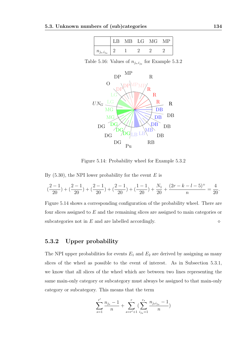|                   | LB |  | MB LG MG | M P |
|-------------------|----|--|----------|-----|
| $n_{j_s,i_{j_s}}$ |    |  |          |     |

Table 5.16: Values of  $n_{j_s,i_{j_s}}$  for Example 5.3.2



Figure 5.14: Probability wheel for Example 5.3.2

By  $(5.30)$ , the NPI lower probability for the event E is

$$
(\frac{2-1}{20}) + (\frac{2-1}{20}) + (\frac{2-1}{20}) + (\frac{2-1}{20}) + (\frac{1-1}{20}) + \frac{N_1}{20} + \frac{(2r - k - l - 5)^{+}}{n} = \frac{4}{20}.
$$

Figure 5.14 shows a corresponding configuration of the probability wheel. There are four slices assigned to E and the remaining slices are assigned to main categories or subcategories not in  $E$  and are labelled accordingly.

### 5.3.2 Upper probability

The NPI upper probabilities for events  $E_1$  and  $E_2$  are derived by assigning as many slices of the wheel as possible to the event of interest. As in Subsection 5.3.1, we know that all slices of the wheel which are between two lines representing the same main-only category or subcategory must always be assigned to that main-only category or subcategory. This means that the term

$$
\sum_{s=1}^{r'} \frac{n_{j_s}-1}{n} + \sum_{s=r'+1}^{r} (\sum_{i_{j_s}=1}^{r_s} \frac{n_{j_s i_{j_s}}-1}{n})
$$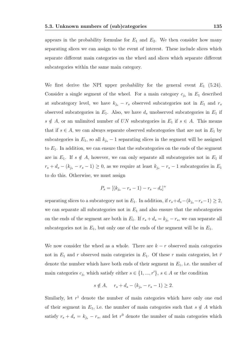appears in the probability formulae for  $E_1$  and  $E_2$ . We then consider how many separating slices we can assign to the event of interest. These include slices which separate different main categories on the wheel and slices which separate different subcategories within the same main category.

We first derive the NPI upper probability for the general event  $E_1$  (5.24). Consider a single segment of the wheel. For a main category  $c_{j_s}$  in  $E_1$  described at subcategory level, we have  $k_{j_s} - r_s$  observed subcategories not in  $E_1$  and  $r_s$ observed subcategories in  $E_1$ . Also, we have  $d_s$  unobserved subcategories in  $E_1$  if  $s \notin A$ , or an unlimited number of UN subcategories in  $E_1$  if  $s \in A$ . This means that if  $s \in A$ , we can always separate observed subcategories that are not in  $E_1$  by subcategories in  $E_1$ , so all  $k_{j_s} - 1$  separating slices in the segment will be assigned to  $E_1$ . In addition, we can ensure that the subcategories on the ends of the segment are in  $E_1$ . If  $s \notin A$ , however, we can only separate all subcategories not in  $E_1$  if  $r_s + d_s - (k_{j_s} - r_s - 1) \geq 0$ , as we require at least  $k_{j_s} - r_s - 1$  subcategories in  $E_1$ to do this. Otherwise, we must assign

$$
P_s = [(k_{j_s} - r_s - 1) - r_s - d_s]^+
$$

separating slices to a subcategory not in  $E_1$ . In addition, if  $r_s+d_s-(k_{j_s}-r_s-1) \geq 2$ , we can separate all subcategories not in  $E_1$  and also ensure that the subcategories on the ends of the segment are both in  $E_1$ . If  $r_s + d_s = k_{j_s} - r_s$ , we can separate all subcategories not in  $E_1$ , but only one of the ends of the segment will be in  $E_1$ .

We now consider the wheel as a whole. There are  $k - r$  observed main categories not in  $E_1$  and r observed main categories in  $E_1$ . Of these r main categories, let  $\tilde{r}$ denote the number which have both ends of their segment in  $E_1$ , i.e. the number of main categories  $c_{j_s}$  which satisfy either  $s \in \{1, ..., r'\}$ ,  $s \in A$  or the condition

$$
s \notin A
$$
,  $r_s + d_s - (k_{j_s} - r_s - 1) \ge 2$ .

Similarly, let  $r<sup>1</sup>$  denote the number of main categories which have only one end of their segment in  $E_1$ , i.e. the number of main categories such that  $s \notin A$  which satisfy  $r_s + d_s = k_{j_s} - r_s$ , and let  $r^0$  denote the number of main categories which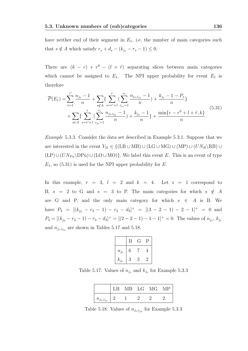have neither end of their segment in  $E_1$ , i.e. the number of main categories such that  $s \notin A$  which satisfy  $r_s + d_s - (k_{j_s} - r_s - 1) \leq 0$ .

There are  $(k - r) + r^0 - (l + \tilde{r})$  separating slices between main categories which cannot be assigned to  $E_1$ . The NPI upper probability for event  $E_1$  is therefore

$$
\overline{P}(E_1) = \sum_{s=1}^{r'} \frac{n_{j_s} - 1}{n} + \sum_{s \notin A} \left\{ \sum_{s=r'+1}^{r} \left( \sum_{i_{j_s}=1}^{r_s} \frac{n_{j_s, i_{j_s}} - 1}{n} \right) + \frac{k_{j_s} - 1 - P_s}{n} \right\} + \sum_{s \in A} \left\{ \sum_{s=r'+1}^{r} \left( \sum_{i_{j_s}=1}^{r_s} \frac{n_{j_s, i_{j_s}} - 1}{n} \right) + \frac{k_{j_s} - 1}{n} \right\} + \frac{\min\{r - r^0 + l + \tilde{r}, k\}}{n}.
$$
\n(5.31)

Example 5.3.3. Consider the data set described in Example 5.3.1. Suppose that we are interested in the event  $Y_{21} \in \{ (LB \cup MB) \cup (LG \cup MG) \cup (MP) \cup (UN_B \backslash RB) \cup (UN_B \backslash RB) \}$  $(LP) \cup (UN_{Pu} \ DPu) \cup (LO \cup MO)$ . We label this event E. This is an event of type  $E_1$ , so (5.31) is used for the NPI upper probability for E.

In this example,  $r = 3$ ,  $l = 2$  and  $k = 4$ . Let  $s = 1$  correspond to B,  $s = 2$  to G and  $s = 3$  to P. The main categories for which  $s \notin A$ are G and P, and the only main category for which  $s \in A$  is B. We have  $P_2 = [(k_{j_2} - r_2 - 1) - r_2 - d_2]^+ = [(3 - 2 - 1) - 2 - 1]^+ = 0$  and  $P_3 = [(k_{j_3} - r_3 - 1) - r_3 - d_3]^+ = [(2 - 2 - 1) - 1 - 1]^+ = 0$ . The values of  $n_{j_s}, k_{j_s}$ and  $n_{j_s,i_{j_s}}$  are shown in Tables 5.17 and 5.18.

|           | В | ( է | Р |
|-----------|---|-----|---|
| $n_{j_s}$ | 6 |     |   |
| $k_{j_s}$ | 3 | 3   | 2 |

Table 5.17: Values of  $n_{j_s}$  and  $k_{j_s}$  for Example 5.3.3

|                   |  | LB MB LG MG MP |  |
|-------------------|--|----------------|--|
| $n_{j_s,i_{j_s}}$ |  |                |  |

Table 5.18: Values of  $n_{j_s,i_{j_s}}$  for Example 5.3.3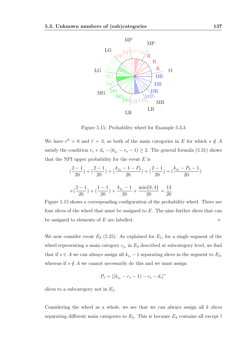

Figure 5.15: Probability wheel for Example 5.3.3

We have  $r^0 = 0$  and  $\tilde{r} = 3$ , as both of the main categories in E for which  $s \notin A$ satisfy the condition  $r_s + d_s - (k_{j_s} - r_s - 1) \geq 2$ . The general formula (5.31) shows that the NPI upper probability for the event  $E$  is

$$
\left(\frac{2-1}{20}\right) + \left(\frac{2-1}{20}\right) + \left(\frac{k_{j_2} - 1 - P_2}{20}\right) + \left(\frac{2-1}{20}\right) + \left(\frac{k_{j_3} - P_3 - 1}{20}\right)
$$

$$
+ \left(\frac{2-1}{20}\right) + \left(\frac{1-1}{20}\right) + \frac{k_{j_1} - 1}{20} + \frac{\min\{8, 4\}}{20} = \frac{13}{20}.
$$

Figure 5.15 shows a corresponding configuration of the probability wheel. There are four slices of the wheel that must be assigned to  $E$ . The nine further slices that can be assigned to elements of E are labelled.  $\Diamond$ 

We now consider event  $E_2$  (5.25). As explained for  $E_1$ , for a single segment of the wheel representing a main category  $c_{j_s}$  in  $E_2$  described at subcategory level, we find that if  $s \in A$  we can always assign all  $k_{j_s}$  − 1 separating slices in the segment to  $E_2$ , whereas if  $s \notin A$  we cannot necessarily do this and we must assign

$$
P_s = [(k_{j_s} - r_s - 1) - r_s - d_s]^+
$$

slices to a subcategory not in  $E_2$ .

Considering the wheel as a whole, we see that we can always assign all  $k$  slices separating different main categories to  $E_2$ . This is because  $E_2$  contains all except l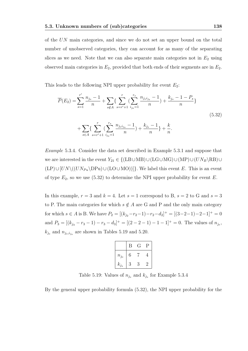of the UN main categories, and since we do not set an upper bound on the total number of unobserved categories, they can account for as many of the separating slices as we need. Note that we can also separate main categories not in  $E_2$  using observed main categories in  $E_2$ , provided that both ends of their segments are in  $E_2$ .

This leads to the following NPI upper probability for event  $E_2$ :

$$
\overline{P}(E_2) = \sum_{s=1}^{r'} \frac{n_{j_s} - 1}{n} + \sum_{s \notin A} \left\{ \sum_{s=r'+1}^r \left( \sum_{i_{js}=1}^{r_s} \frac{n_{j_s i_{js}} - 1}{n} \right) + \frac{k_{j_s} - 1 - P_s}{n} \right\}
$$
\n
$$
+ \sum_{s \in A} \left\{ \sum_{s=r'+1}^r \left( \sum_{i_{js}=1}^{r_s} \frac{n_{j_s i_{js}} - 1}{n} \right) + \frac{k_{j_s} - 1}{n} \right\} + \frac{k}{n}.
$$
\n(5.32)

Example 5.3.4. Consider the data set described in Example 5.3.1 and suppose that we are interested in the event  $Y_{21} \in \{(LB \cup MB) \cup (LG \cup MG) \cup (MP) \cup (UN_B \backslash RB) \cup (UN_B \backslash RB)\}$  $(LP) \cup [UN \setminus ((UN_{Pu} \D Pu) \cup (LO \cup MO))]$ . We label this event E. This is an event of type  $E_2$ , so we use (5.32) to determine the NPI upper probability for event E.

In this example,  $r = 3$  and  $k = 4$ . Let  $s = 1$  correspond to B,  $s = 2$  to G and  $s = 3$ to P. The main categories for which  $s \notin A$  are G and P and the only main category for which  $s \in A$  is B. We have  $P_2 = [(k_{j_2}-r_2-1)-r_2-d_2]^+ = [(3-2-1)-2-1]^+ = 0$ and  $P_3 = [(k_{j_3} - r_3 - 1) - r_3 - d_3]^+ = [(2 - 2 - 1) - 1 - 1]^+ = 0$ . The values of  $n_{j_s}$ ,  $k_{j_s}$  and  $n_{j_s,i_{j_s}}$  are shown in Tables 5.19 and 5.20.

|           | Β | ( Հ | Ρ       |
|-----------|---|-----|---------|
| $n_{j_s}$ | 6 |     |         |
| $k_{j_s}$ | 3 | 3   | $\cdot$ |

Table 5.19: Values of  $n_{j_s}$  and  $k_{j_s}$  for Example 5.3.4

By the general upper probability formula (5.32), the NPI upper probability for the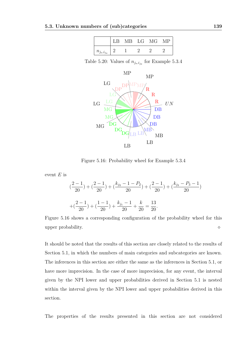|                   | LB |  | MB LG MG |  |
|-------------------|----|--|----------|--|
| $n_{j_s,i_{j_s}}$ |    |  |          |  |

Table 5.20: Values of  $n_{j_s,i_{j_s}}$  for Example 5.3.4



Figure 5.16: Probability wheel for Example 5.3.4

event  $E$  is

$$
\left(\frac{2-1}{20}\right) + \left(\frac{2-1}{20}\right) + \left(\frac{k_{j_2} - 1 - P_2}{20}\right) + \left(\frac{2-1}{20}\right) + \left(\frac{k_{j_3} - P_3 - 1}{20}\right)
$$

$$
+ \left(\frac{2-1}{20}\right) + \left(\frac{1-1}{20}\right) + \frac{k_{j_1} - 1}{20} + \frac{k}{20} = \frac{13}{20}.
$$

Figure 5.16 shows a corresponding configuration of the probability wheel for this upper probability.

It should be noted that the results of this section are closely related to the results of Section 5.1, in which the numbers of main categories and subcategories are known. The inferences in this section are either the same as the inferences in Section 5.1, or have more imprecision. In the case of more imprecision, for any event, the interval given by the NPI lower and upper probabilities derived in Section 5.1 is nested within the interval given by the NPI lower and upper probabilities derived in this section.

The properties of the results presented in this section are not considered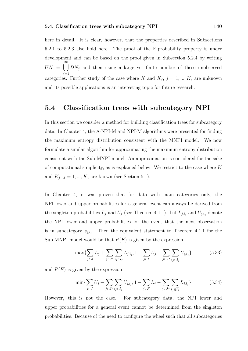here in detail. It is clear, however, that the properties described in Subsections 5.2.1 to 5.2.3 also hold here. The proof of the F-probability property is under development and can be based on the proof given in Subsection 5.2.4 by writing  $UN = \bigcup_{i=1}^{\infty} DN_i$  and then using a large yet finite number of these unobserved  $j=1$ categories. Further study of the case where K and  $K_j$ ,  $j = 1, ..., K$ , are unknown and its possible applications is an interesting topic for future research.

### 5.4 Classification trees with subcategory NPI

In this section we consider a method for building classification trees for subcategory data. In Chapter 4, the A-NPI-M and NPI-M algorithms were presented for finding the maximum entropy distribution consistent with the MNPI model. We now formulate a similar algorithm for approximating the maximum entropy distribution consistent with the Sub-MNPI model. An approximation is considered for the sake of computational simplicity, as is explained below. We restrict to the case where K and  $K_j$ ,  $j = 1, ..., K$ , are known (see Section 5.1).

In Chapter 4, it was proven that for data with main categories only, the NPI lower and upper probabilities for a general event can always be derived from the singleton probabilities  $L_j$  and  $U_j$  (see Theorem 4.1.1). Let  $L_{j,i_j}$  and  $U_{j,i_j}$  denote the NPI lower and upper probabilities for the event that the next observation is in subcategory  $s_{j,i_j}$ . Then the equivalent statement to Theorem 4.1.1 for the Sub-MNPI model would be that  $P(E)$  is given by the expression

$$
\max\{\sum_{j\in J} L_j + \sum_{j\in J^*} \sum_{i_j\in I_j} L_{j,i,j}, 1 - \sum_{j\in F} U_j - \sum_{j\in J^*} \sum_{i_j\in \overline{I_j}} U_{j,i,j}\}\
$$
(5.33)

and  $\overline{P}(E)$  is given by the expression

$$
\min\{\sum_{j\in J} U_j + \sum_{j\in J^*} \sum_{i_j\in I_j} U_{j,i_j}, 1 - \sum_{j\in F} L_j - \sum_{j\in J^*} \sum_{i_j\in \overline{I_j}} L_{j,i_j}\}\
$$
(5.34)

However, this is not the case. For subcategory data, the NPI lower and upper probabilities for a general event cannot be determined from the singleton probabilities. Because of the need to configure the wheel such that all subcategories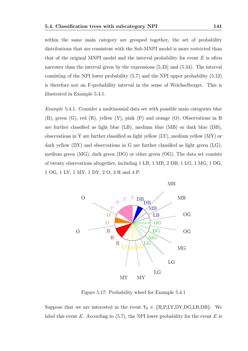within the same main category are grouped together, the set of probability distributions that are consistent with the Sub-MNPI model is more restricted than that of the original MNPI model and the interval probability for event  $E$  is often narrower than the interval given by the expressions (5.33) and (5.34). The interval consisting of the NPI lower probability (5.7) and the NPI upper probability (5.12) is therefore not an F-probability interval in the sense of Weichselberger. This is illustrated in Example 5.4.1.

Example 5.4.1. Consider a multinomial data set with possible main categories blue (B), green (G), red (R), yellow (Y), pink (P) and orange (O). Observations in B are further classified as light blue (LB), medium blue (MB) or dark blue (DB), observations in Y are further classified as light yellow (LY), medium yellow (MY) or dark yellow (DY) and observations in G are further classified as light green (LG), medium green (MG), dark green (DG) or other green (OG). The data set consists of twenty observations altogether, including 1 LB, 1 MB, 2 DB, 1 LG, 1 MG, 1 DG, 1 OG, 1 LY, 1 MY, 1 DY, 2 O, 3 R and 4 P.



Figure 5.17: Probability wheel for Example 5.4.1

Suppose that we are interested in the event  $Y_9 \in \{R, P, LY, DY, DG, LB, DB\}$ . We label this event  $E$ . According to (5.7), the NPI lower probability for the event  $E$  is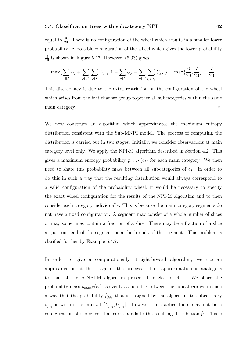equal to  $\frac{8}{20}$ . There is no configuration of the wheel which results in a smaller lower probability. A possible configuration of the wheel which gives the lower probability  $\frac{8}{20}$  is shown in Figure 5.17. However, (5.33) gives

$$
\max\{\sum_{j\in J} L_j + \sum_{j\in J^*} \sum_{i_j\in I_j} L_{j,i_j}, 1 - \sum_{j\in F} U_j - \sum_{j\in J^*} \sum_{i_j\in \overline{I_j}} U_{j,i_j}\} = \max\{\frac{6}{20}, \frac{7}{20}\} = \frac{7}{20}.
$$

This discrepancy is due to the extra restriction on the configuration of the wheel which arises from the fact that we group together all subcategories within the same main category.

We now construct an algorithm which approximates the maximum entropy distribution consistent with the Sub-MNPI model. The process of computing the distribution is carried out in two stages. Initially, we consider observations at main category level only. We apply the NPI-M algorithm described in Section 4.2. This gives a maximum entropy probability  $p_{maxE}(c_j)$  for each main category. We then need to share this probability mass between all subcategories of  $c_j$ . In order to do this in such a way that the resulting distribution would always correspond to a valid configuration of the probability wheel, it would be necessary to specify the exact wheel configuration for the results of the NPI-M algorithm and to then consider each category individually. This is because the main category segments do not have a fixed configuration. A segment may consist of a whole number of slices or may sometimes contain a fraction of a slice. There may be a fraction of a slice at just one end of the segment or at both ends of the segment. This problem is clarified further by Example 5.4.2.

In order to give a computationally straightforward algorithm, we use an approximation at this stage of the process. This approximation is analogous to that of the A-NPI-M algorithm presented in Section 4.1. We share the probability mass  $p_{maxE}(c_j)$  as evenly as possible between the subcategories, in such a way that the probability  $\hat{p}_{j,i_j}$  that is assigned by the algorithm to subcategory  $s_{j,i_j}$  is within the interval  $[L_{j,i_j}, U_{j,i_j}]$ . However, in practice there may not be a configuration of the wheel that corresponds to the resulting distribution  $\hat{p}$ . This is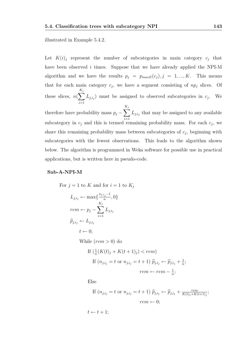illustrated in Example 5.4.2.

Let  $K(i)$  represent the number of subcategories in main category  $c_j$  that have been observed  $i$  times. Suppose that we have already applied the NPI-M algorithm and we have the results  $p_j = p_{maxE}(c_j)$ ,  $j = 1, ..., K$ . This means that for each main category  $c_j$ , we have a segment consisting of  $np_j$  slices. Of these slices,  $n(\sum)$  $K_j$  $i=1$  $L_{j,i_j}$ ) must be assigned to observed subcategories in  $c_j$ . We therefore have probability mass  $p_j - \sum$  $K_j$  $i=1$  $L_{j,i_j}$  that may be assigned to any available subcategory in  $c_j$  and this is termed remaining probability mass. For each  $c_j$ , we share this remaining probability mass between subcategories of  $c_j$ , beginning with subcategories with the fewest observations. This leads to the algorithm shown below. The algorithm is programmed in Weka software for possible use in practical applications, but is written here in pseudo-code.

#### Sub-A-NPI-M

For  $j = 1$  to K and for  $i = 1$  to  $K_j$  $L_{j,i_j} \leftarrow \max\{\frac{n_{j,i_j}-1}{n}$  $\frac{i_j}{n}$ , 0}  $rem \leftarrow p_j - \sum$  $K_j$  $i=1$  $L_{j,i_j}$  $\widehat{p}_{i,i_j} \leftarrow L_{j,i_j}$  $t \leftarrow 0$ : While  $(rem > 0)$  do If  $(\frac{1}{n}(K(t)_j + K(t+1)_j) < rem)$ If  $(n_{j,i_j} = t \text{ or } n_{j,i_j} = t + 1) \hat{p}_{j,i_j} \leftarrow \hat{p}_{j,i_j} + \frac{1}{n}$  $\frac{1}{n}$ ;  $rem \leftarrow rem - \frac{1}{n}$  $\frac{1}{n}$ ; Else

If 
$$
(n_{j,i_j} = t \text{ or } n_{j,i_j} = t+1)
$$
  $\widehat{p}_{j,i_j} \leftarrow \widehat{p}_{j,i_j} + \frac{rem}{K(t)_j + K(t+1)_j};$   
\n
$$
rem \leftarrow 0;
$$

 $t \leftarrow t + 1$ ;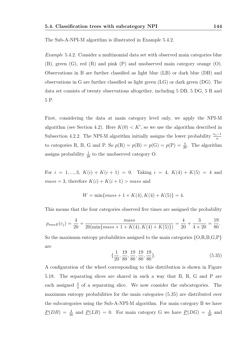The Sub-A-NPI-M algorithm is illustrated in Example 5.4.2.

Example 5.4.2. Consider a multinomial data set with observed main categories blue (B), green (G), red (R) and pink (P) and unobserved main category orange (O). Observations in B are further classified as light blue (LB) or dark blue (DB) and observations in G are further classified as light green (LG) or dark green (DG). The data set consists of twenty observations altogether, including 5 DB, 5 DG, 5 R and 5 P.

First, considering the data at main category level only, we apply the NPI-M algorithm (see Section 4.2). Here  $K(0) < K'$ , so we use the algorithm described in Subsection 4.2.2. The NPI-M algorithm initially assigns the lower probability  $\frac{n_j-1}{n}$ to categories R, B, G and P. So  $p(R) = p(B) = p(G) = p(P) = \frac{4}{20}$ . The algorithm assigns probability  $\frac{1}{20}$  to the unobserved category O.

For  $i = 1, ..., 3, K(i) + K(i + 1) = 0$ . Taking  $i = 4, K(4) + K(5) = 4$  and  $mass = 3$ , therefore  $K(i) + K(i + 1) > mass$  and

$$
W = \min\{mass + 1 + K(4), K(4) + K(5)\} = 4.
$$

This means that the four categories observed five times are assigned the probability

$$
p_{maxE}(c_j) = \frac{4}{20} + \frac{mass}{20(\min\{mass + 1 + K(4), K(4) + K(5)\})} = \frac{4}{20} + \frac{3}{4 \times 20} = \frac{19}{80}.
$$

So the maximum entropy probabilities assigned to the main categories  ${O, R, B, G, P}$ are

$$
\{\frac{1}{20}, \frac{19}{80}, \frac{19}{80}, \frac{19}{80}, \frac{19}{80}\}.
$$
\n(5.35)

A configuration of the wheel corresponding to this distribution is shown in Figure 5.18. The separating slices are shared in such a way that B, R, G and P are each assigned  $\frac{3}{4}$  of a separating slice. We now consider the subcategories. The maximum entropy probabilities for the main categories (5.35) are distributed over the subcategories using the Sub-A-NPI-M algorithm. For main category B we have  $\underline{P}(DB) = \frac{4}{20}$  and  $\underline{P}(LB) = 0$ . For main category G we have  $\underline{P}(DG) = \frac{4}{20}$  and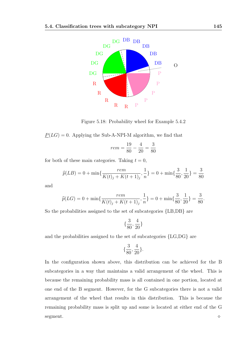

Figure 5.18: Probability wheel for Example 5.4.2

 $P(LG) = 0$ . Applying the Sub-A-NPI-M algorithm, we find that

$$
rem = \frac{19}{80} - \frac{4}{20} = \frac{3}{80}
$$

for both of these main categories. Taking  $t = 0$ ,

$$
\widehat{p}(LB) = 0 + \min\{\frac{rem}{K(t)_j + K(t+1)_j}, \frac{1}{n}\} = 0 + \min\{\frac{3}{80}, \frac{1}{20}\} = \frac{3}{80}
$$

and

$$
\widehat{p}(LG) = 0 + \min\{\frac{rem}{K(t)_j + K(t+1)_j}, \frac{1}{n}\} = 0 + \min\{\frac{3}{80}, \frac{1}{20}\} = \frac{3}{80}.
$$

So the probabilities assigned to the set of subcategories {LB,DB} are

$$
\{\frac{3}{80}, \frac{4}{20}\}
$$

and the probabilities assigned to the set of subcategories {LG,DG} are

$$
\{\frac{3}{80},\frac{4}{20}\}.
$$

In the configuration shown above, this distribution can be achieved for the B subcategories in a way that maintains a valid arrangement of the wheel. This is because the remaining probability mass is all contained in one portion, located at one end of the B segment. However, for the G subcategories there is not a valid arrangement of the wheel that results in this distribution. This is because the remaining probability mass is split up and some is located at either end of the G segment.  $\Diamond$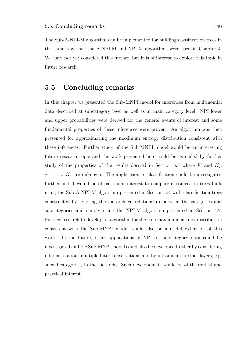The Sub-A-NPI-M algorithm can be implemented for building classification trees in the same way that the A-NPI-M and NPI-M algorithms were used in Chapter 4. We have not yet considered this further, but it is of interest to explore this topic in future research.

#### 5.5 Concluding remarks

In this chapter we presented the Sub-MNPI model for inferences from multinomial data described at subcategory level as well as at main category level. NPI lower and upper probabilities were derived for the general events of interest and some fundamental properties of these inferences were proven. An algorithm was then presented for approximating the maximum entropy distribution consistent with these inferences. Further study of the Sub-MNPI model would be an interesting future research topic and the work presented here could be extended by further study of the properties of the results derived in Section 5.3 where K and  $K_j$ ,  $j = 1, ..., K$ , are unknown. The application to classification could be investigated further and it would be of particular interest to compare classification trees built using the Sub-A-NPI-M algorithm presented in Section 5.4 with classification trees constructed by ignoring the hierarchical relationship between the categories and subcategories and simply using the NPI-M algorithm presented in Section 4.2. Further research to develop an algorithm for the true maximum entropy distribution consistent with the Sub-MNPI model would also be a useful extension of this work. In the future, other applications of NPI for subcategory data could be investigated and the Sub-MNPI model could also be developed further by considering inferences about multiple future observations and by introducing further layers, e.g. subsubcategories, to the hierarchy. Such developments would be of theoretical and practical interest.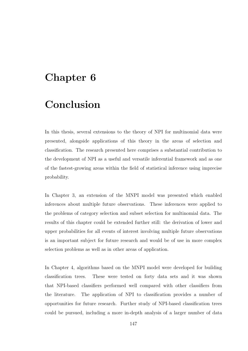## Chapter 6

## Conclusion

In this thesis, several extensions to the theory of NPI for multinomial data were presented, alongside applications of this theory in the areas of selection and classification. The research presented here comprises a substantial contribution to the development of NPI as a useful and versatile inferential framework and as one of the fastest-growing areas within the field of statistical inference using imprecise probability.

In Chapter 3, an extension of the MNPI model was presented which enabled inferences about multiple future observations. These inferences were applied to the problems of category selection and subset selection for multinomial data. The results of this chapter could be extended further still: the derivation of lower and upper probabilities for all events of interest involving multiple future observations is an important subject for future research and would be of use in more complex selection problems as well as in other areas of application.

In Chapter 4, algorithms based on the MNPI model were developed for building classification trees. These were tested on forty data sets and it was shown that NPI-based classifiers performed well compared with other classifiers from the literature. The application of NPI to classification provides a number of opportunities for future research. Further study of NPI-based classification trees could be pursued, including a more in-depth analysis of a larger number of data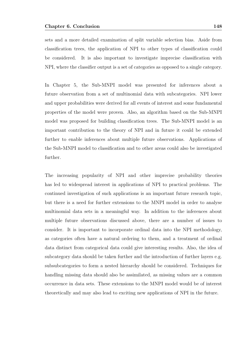sets and a more detailed examination of split variable selection bias. Aside from classification trees, the application of NPI to other types of classification could be considered. It is also important to investigate imprecise classification with NPI, where the classifier output is a set of categories as opposed to a single category.

In Chapter 5, the Sub-MNPI model was presented for inferences about a future observation from a set of multinomial data with subcategories. NPI lower and upper probabilities were derived for all events of interest and some fundamental properties of the model were proven. Also, an algorithm based on the Sub-MNPI model was proposed for building classification trees. The Sub-MNPI model is an important contribution to the theory of NPI and in future it could be extended further to enable inferences about multiple future observations. Applications of the Sub-MNPI model to classification and to other areas could also be investigated further.

The increasing popularity of NPI and other imprecise probability theories has led to widespread interest in applications of NPI to practical problems. The continued investigation of such applications is an important future research topic, but there is a need for further extensions to the MNPI model in order to analyse multinomial data sets in a meaningful way. In addition to the inferences about multiple future observations discussed above, there are a number of issues to consider. It is important to incorporate ordinal data into the NPI methodology, as categories often have a natural ordering to them, and a treatment of ordinal data distinct from categorical data could give interesting results. Also, the idea of subcategory data should be taken further and the introduction of further layers e.g. subsubcategories to form a nested hierarchy should be considered. Techniques for handling missing data should also be assimilated, as missing values are a common occurrence in data sets. These extensions to the MNPI model would be of interest theoretically and may also lead to exciting new applications of NPI in the future.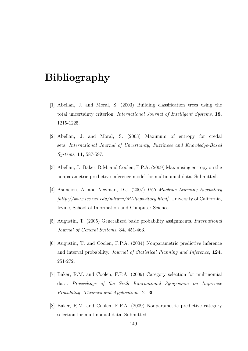# Bibliography

- [1] Abellan, J. and Moral, S. (2003) Building classification trees using the total uncertainty criterion. International Journal of Intelligent Systems, 18, 1215-1225.
- [2] Abellan, J. and Moral, S. (2003) Maximum of entropy for credal sets. International Journal of Uncertainty, Fuzziness and Knowledge-Based Systems, 11, 587-597.
- [3] Abellan, J., Baker, R.M. and Coolen, F.P.A. (2009) Maximising entropy on the nonparametric predictive inference model for multinomial data. Submitted.
- [4] Asuncion, A. and Newman, D.J. (2007) UCI Machine Learning Repository [http://www.ics.uci.edu/mlearn/MLRepository.html]. University of California, Irvine, School of Information and Computer Science.
- [5] Augustin, T. (2005) Generalized basic probability assignments. International Journal of General Systems, 34, 451-463.
- [6] Augustin, T. and Coolen, F.P.A. (2004) Nonparametric predictive inference and interval probability. Journal of Statistical Planning and Inference, 124, 251-272.
- [7] Baker, R.M. and Coolen, F.P.A. (2009) Category selection for multinomial data. Proceedings of the Sixth International Symposium on Imprecise Probability: Theories and Applications, 21-30.
- [8] Baker, R.M. and Coolen, F.P.A. (2009) Nonparametric predictive category selection for multinomial data. Submitted.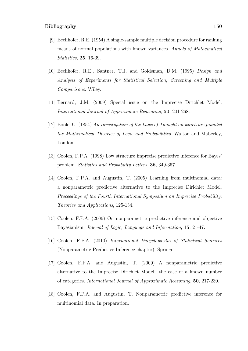- [9] Bechhofer, R.E. (1954) A single-sample multiple decision procedure for ranking means of normal populations with known variances. Annals of Mathematical Statistics, 25, 16-39.
- [10] Bechhofer, R.E., Santner, T.J. and Goldsman, D.M. (1995) Design and Analysis of Experiments for Statistical Selection, Screening and Multiple Comparisons. Wiley.
- [11] Bernard, J.M. (2009) Special issue on the Imprecise Dirichlet Model. International Journal of Approximate Reasoning, 50, 201-268.
- [12] Boole, G. (1854) An Investigation of the Laws of Thought on which are founded the Mathematical Theories of Logic and Probabilities. Walton and Maberley, London.
- [13] Coolen, F.P.A. (1998) Low structure imprecise predictive inference for Bayes' problem. Statistics and Probability Letters, 36, 349-357.
- [14] Coolen, F.P.A. and Augustin, T. (2005) Learning from multinomial data: a nonparametric predictive alternative to the Imprecise Dirichlet Model. Proceedings of the Fourth International Symposium on Imprecise Probability: Theories and Applications, 125-134.
- [15] Coolen, F.P.A. (2006) On nonparametric predictive inference and objective Bayesianism. Journal of Logic, Language and Information, 15, 21-47.
- [16] Coolen, F.P.A. (2010) International Encyclopaedia of Statistical Sciences (Nonparametric Predictive Inference chapter). Springer.
- [17] Coolen, F.P.A. and Augustin, T. (2009) A nonparametric predictive alternative to the Imprecise Dirichlet Model: the case of a known number of categories. International Journal of Approximate Reasoning, 50, 217-230.
- [18] Coolen, F.P.A. and Augustin, T. Nonparametric predictive inference for multinomial data. In preparation.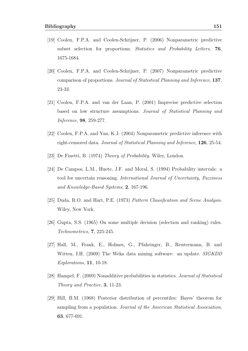- [19] Coolen, F.P.A. and Coolen-Schrijner, P. (2006) Nonparametric predictive subset selection for proportions. Statistics and Probability Letters, 76, 1675-1684.
- [20] Coolen, F.P.A. and Coolen-Schrijner, P. (2007) Nonparametric predictive comparison of proportions. Journal of Statistical Planning and Inference, 137, 23-33.
- [21] Coolen, F.P.A. and van der Laan, P. (2001) Imprecise predictive selection based on low structure assumptions. Journal of Statistical Planning and Inference, 98, 259-277.
- [22] Coolen, F.P.A. and Yan, K.J. (2004) Nonparametric predictive inference with right-censored data. Journal of Statistical Planning and Inference, 126, 25-54.
- [23] De Finetti, B. (1974) Theory of Probability. Wiley, London.
- [24] De Campos, L.M., Huete, J.F. and Moral, S. (1994) Probability intervals: a tool for uncertain reasoning. International Journal of Uncertainty, Fuzziness and Knowledge-Based Systems, 2, 167-196.
- [25] Duda, R.O. and Hart, P.E. (1973) Pattern Classification and Scene Analysis. Wiley, New York.
- [26] Gupta, S.S. (1965) On some multiple decision (selection and ranking) rules. Technometrics, 7, 225-245.
- [27] Hall, M., Frank, E., Holmes, G., Pfahringer, B., Reutermann, B. and Witten, I.H. (2009) The Weka data mining software: an update. SIGKDD Explorations, 11, 10-18.
- [28] Hampel, F. (2009) Nonadditive probabilities in statistics. Journal of Statistical Theory and Practice, 3, 11-23.
- [29] Hill, B.M. (1968) Posterior distribution of percentiles: Bayes' theorem for sampling from a population. Journal of the American Statistical Association, 63, 677-691.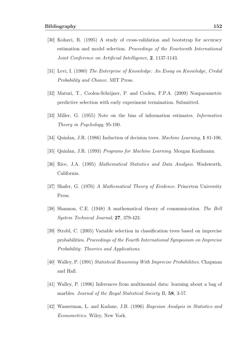- [30] Kohavi, R. (1995) A study of cross-validation and bootstrap for accuracy estimation and model selection. Proceedings of the Fourteenth International Joint Conference on Artificial Intelligence, 2, 1137-1143.
- [31] Levi, I. (1980) The Enterprise of Knowledge: An Essay on Knowledge, Credal Probability and Chance. MIT Press.
- [32] Maturi, T., Coolen-Schrijner, P. and Coolen, F.P.A. (2009) Nonparametric predictive selection with early experiment termination. Submitted.
- [33] Miller, G. (1955) Note on the bias of information estimates. Information Theory in Psychology, 95-100.
- [34] Quinlan, J.R. (1986) Induction of decision trees. Machine Learning, 1 81-106.
- [35] Quinlan, J.R. (1993) Programs for Machine Learning. Morgan Kaufmann.
- [36] Rice, J.A. (1995) Mathematical Statistics and Data Analysis. Wadsworth, California.
- [37] Shafer, G. (1976) A Mathematical Theory of Evidence. Princeton University Press.
- [38] Shannon, C.E. (1948) A mathematical theory of communication. The Bell System Technical Journal, 27, 379-423.
- [39] Strobl, C. (2005) Variable selection in classification trees based on imprecise probabilities. Proceedings of the Fourth International Symposium on Imprecise Probability: Theories and Applications.
- [40] Walley, P. (1991) Statistical Reasoning With Imprecise Probabilities. Chapman and Hall.
- [41] Walley, P. (1996) Inferences from multinomial data: learning about a bag of marbles. Journal of the Royal Statistical Society B, 58, 3-57.
- [42] Wasserman, L. and Kadane, J.B. (1996) Bayesian Analysis in Statistics and Econometrics. Wiley, New York.